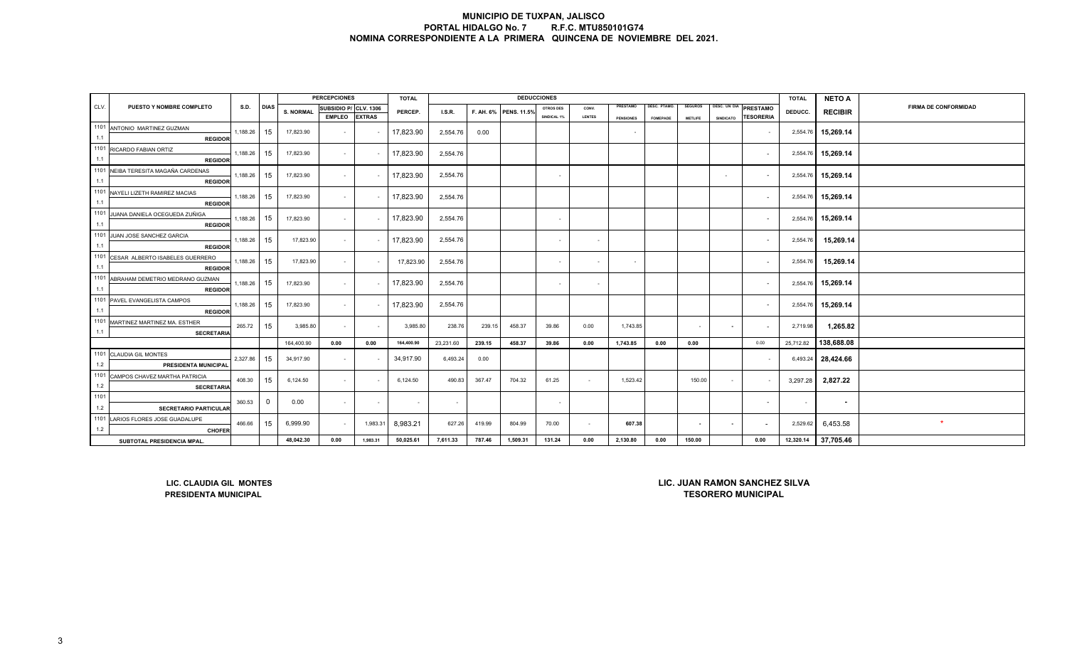|      |                                                 |             |            |                  | <b>PERCEPCIONES</b>                    |          | <b>TOTAL</b>             |           |        | <b>DEDUCCIONES</b>    |                          |                        |                              |                                 |                                  |                                  |                                     | <b>TOTAL</b> | <b>NETO A</b>      |                             |
|------|-------------------------------------------------|-------------|------------|------------------|----------------------------------------|----------|--------------------------|-----------|--------|-----------------------|--------------------------|------------------------|------------------------------|---------------------------------|----------------------------------|----------------------------------|-------------------------------------|--------------|--------------------|-----------------------------|
| CLV. | PUESTO Y NOMBRE COMPLETO                        | S.D. DIAS   |            | <b>S. NORMAL</b> | SUBSIDIO P/ CLV. 1306<br>EMPLEO EXTRAS |          | PERCEP.                  | I.S.R.    |        | F. AH. 6% PENS. 11.5% | OTROS DES<br>SINDICAL 1% | CONV.<br><b>LENTES</b> | PRESTAMO<br><b>PENSIONES</b> | DESC. PTAMO.<br><b>FOMEPADE</b> | <b>SEGUROS</b><br><b>METLIFE</b> | DESC. UN DIA<br><b>SINDICATO</b> | <b>PRESTAMO</b><br><b>TESORERIA</b> | DEDUCC.      | <b>RECIBIR</b>     | <b>FIRMA DE CONFORMIDAD</b> |
|      | 1101 ANTONIO MARTINEZ GUZMAN                    | 1,188.26    | $\vert$ 15 | 17,823.90        | $\sim$                                 |          | 17,823.90                | 2,554.76  | 0.00   |                       |                          |                        |                              |                                 |                                  |                                  | $\sim$                              | 2,554.76     | 15,269.14          |                             |
| 1.1  | <b>REGIDOR</b>                                  |             |            |                  |                                        |          |                          |           |        |                       |                          |                        |                              |                                 |                                  |                                  |                                     |              |                    |                             |
|      | 1101 RICARDO FABIAN ORTIZ                       | 1,188.26 15 |            | 17,823.90        | $\sim$                                 |          | 17,823.90                | 2,554.76  |        |                       |                          |                        |                              |                                 |                                  |                                  | $\sim$                              | 2,554.76     | 15,269.14          |                             |
| 1.1  | <b>REGIDOR</b>                                  |             |            |                  |                                        |          |                          |           |        |                       |                          |                        |                              |                                 |                                  |                                  |                                     |              |                    |                             |
|      | 1101 NEIBA TERESITA MAGAÑA CARDENAS             | 1,188.26 15 |            | 17,823.90        | $\sim$                                 |          | 17,823.90                | 2,554.76  |        |                       |                          |                        |                              |                                 |                                  |                                  | $\sim$                              |              | 2,554.76 15,269.14 |                             |
| 1.1  | <b>REGIDOR</b>                                  |             |            |                  |                                        |          |                          |           |        |                       |                          |                        |                              |                                 |                                  |                                  |                                     |              |                    |                             |
|      | 1101 NAYELI LIZETH RAMIREZ MACIAS               | 1,188.26    | 15         | 17,823.90        | $\sim$                                 |          | 17,823.90                | 2,554.76  |        |                       |                          |                        |                              |                                 |                                  |                                  | $\sim$                              |              | 2,554.76 15,269.14 |                             |
| 1.1  | <b>REGIDOR</b>                                  |             |            |                  |                                        |          |                          |           |        |                       |                          |                        |                              |                                 |                                  |                                  |                                     |              |                    |                             |
|      | 1101 JUANA DANIELA OCEGUEDA ZUÑIGA              | 1,188.26 15 |            | 17,823.90        | $\sim$                                 |          | 17,823.90                | 2,554.76  |        |                       |                          |                        |                              |                                 |                                  |                                  | $\sim$                              |              | 2,554.76 15,269.14 |                             |
| 1.1  | <b>REGIDOR</b>                                  |             |            |                  |                                        |          |                          |           |        |                       |                          |                        |                              |                                 |                                  |                                  |                                     |              |                    |                             |
|      | 1101 JUAN JOSE SANCHEZ GARCIA                   | 1,188.26    | 15         | 17,823.90        | $\sim$                                 |          | 17,823.90                | 2,554.76  |        |                       | $\sim$                   |                        |                              |                                 |                                  |                                  | $\sim$                              | 2,554.76     | 15,269.14          |                             |
| 1.1  | <b>REGIDOR</b>                                  |             |            |                  |                                        |          |                          |           |        |                       |                          |                        |                              |                                 |                                  |                                  |                                     |              |                    |                             |
|      | 1101 CESAR ALBERTO ISABELES GUERRERO            | 1,188.26 15 |            | 17,823.90        | $\sim$                                 |          | 17,823.90                | 2,554.76  |        |                       | $\overline{\phantom{a}}$ |                        |                              |                                 |                                  |                                  | $\sim$                              | 2,554.76     | 15,269.14          |                             |
| 1.1  | <b>REGIDOR</b>                                  |             |            |                  |                                        |          |                          |           |        |                       |                          |                        |                              |                                 |                                  |                                  |                                     |              |                    |                             |
| 1.1  | 1101 ABRAHAM DEMETRIO MEDRANO GUZMAN            | 1,188.26    | 15         | 17,823.90        | $\sim$                                 |          | 17,823.90                | 2,554.76  |        |                       |                          |                        |                              |                                 |                                  |                                  | $\sim$                              | 2,554.76     | 15,269.14          |                             |
|      | <b>REGIDOR</b><br>1101 PAVEL EVANGELISTA CAMPOS |             |            |                  |                                        |          |                          |           |        |                       |                          |                        |                              |                                 |                                  |                                  |                                     |              |                    |                             |
| 1.1  | <b>REGIDOR</b>                                  | 1,188.26 15 |            | 17,823.90        | $\sim$                                 |          | 17,823.90                | 2,554.76  |        |                       |                          |                        |                              |                                 |                                  |                                  | $\sim$                              | 2,554.76     | 15,269.14          |                             |
|      | 1101 MARTINEZ MARTINEZ MA. ESTHER               |             |            |                  |                                        |          |                          |           |        |                       |                          |                        |                              |                                 |                                  |                                  |                                     |              |                    |                             |
| 1.1  | <b>SECRETARIA</b>                               | 265.72      | 15         | 3,985.80         | $\sim$                                 |          | 3,985.80                 | 238.76    | 239.15 | 458.37                | 39.86                    | 0.00                   | 1,743.85                     |                                 | $\sim$                           | $\overline{\phantom{a}}$         | $\sim$                              | 2,719.98     | 1,265.82           |                             |
|      |                                                 |             |            | 164,400.90       | 0.00                                   | 0.00     | 164,400.90               | 23,231.60 | 239.15 | 458.37                | 39.86                    | 0.00                   | 1,743.85                     | 0.00                            | 0.00                             |                                  | 0.00                                | 25,712.82    | 138,688.08         |                             |
|      | 1101 CLAUDIA GIL MONTES                         | 2,327.86    | 15         | 34,917.90        | $\sim$                                 |          | 34,917.90                | 6,493.24  | 0.00   |                       |                          |                        |                              |                                 |                                  |                                  | $\sim$                              | 6,493.24     | 28,424.66          |                             |
| 1.2  | PRESIDENTA MUNICIPAL                            |             |            |                  |                                        |          |                          |           |        |                       |                          |                        |                              |                                 |                                  |                                  |                                     |              |                    |                             |
|      | 1101 CAMPOS CHAVEZ MARTHA PATRICIA              | 408.30      | 15         | 6,124.50         | $\sim$                                 |          | 6,124.50                 | 490.83    | 367.47 | 704.32                | 61.25                    |                        | 1,523.42                     |                                 | 150.00                           |                                  | $\sim$                              | 3,297.28     | 2,827.22           |                             |
| 1.2  | <b>SECRETARIA</b>                               |             |            |                  |                                        |          |                          |           |        |                       |                          |                        |                              |                                 |                                  |                                  |                                     |              |                    |                             |
| 1101 |                                                 | 360.53      | $\Omega$   | 0.00             | $\sim$                                 |          | $\overline{\phantom{a}}$ | $\sim$    |        |                       |                          |                        |                              |                                 |                                  |                                  | $\sim$                              | $\sim$       | $\sim$             |                             |
| 1.2  | <b>SECRETARIO PARTICULAR</b>                    |             |            |                  |                                        |          |                          |           |        |                       |                          |                        |                              |                                 |                                  |                                  |                                     |              |                    |                             |
| 1101 | LARIOS FLORES JOSE GUADALUPE                    | 466.66      | 15         | 6,999.90         | $\sim$                                 | 1,983.31 | 8,983.21                 | 627.26    | 419.99 | 804.99                | 70.00                    | $\sim$                 | 607.38                       |                                 | $\overline{\phantom{a}}$         | $\overline{\phantom{a}}$         | $\sim$                              | 2,529.62     | 6,453.58           | $\star$                     |
| 1.2  | <b>CHOFER</b>                                   |             |            |                  |                                        |          |                          |           |        |                       |                          |                        |                              |                                 |                                  |                                  |                                     |              |                    |                             |
|      | SUBTOTAL PRESIDENCIA MPAL.                      |             |            | 48,042.30        | 0.00                                   | 1,983.31 | 50,025.61                | 7,611.33  | 787.46 | 1,509.31              | 131.24                   | 0.00                   | 2,130.80                     | 0.00                            | 150.00                           |                                  | 0.00                                | 12,320.14    | 37,705.46          |                             |

**LIC. CLAUDIA GIL MONTESPRESIDENTA MUNICIPAL**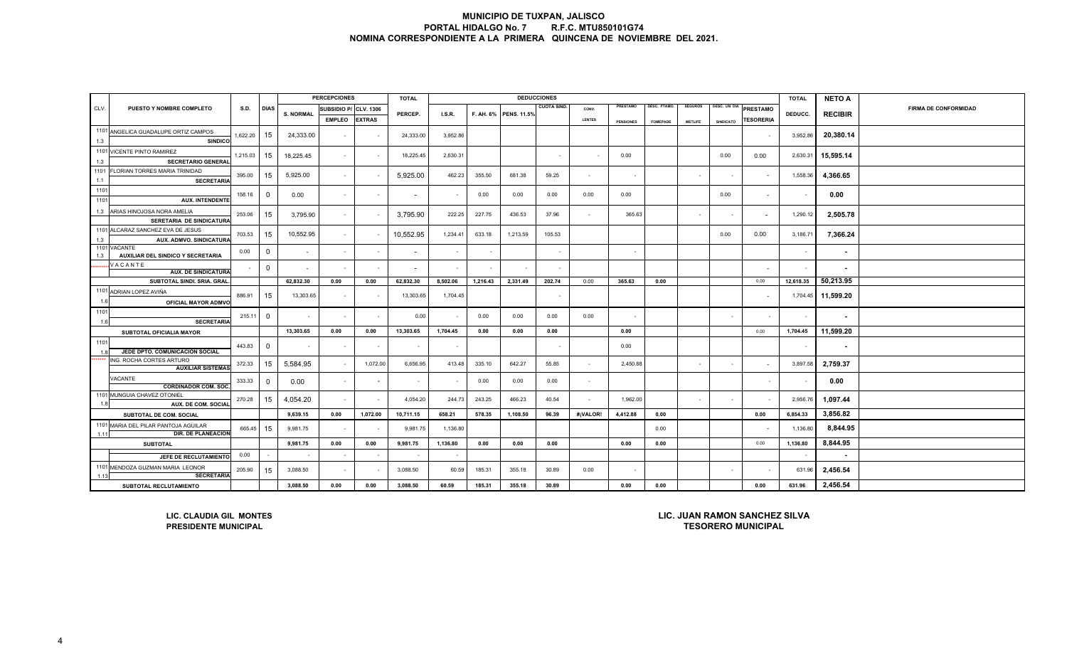|                                                                                                                                   |                                                                                                                      |          |             |                          | <b>PERCEPCIONES</b>      |                          | <b>TOTAL</b>   |                          |          |                       | <b>DEDUCCIONES</b> |                          |                  |                 |                |                  |                          | <b>TOTAL</b> | <b>NETO A</b>            |                             |
|-----------------------------------------------------------------------------------------------------------------------------------|----------------------------------------------------------------------------------------------------------------------|----------|-------------|--------------------------|--------------------------|--------------------------|----------------|--------------------------|----------|-----------------------|--------------------|--------------------------|------------------|-----------------|----------------|------------------|--------------------------|--------------|--------------------------|-----------------------------|
| CLV.                                                                                                                              | PUESTO Y NOMBRE COMPLETO                                                                                             | S.D.     | <b>DIAS</b> | <b>S. NORMAL</b>         | SUBSIDIO P/ CLV. 1306    |                          | PERCEP.        |                          |          | F. AH. 6% PENS. 11.5% | <b>CUOTA SIND</b>  | CONV.                    | PRESTAMO         | DESC. PTAMO.    | <b>SEGUROS</b> | DESC. UN DIA     | <b>PRESTAMO</b>          |              |                          | <b>FIRMA DE CONFORMIDAD</b> |
|                                                                                                                                   |                                                                                                                      |          |             |                          | <b>EMPLEO</b>            | <b>EXTRAS</b>            |                | <b>I.S.R.</b>            |          |                       |                    | <b>LENTES</b>            | <b>PENSIONES</b> | <b>FOMEPADE</b> | <b>METLIFE</b> | <b>SINDICATO</b> | <b>TESORERIA</b>         | DEDUCC.      | <b>RECIBIR</b>           |                             |
|                                                                                                                                   | 1101 ANGELICA GUADALUPE ORTIZ CAMPOS                                                                                 | 1,622.20 | 15          | 24,333.00                | $\overline{\phantom{a}}$ | $\sim$                   | 24,333.00      | 3,952.86                 |          |                       |                    |                          |                  |                 |                |                  | $\sim$                   | 3,952.86     | 20,380.14                |                             |
| 1.3                                                                                                                               | <b>SINDICO</b>                                                                                                       |          |             |                          |                          |                          |                |                          |          |                       |                    |                          |                  |                 |                |                  |                          |              |                          |                             |
|                                                                                                                                   | 1101 VICENTE PINTO RAMIREZ                                                                                           | 1,215.03 | 15          | 18,225.45                | $\sim$                   |                          | 18,225.45      | 2,630.31                 |          |                       |                    |                          | 0.00             |                 |                | 0.00             | 0.00                     | 2,630.31     | 15,595.14                |                             |
| 1.3                                                                                                                               | <b>SECRETARIO GENERAL</b>                                                                                            |          |             |                          |                          |                          |                |                          |          |                       |                    |                          |                  |                 |                |                  |                          |              |                          |                             |
| 1.1                                                                                                                               | 1101 FLORIAN TORRES MARIA TRINIDAD<br><b>SECRETARIA</b>                                                              | 395.00   | 15          | 5,925.00                 | $\overline{\phantom{a}}$ |                          | 5,925.00       | 462.23                   | 355.50   | 681.38                | 59.25              | $\sim$                   | $\sim$           |                 |                | $\sim$           | $\sim$                   | 1,558.36     | 4,366.65                 |                             |
| 1101                                                                                                                              |                                                                                                                      | 158.16   | $\mathbf 0$ | 0.00                     | $\sim$                   | $\sim$                   | $\overline{a}$ | $\sim$                   | 0.00     | 0.00                  | 0.00               | 0.00                     | 0.00             |                 |                | 0.00             | $\sim$                   | $\sim$       | 0.00                     |                             |
| 1101                                                                                                                              | <b>AUX. INTENDENTE</b>                                                                                               |          |             |                          |                          |                          |                |                          |          |                       |                    |                          |                  |                 |                |                  |                          |              |                          |                             |
|                                                                                                                                   | 1.3 ARIAS HINOJOSA NORA AMELIA                                                                                       | 253.06   | 15          | 3,795.90                 | $\sim$                   |                          | 3,795.90       | 222.25                   | 227.75   | 436.53                | 37.96              | $\blacksquare$           | 365.63           |                 |                | $\blacksquare$   | $\overline{\phantom{a}}$ | 1,290.12     | 2,505.78                 |                             |
|                                                                                                                                   | <b>SERETARIA DE SINDICATURA</b>                                                                                      |          |             |                          |                          |                          |                |                          |          |                       |                    |                          |                  |                 |                |                  |                          |              |                          |                             |
| 1.3                                                                                                                               | 1101 ALCARAZ SANCHEZ EVA DE JESUS<br>AUX. ADMVO. SINDICATURA                                                         | 703.53   | 15          | 10,552.95                | $\sim$                   |                          | 10,552.95      | 1,234.41                 | 633.18   | 1,213.59              | 105.53             |                          |                  |                 |                | 0.00             | 0.00                     | 3,186.71     | 7,366.24                 |                             |
| 1.3                                                                                                                               | 1101 VACANTE<br>AUXILIAR DEL SINDICO Y SECRETARIA                                                                    | 0.00     | $\mathbf 0$ | $\overline{\phantom{a}}$ | $\blacksquare$           |                          |                | $\blacksquare$           |          |                       |                    |                          |                  |                 |                |                  |                          |              | $\overline{\phantom{a}}$ |                             |
|                                                                                                                                   | <b>/ACANTE</b><br><b>AUX. DE SINDICATURA</b>                                                                         |          | $\mathbf 0$ |                          | $\overline{\phantom{a}}$ |                          |                | $\sim$                   | $\sim$   |                       |                    |                          |                  |                 |                |                  | $\sim$                   |              | $\overline{\phantom{a}}$ |                             |
|                                                                                                                                   | SUBTOTAL SINDI. SRIA. GRAL                                                                                           |          |             | 62,832.30                | 0.00                     | 0.00                     | 62,832.30      | 8,502.06                 | 1,216.43 | 2,331.49              | 202.74             | 0.00                     | 365.63           | 0.00            |                |                  | 0.00                     | 12,618.35    | 50,213.95                |                             |
| 1.6                                                                                                                               | 1101 ADRIAN LOPEZ AVIÑA<br>OFICIAL MAYOR ADMVO                                                                       | 886.91   | 15          | 13,303.65                | $\overline{\phantom{a}}$ |                          | 13,303.65      | 1,704.45                 |          |                       |                    |                          |                  |                 |                |                  |                          | 1,704.45     | 11,599.20                |                             |
| 1101                                                                                                                              |                                                                                                                      |          |             |                          |                          |                          |                |                          |          |                       |                    |                          |                  |                 |                |                  |                          |              |                          |                             |
| 1.6                                                                                                                               | <b>SECRETARIA</b>                                                                                                    | 215.11   | $\mathbf 0$ | $\sim$                   | $\sim$                   | $\sim$                   | 0.00           | $\sim$                   | 0.00     | 0.00                  | 0.00               | 0.00                     |                  |                 |                | $\sim$           | $\sim$                   | $\sim$       | $\overline{\phantom{a}}$ |                             |
|                                                                                                                                   | SUBTOTAL OFICIALIA MAYOR                                                                                             |          |             | 13,303.65                | 0.00                     | 0.00                     | 13,303.65      | 1,704.45                 | 0.00     | 0.00                  | 0.00               |                          | 0.00             |                 |                |                  | 0.00                     | 1,704.45     | 11,599.20                |                             |
| 1101<br>1.8                                                                                                                       | JEDE DPTO. COMUNICACIÓN SOCIAL                                                                                       | 443.83   | $\mathbf 0$ |                          | $\overline{\phantom{a}}$ |                          |                | $\overline{\phantom{a}}$ |          |                       |                    |                          | 0.00             |                 |                |                  |                          |              |                          |                             |
|                                                                                                                                   | NG. ROCHA CORTES ARTURO<br><b>AUXILIAR SISTEMAS</b>                                                                  | 372.33   | 15          | 5,584.95                 | $\overline{\phantom{a}}$ | 1,072.00                 | 6,656.95       | 413.48                   | 335.10   | 642.27                | 55.85              | $\overline{\phantom{a}}$ | 2,450.88         |                 |                | ٠                | $\sim$                   | 3,897.58     | 2,759.37                 |                             |
|                                                                                                                                   | <b><i>VACANTE</i></b><br><b>CORDINADOR COM. SOC.</b>                                                                 | 333.33   | $\mathbf 0$ | 0.00                     | $\overline{\phantom{a}}$ | $\overline{\phantom{a}}$ | $\overline{a}$ | $\sim$                   | 0.00     | 0.00                  | 0.00               | $\overline{\phantom{a}}$ |                  |                 |                |                  | $\sim$                   |              | 0.00                     |                             |
| 1.8                                                                                                                               | 1101 MUNGUIA CHAVEZ OTONIEL<br>AUX. DE COM. SOCIAL                                                                   | 270.28   | 15          | 4,054.20                 | $\blacksquare$           |                          | 4,054.20       | 244.73                   | 243.25   | 466.23                | 40.54              |                          | 1,962.00         |                 |                | $\sim$           |                          | 2,956.76     | 1,097.44                 |                             |
|                                                                                                                                   | SUBTOTAL DE COM. SOCIAL                                                                                              |          |             | 9,639.15                 | 0.00                     | 1,072.00                 | 10,711.15      | 658.21                   | 578.35   | 1,108.50              | 96.39              | #¡VALOR!                 | 4,412.88         | 0.00            |                |                  | 0.00                     | 6,854.33     | 3,856.82                 |                             |
| 1.11                                                                                                                              | 1101 MARIA DEL PILAR PANTOJA AGUILAR<br><b>DIR. DE PLANEACION</b>                                                    | 665.45   | 15          | 9,981.75                 | $\overline{\phantom{a}}$ |                          | 9,981.75       | 1,136.80                 |          |                       |                    |                          |                  | 0.00            |                |                  |                          | 1,136.80     | 8,844.95                 |                             |
|                                                                                                                                   | <b>SUBTOTAL</b>                                                                                                      |          |             | 9,981.75                 | 0.00                     | 0.00                     | 9,981.75       | 1,136.80                 | 0.00     | 0.00                  | 0.00               |                          | 0.00             | 0.00            |                |                  | 0.00                     | 1,136.80     | 8,844.95                 |                             |
|                                                                                                                                   | JEFE DE RECLUTAMIENTO                                                                                                | 0.00     |             | $\sim$                   | $\sim$                   | $\sim$                   | $\sim$         | $\sim$                   |          |                       |                    |                          |                  |                 |                |                  |                          | $\sim$       | $\blacksquare$           |                             |
|                                                                                                                                   | 1101 MENDOZA GUZMAN MARIA LEONOR                                                                                     | 205.90   | 15          | 3,088.50                 | $\sim$                   |                          | 3,088.50       | 60.59                    | 185.31   | 355.18                | 30.89              | 0.00                     |                  |                 |                | ٠                | $\overline{\phantom{a}}$ | 631.96       | 2,456.54                 |                             |
| <b>SECRETARIA</b><br>1.13<br>3,088.50<br>0.00<br>3,088.50<br>30.89<br>0.00<br>60.59<br>185.31<br>355.18<br>SUBTOTAL RECLUTAMIENTO |                                                                                                                      |          |             |                          |                          |                          |                |                          |          |                       |                    |                          |                  |                 |                |                  |                          |              |                          |                             |
|                                                                                                                                   |                                                                                                                      |          |             |                          |                          |                          |                |                          |          |                       |                    |                          | 0.00             | 0.00            |                |                  | 0.00                     | 631.96       | 2,456.54                 |                             |
|                                                                                                                                   | LIC. JUAN RAMON SANCHEZ SILVA<br>LIC. CLAUDIA GIL MONTES<br><b>TESORERO MUNICIPAL</b><br><b>PRESIDENTE MUNICIPAL</b> |          |             |                          |                          |                          |                |                          |          |                       |                    |                          |                  |                 |                |                  |                          |              |                          |                             |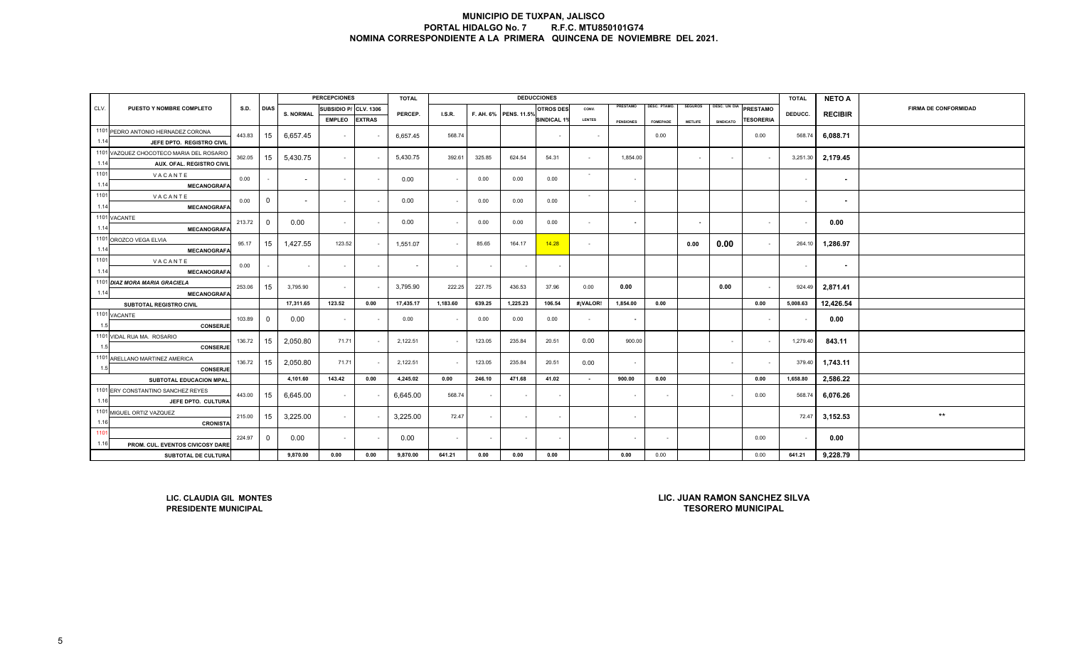|      |                                                          |        |                |                          | <b>PERCEPCIONES</b>   |               | <b>TOTAL</b> |          |        |                          | <b>DEDUCCIONES</b> |                          |                          |                 |                |                  |                               | <b>TOTAL</b> | <b>NETO A</b>  |                             |
|------|----------------------------------------------------------|--------|----------------|--------------------------|-----------------------|---------------|--------------|----------|--------|--------------------------|--------------------|--------------------------|--------------------------|-----------------|----------------|------------------|-------------------------------|--------------|----------------|-----------------------------|
| CLV. | PUESTO Y NOMBRE COMPLETO                                 | S.D.   | <b>DIAS</b>    | <b>S. NORMAL</b>         | SUBSIDIO P/ CLV. 1306 |               | PERCEP.      | LS.R.    |        | F. AH. 6% PENS. 11.5%    | <b>OTROS DES</b>   | CONV.                    | PRESTAMO                 | DESC. PTAMO.    | <b>SEGUROS</b> | DESC. UN DIA     | <b>PRESTAMO</b>               | DEDUCC.      | <b>RECIBIR</b> | <b>FIRMA DE CONFORMIDAD</b> |
|      |                                                          |        |                |                          | <b>EMPLEO</b>         | <b>EXTRAS</b> |              |          |        |                          | SINDICAL 1%        | <b>LENTES</b>            | <b>PENSIONES</b>         | <b>FOMEPADE</b> | <b>METLIFE</b> | <b>SINDICATO</b> | <b>TESORERIA</b>              |              |                |                             |
|      | 1101 PEDRO ANTONIO HERNADEZ CORONA                       | 443.83 | 15             | 6,657.45                 | $\sim$                |               | 6,657.45     | 568.74   |        |                          |                    |                          |                          | 0.00            |                |                  | 0.00                          | 568.74       | 6,088.71       |                             |
| 1.14 | JEFE DPTO. REGISTRO CIVIL                                |        |                |                          |                       |               |              |          |        |                          |                    |                          |                          |                 |                |                  |                               |              |                |                             |
|      | 1101 VAZQUEZ CHOCOTECO MARIA DEL ROSARIO                 | 362.05 | 15             | 5,430.75                 | $\sim$                |               | 5,430.75     | 392.61   | 325.85 | 624.54                   | 54.31              | $\sim$                   | 1,854.00                 |                 |                | $\sim$           | $\sim$                        | 3,251.30     | 2,179.45       |                             |
| 1.14 | AUX. OFAL. REGISTRO CIVIL                                |        |                |                          |                       |               |              |          |        |                          |                    |                          |                          |                 |                |                  |                               |              |                |                             |
| 1101 | VACANTE                                                  | 0.00   |                | $\sim$                   | $\sim$                | $\sim$        | 0.00         | $\sim$   | 0.00   | 0.00                     | 0.00               | $\sim$                   | $\sim$                   |                 |                |                  |                               | $\sim$       | $\sim$         |                             |
| 1.14 | <b>MECANOGRAFA</b>                                       |        |                |                          |                       |               |              |          |        |                          |                    |                          |                          |                 |                |                  |                               |              |                |                             |
| 1101 | VACANTE                                                  | 0.00   | $\mathbf 0$    | $\overline{\phantom{a}}$ | $\sim$                |               | 0.00         | $\sim$   | 0.00   | 0.00                     | 0.00               | $\sim$                   |                          |                 |                |                  |                               | $\sim$       | $\sim$         |                             |
| 1.14 | <b>MECANOGRAFA</b>                                       |        |                |                          |                       |               |              |          |        |                          |                    |                          |                          |                 |                |                  |                               |              |                |                             |
|      | 1101 VACANTE                                             | 213.72 | $\overline{0}$ | 0.00                     | $\sim$                |               | 0.00         | $\sim$   | 0.00   | 0.00                     | 0.00               | $\sim$                   | $\overline{\phantom{a}}$ |                 |                |                  | $\sim$                        | $\sim$       | 0.00           |                             |
| 1.14 | <b>MECANOGRAFA</b>                                       |        |                |                          |                       |               |              |          |        |                          |                    |                          |                          |                 |                |                  |                               |              |                |                             |
| 1.14 | 1101 OROZCO VEGA ELVIA<br><b>MECANOGRAFA</b>             | 95.17  | 15             | 1,427.55                 | 123.52                |               | 1,551.07     | $\sim$   | 85.65  | 164.17                   | 14.28              | $\sim$                   |                          |                 | 0.00           | 0.00             | $\sim$                        | 264.10       | 1,286.97       |                             |
| 1101 | VACANTE                                                  |        |                |                          |                       |               |              |          |        |                          |                    |                          |                          |                 |                |                  |                               |              |                |                             |
| 1.14 | <b>MECANOGRAFA</b>                                       | 0.00   |                | $\sim$                   | $\sim$                | $\sim$        | $\sim$       | $\sim$   | $\sim$ | $\overline{\phantom{a}}$ | $\sim$             |                          |                          |                 |                |                  |                               | $\sim$       | $\sim$         |                             |
|      | 1101 DIAZ MORA MARIA GRACIELA                            |        |                |                          |                       |               |              |          |        |                          |                    |                          |                          |                 |                |                  |                               |              |                |                             |
| 1.14 | <b>MECANOGRAFA</b>                                       | 253.06 | 15             | 3,795.90                 | $\sim$                |               | 3,795.90     | 222.25   | 227.75 | 436.53                   | 37.96              | 0.00                     | 0.00                     |                 |                | 0.00             | $\sim$                        | 924.49       | 2,871.41       |                             |
|      | SUBTOTAL REGISTRO CIVIL                                  |        |                | 17,311.65                | 123.52                | 0.00          | 17,435.17    | 1,183.60 | 639.25 | 1,225.23                 | 106.54             | #¡VALOR!                 | 1,854.00                 | 0.00            |                |                  | 0.00                          | 5,008.63     | 12,426.54      |                             |
|      | 1101 VACANTE                                             | 103.89 | $\mathbf 0$    | 0.00                     | $\sim$                |               | 0.00         | $\sim$   | 0.00   | 0.00                     | 0.00               | $\overline{\phantom{a}}$ | $\overline{\phantom{a}}$ |                 |                |                  | $\sim$                        |              | 0.00           |                             |
| 1.5  | CONSERJE                                                 |        |                |                          |                       |               |              |          |        |                          |                    |                          |                          |                 |                |                  |                               |              |                |                             |
|      | 1101 VIDAL RUA MA. ROSARIO                               | 136.72 | 15             | 2,050.80                 | 71.71                 |               | 2,122.51     | $\sim$   | 123.05 | 235.84                   | 20.51              | 0.00                     | 900.00                   |                 |                | $\sim$           | $\sim$                        | 1,279.40     | 843.11         |                             |
| 1.5  | CONSERJE                                                 |        |                |                          |                       |               |              |          |        |                          |                    |                          |                          |                 |                |                  |                               |              |                |                             |
|      | 1101 ARELLANO MARTINEZ AMERICA                           | 136.72 | 15             | 2,050.80                 | 71.71                 |               | 2,122.51     | $\sim$   | 123.05 | 235.84                   | 20.51              | 0.00                     | $\sim$                   |                 |                | $\sim$           | $\sim$                        | 379.40       | 1,743.11       |                             |
| 1.5  | <b>CONSERJE</b>                                          |        |                |                          | 143.42                | 0.00          |              | 0.00     | 246.10 | 471.68                   | 41.02              |                          | 900.00                   | 0.00            |                |                  | 0.00                          | 1,658.80     |                |                             |
|      | SUBTOTAL EDUCACION MPAL.                                 |        |                | 4,101.60                 |                       |               | 4,245.02     |          |        |                          |                    | $\sim$                   |                          |                 |                |                  |                               |              | 2,586.22       |                             |
| 1.16 | 1101 ERY CONSTANTINO SANCHEZ REYES<br>JEFE DPTO. CULTURA | 443.00 | 15             | 6,645.00                 | $\sim$                |               | 6,645.00     | 568.74   | $\sim$ | $\sim$                   | $\sim$             |                          | $\sim$                   | $\sim$          |                | $\sim$           | 0.00                          | 568.74       | 6,076.26       |                             |
|      | 1101 MIGUEL ORTIZ VAZQUEZ                                |        |                |                          |                       |               |              |          |        |                          |                    |                          |                          |                 |                |                  |                               |              |                |                             |
| 1.16 | <b>CRONISTA</b>                                          | 215.00 | 15             | 3,225.00                 | $\sim$                |               | 3,225.00     | 72.47    | $\sim$ | $\sim$                   | $\sim$             |                          | $\sim$                   |                 |                |                  |                               | 72.47        | 3,152.53       | $***$                       |
| 1101 |                                                          |        |                |                          |                       |               |              |          |        |                          |                    |                          |                          |                 |                |                  |                               |              |                |                             |
| 1.16 | PROM. CUL. EVENTOS CIVICOSY DARE                         | 224.97 | $\overline{0}$ | 0.00                     | $\sim$                |               | 0.00         | $\sim$   |        | $\sim$                   |                    |                          | $\sim$                   | $\sim$          |                |                  | 0.00                          | $\sim$       | 0.00           |                             |
|      | SUBTOTAL DE CULTURA                                      |        |                | 9.870.00                 | 0.00                  | 0.00          | 9,870.00     | 641.21   | 0.00   | 0.00                     | 0.00               |                          | 0.00                     | 0.00            |                |                  | 0.00                          | 641.21       | 9,228.79       |                             |
|      |                                                          |        |                |                          |                       |               |              |          |        |                          |                    |                          |                          |                 |                |                  |                               |              |                |                             |
|      |                                                          |        |                |                          |                       |               |              |          |        |                          |                    |                          |                          |                 |                |                  |                               |              |                |                             |
|      | LIC. CLAUDIA GIL MONTES                                  |        |                |                          |                       |               |              |          |        |                          |                    |                          |                          |                 |                |                  | LIC. JUAN RAMON SANCHEZ SILVA |              |                |                             |
|      | <b>PRESIDENTE MUNICIPAL</b>                              |        |                |                          |                       |               |              |          |        |                          |                    |                          |                          |                 |                |                  | <b>TESORERO MUNICIPAL</b>     |              |                |                             |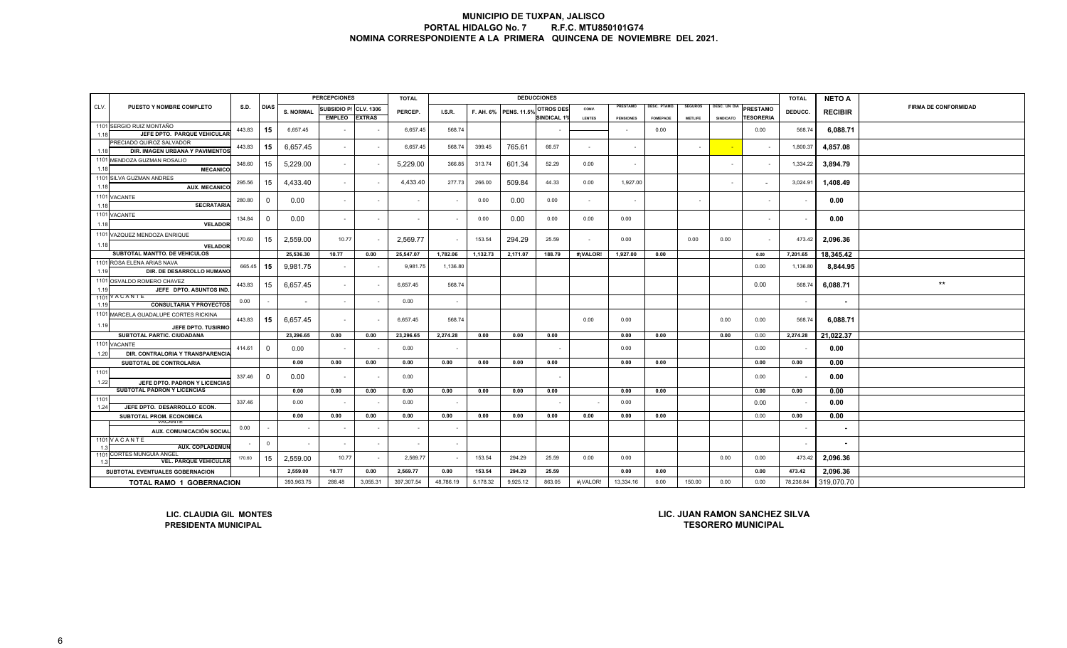|              |                                                                                                                                                                                             |        |                |                          | <b>PERCEPCIONES</b>      |      | <b>TOTAL</b>  |                |          |                       | <b>DEDUCCIONES</b> |                          |                 |                |                  |                        |                 | <b>TOTAL</b> | <b>NETO A</b>            |                             |
|--------------|---------------------------------------------------------------------------------------------------------------------------------------------------------------------------------------------|--------|----------------|--------------------------|--------------------------|------|---------------|----------------|----------|-----------------------|--------------------|--------------------------|-----------------|----------------|------------------|------------------------|-----------------|--------------|--------------------------|-----------------------------|
| CLV.         | <b>PUESTO Y NOMBRE COMPLETO</b>                                                                                                                                                             | S.D.   | <b>DIAS</b>    | <b>S. NORMAL</b>         | SUBSIDIO P/ CLV. 1306    |      | <b>PERCEP</b> | LS.R.          |          | F. AH. 6% PENS. 11.59 | <b>OTROS DES</b>   | CONV.                    | PRESTAMO        | DESC. PTAMO.   | <b>SEGUROS</b>   | DESC. UN DIA           | <b>PRESTAMO</b> | DEDUCC.      | <b>RECIBIR</b>           | <b>FIRMA DE CONFORMIDAD</b> |
|              |                                                                                                                                                                                             |        |                | <b>EMPLEO</b>            | <b>EXTRAS</b>            |      |               |                |          | <b>SINDICAL 1%</b>    | <b>LENTES</b>      | <b>PENSIONES</b>         | <b>FOMEPADE</b> | <b>METLIFE</b> | <b>SINDICATO</b> | <b><i>ESORERIA</i></b> |                 |              |                          |                             |
| 1.18         | 1101 SERGIO RUIZ MONTAÑO<br>JEFE DPTO. PARQUE VEHICULAR                                                                                                                                     | 443.83 | 15             | 6,657.45                 | $\overline{\phantom{a}}$ |      | 6,657.45      | 568.74         |          |                       |                    |                          |                 | 0.00           |                  |                        | 0.00            | 568.74       | 6,088.71                 |                             |
| 1.18         | PRECIADO QUIROZ SALVADOR<br>DIR. IMAGEN URBANA Y PAVIMENTOS                                                                                                                                 | 443.83 | 15             | 6,657.45                 | $\sim$                   |      | 6,657.45      | 568.74         | 399.45   | 765.61                | 66.57              |                          |                 |                |                  |                        |                 | 1,800.37     | 4,857.08                 |                             |
| 1.18         | 1101 MENDOZA GUZMAN ROSALIO<br><b>MECANICO</b>                                                                                                                                              | 348.60 | 15             | 5,229.00                 | $\sim$                   |      | 5,229.00      | 366.85         | 313.74   | 601.34                | 52.29              | 0.00                     |                 |                |                  | $\sim$                 | $\sim$          | 1,334.22     | 3,894.79                 |                             |
| 1.18         | 1101 SILVA GUZMAN ANDRES<br><b>AUX. MECANICO</b>                                                                                                                                            | 295.56 | 15             | 4,433.40                 | $\sim$                   |      | 4,433.40      | 277.73         | 266.00   | 509.84                | 44.33              | 0.00                     | 1,927.00        |                |                  | $\sim$                 |                 | 3,024.91     | 1,408.49                 |                             |
|              | 1101 VACANTE                                                                                                                                                                                | 280.80 | $\mathbf 0$    | 0.00                     | $\sim$                   |      | $\sim$        | $\sim$         | 0.00     | 0.00                  | 0.00               | $\overline{\phantom{a}}$ | $\sim$          |                |                  |                        | $\sim$          | $\sim$       | 0.00                     |                             |
| 1.18         | <b>SECRATARIA</b><br>1101 VACANTE                                                                                                                                                           |        |                |                          |                          |      |               |                |          |                       |                    |                          |                 |                |                  |                        |                 |              |                          |                             |
| 1.18         | <b>VELADOR</b>                                                                                                                                                                              | 134.84 | $\Omega$       | 0.00                     | $\sim$                   |      |               | $\sim$         | 0.00     | 0.00                  | 0.00               | 0.00                     | 0.00            |                |                  |                        | $\blacksquare$  |              | 0.00                     |                             |
| 1.18         | 1101 VAZQUEZ MENDOZA ENRIQUE<br><b>VELADOR</b>                                                                                                                                              | 170.60 | 15             | 2,559.00                 | 10.77                    |      | 2,569.77      | $\sim$         | 153.54   | 294.29                | 25.59              | $\sim$                   | 0.00            |                | 0.00             | 0.00                   | $\sim$          | 473.42       | 2,096.36                 |                             |
|              | SUBTOTAL MANTTO. DE VEHICULOS                                                                                                                                                               |        |                | 25,536.30                | 10.77                    | 0.00 | 25,547.07     | 1,782.06       | 1,132.73 | 2,171.07              | 188.79             | #¡VALOR!                 | 1,927.00        | 0.00           |                  |                        | 0.00            | 7,201.65     | 18,345.42                |                             |
| 1.19         | 1101 ROSA ELENA ARIAS NAVA<br>DIR. DE DESARROLLO HUMANO                                                                                                                                     | 665.45 | 15             | 9,981.75                 | $\sim$                   |      | 9,981.75      | 1,136.80       |          |                       |                    |                          |                 |                |                  |                        | 0.00            | 1,136.80     | 8,844.95                 |                             |
| 1.19         | 1101 OSVALDO ROMERO CHAVEZ<br>JEFE DPTO. ASUNTOS IND                                                                                                                                        | 443.83 | 15             | 6,657.45                 | $\sim$                   |      | 6,657.45      | 568.74         |          |                       |                    |                          |                 |                |                  |                        | 0.00            | 568.74       | 6,088.71                 | $\star\star$                |
| 1.19         | 1101 VACANTE<br><b>CONSULTARIA Y PROYECTOS</b>                                                                                                                                              | 0.00   |                | $\overline{\phantom{a}}$ | $\sim$                   |      | 0.00          | $\sim$         |          |                       |                    |                          |                 |                |                  |                        |                 | $\sim$       | $\overline{\phantom{a}}$ |                             |
| 1.19         | 1101 MARCELA GUADALUPE CORTES RICKINA                                                                                                                                                       | 443.83 | 15             | 6,657.45                 | $\sim$                   |      | 6,657.45      | 568.74         |          |                       |                    | 0.00                     | 0.00            |                |                  | 0.00                   | 0.00            | 568.74       | 6,088.71                 |                             |
|              | JEFE DPTO. TUSIRMO<br>SUBTOTAL PARTIC. CIUDADANA                                                                                                                                            |        |                | 23,296.65                | 0.00                     | 0.00 | 23,296.65     | 2,274.28       | 0.00     | 0.00                  | 0.00               |                          |                 | 0.00           |                  | 0.00                   | 0.00            | 2,274.28     | 21,022.37                |                             |
|              | 1101 VACANTE                                                                                                                                                                                |        |                |                          |                          |      |               |                |          |                       |                    |                          | 0.00            |                |                  |                        |                 |              |                          |                             |
| 1.20         | DIR. CONTRALORIA Y TRANSPARENCIA                                                                                                                                                            | 414.61 | $\mathbf 0$    | 0.00                     | $\sim$                   |      | 0.00          | $\blacksquare$ |          |                       |                    |                          | 0.00            |                |                  |                        | 0.00            |              | 0.00                     |                             |
|              | SUBTOTAL DE CONTROLARIA                                                                                                                                                                     |        |                | 0.00                     | 0.00                     | 0.00 | 0.00          | 0.00           | 0.00     | 0.00                  | 0.00               |                          | 0.00            | 0.00           |                  |                        | 0.00            | 0.00         | 0.00                     |                             |
| 1101<br>1.22 | JEFE DPTO, PADRON Y LICENCIAS                                                                                                                                                               | 337.46 | $\mathbf 0$    | 0.00                     | $\sim$                   |      | 0.00          |                |          |                       |                    |                          |                 |                |                  |                        | 0.00            |              | 0.00                     |                             |
|              | <b>SUBTOTAL PADRON Y LICENCIAS</b>                                                                                                                                                          |        |                | 0.00                     | 0.00                     | 0.00 | 0.00          | 0.00           | 0.00     | 0.00                  | 0.00               |                          | 0.00            | 0.00           |                  |                        | 0.00            | 0.00         | 0.00                     |                             |
| 1101<br>1.24 | JEFE DPTO. DESARROLLO ECON.                                                                                                                                                                 | 337.46 |                | 0.00                     | $\sim$                   |      | 0.00          | $\sim$         |          |                       |                    |                          | 0.00            |                |                  |                        | 0.00            |              | 0.00                     |                             |
|              | SUBTOTAL PROM. ECONOMICA<br>VACANIE                                                                                                                                                         |        |                | 0.00                     | 0.00                     | 0.00 | 0.00          | 0.00           | 0.00     | 0.00                  | 0.00               | 0.00                     | 0.00            | 0.00           |                  |                        | 0.00            | 0.00         | 0.00                     |                             |
|              | AUX. COMUNICACIÓN SOCIAL                                                                                                                                                                    | 0.00   |                |                          | $\overline{\phantom{a}}$ |      |               | $\sim$         |          |                       |                    |                          |                 |                |                  |                        |                 |              | $\overline{\phantom{a}}$ |                             |
|              | 1101 VACANTE<br><b>AUX. COPLADEMUN</b><br>1101 CORTES MUNGUIA ANGEL                                                                                                                         |        | $\overline{0}$ |                          | $\overline{\phantom{a}}$ |      |               |                |          |                       |                    |                          |                 |                |                  |                        |                 |              |                          |                             |
| 1.3          | <b>VEL. PARQUE VEHICULAR</b>                                                                                                                                                                | 170.60 | 15             | 2,559.00                 | 10.77                    |      | 2,569.77      | $\sim$         | 153.54   | 294.29                | 25.59              | 0.00                     | 0.00            |                |                  | 0.00                   | 0.00            | 473.42       | 2,096.36                 |                             |
|              | 25.59<br>2,559.00<br>10.77<br>0.00<br>2,569.77<br>0.00<br>153.54<br>294.29<br>0.00<br>0.00<br>0.00<br>SUBTOTAL EVENTUALES GOBERNACION                                                       |        |                |                          |                          |      |               |                |          |                       |                    |                          |                 | 473.42         | 2,096.36         |                        |                 |              |                          |                             |
|              | <b>TOTAL RAMO 1 GOBERNACION</b><br>393.963.75<br>288.48<br>3,055.31<br>397,307.54<br>48,786.19<br>5,178.32<br>9,925.12<br>#¡VALOR!<br>13,334.16<br>0.00<br>150.00<br>863.05<br>0.00<br>0.00 |        |                |                          |                          |      |               |                |          |                       |                    |                          |                 | 78.236.84      | 319,070.70       |                        |                 |              |                          |                             |
|              | LIC. JUAN RAMON SANCHEZ SILVA<br>LIC. CLAUDIA GIL MONTES                                                                                                                                    |        |                |                          |                          |      |               |                |          |                       |                    |                          |                 |                |                  |                        |                 |              |                          |                             |

**LIC. CLAUDIA GIL MONTESPRESIDENTA MUNICIPAL**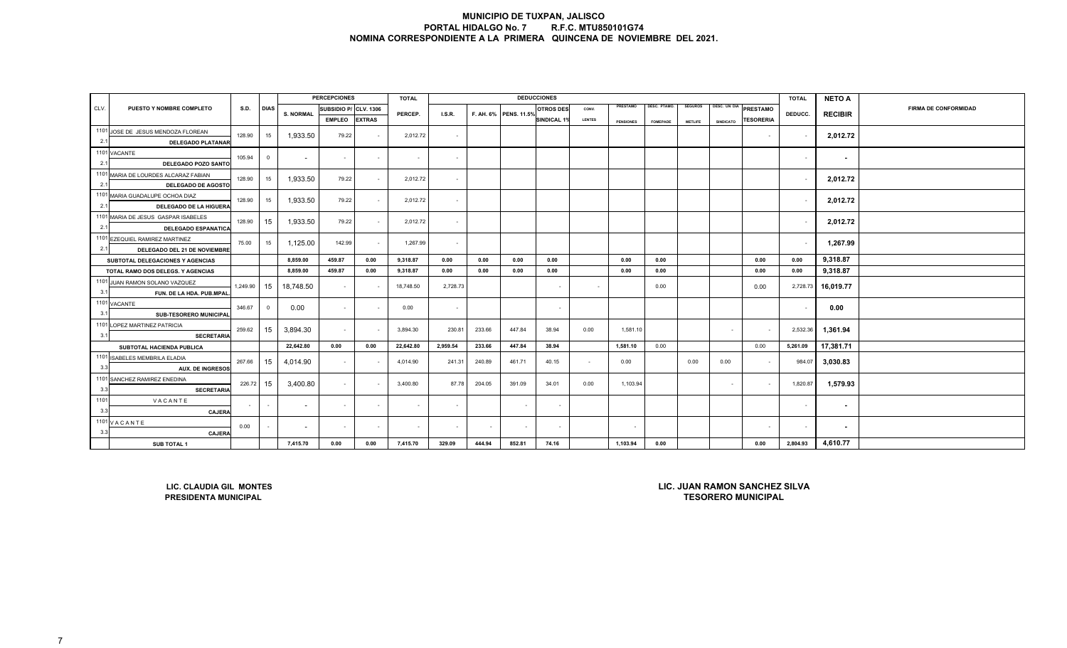|      |                                                                                                                      |                  |                |               | <b>PERCEPCIONES</b>   |        | <b>TOTAL</b> |                       |                    |               | <b>DEDUCCIONES</b> |                 |                |                  |                  |                     |                          | <b>TOTAL</b> | <b>NETO A</b> |                             |
|------|----------------------------------------------------------------------------------------------------------------------|------------------|----------------|---------------|-----------------------|--------|--------------|-----------------------|--------------------|---------------|--------------------|-----------------|----------------|------------------|------------------|---------------------|--------------------------|--------------|---------------|-----------------------------|
| CLV. | PUESTO Y NOMBRE COMPLETO                                                                                             | S.D.             | <b>DIAS</b>    |               | SUBSIDIO P/ CLV. 1306 |        |              |                       |                    |               | <b>OTROS DES</b>   | CONV.           | PRESTAMO       | DESC. PTAMO.     | <b>SEGUROS</b>   | <b>DESC. UN DIA</b> | PRESTAMO                 |              |               | <b>FIRMA DE CONFORMIDAD</b> |
|      |                                                                                                                      | <b>S. NORMAL</b> | <b>EMPLEO</b>  | <b>EXTRAS</b> | PERCEP.               | I.S.R. |              | F. AH. 6% PENS. 11.5% | <b>SINDICAL 1%</b> | <b>LENTES</b> | <b>PENSIONES</b>   | <b>FOMEPADE</b> | <b>METLIFE</b> | <b>SINDICATO</b> | <b>TESORERIA</b> | DEDUCC.             | <b>RECIBIR</b>           |              |               |                             |
|      | 1101 JOSE DE JESUS MENDOZA FLOREAN                                                                                   | 128.90           | 15             | 1,933.50      | 79.22                 |        | 2,012.72     | $\blacksquare$        |                    |               |                    |                 |                |                  |                  |                     | $\overline{\phantom{a}}$ |              | 2,012.72      |                             |
| 2.1  | <b>DELEGADO PLATANAR</b>                                                                                             |                  |                |               |                       |        |              |                       |                    |               |                    |                 |                |                  |                  |                     |                          |              |               |                             |
|      | 1101 VACANTE                                                                                                         | 105.94           | $\overline{0}$ | $\sim$        | $\sim$                | $\sim$ | $\sim$       | $\sim$                |                    |               |                    |                 |                |                  |                  |                     |                          | $\sim$       | ٠             |                             |
| 2.1  | DELEGADO POZO SANTO                                                                                                  |                  |                |               |                       |        |              |                       |                    |               |                    |                 |                |                  |                  |                     |                          |              |               |                             |
|      | 1101 MARIA DE LOURDES ALCARAZ FABIAN                                                                                 | 128.90           | 15             | 1,933.50      | 79.22                 | $\sim$ | 2,012.72     | $\sim$                |                    |               |                    |                 |                |                  |                  |                     |                          | $\sim$       | 2,012.72      |                             |
| 2.1  | DELEGADO DE AGOSTO                                                                                                   |                  |                |               |                       |        |              |                       |                    |               |                    |                 |                |                  |                  |                     |                          |              |               |                             |
| 2.1  | 1101 MARIA GUADALUPE OCHOA DIAZ<br>DELEGADO DE LA HIGUERA                                                            | 128.90           | 15             | 1,933.50      | 79.22                 | $\sim$ | 2,012.72     | $\sim$                |                    |               |                    |                 |                |                  |                  |                     |                          | $\sim$       | 2,012.72      |                             |
|      | 1101 MARIA DE JESUS GASPAR ISABELES                                                                                  |                  |                |               |                       |        |              |                       |                    |               |                    |                 |                |                  |                  |                     |                          |              |               |                             |
| 2.1  | <b>DELEGADO ESPANATICA</b>                                                                                           | 128.90           | 15             | 1,933.50      | 79.22                 | $\sim$ | 2,012.72     | $\sim$                |                    |               |                    |                 |                |                  |                  |                     |                          | $\sim$       | 2,012.72      |                             |
|      | 1101 EZEQUIEL RAMIREZ MARTINEZ                                                                                       | 75.00            | 15             | 1,125.00      | 142.99                | $\sim$ | 1,267.99     | $\sim$                |                    |               |                    |                 |                |                  |                  |                     |                          | $\sim$       | 1,267.99      |                             |
| 2.1  | DELEGADO DEL 21 DE NOVIEMBRE                                                                                         |                  |                |               |                       |        |              |                       |                    |               |                    |                 |                |                  |                  |                     |                          |              |               |                             |
|      | SUBTOTAL DELEGACIONES Y AGENCIAS                                                                                     |                  |                | 8,859.00      | 459.87                | 0.00   | 9,318.87     | 0.00                  | 0.00               | 0.00          | 0.00               |                 | 0.00           | 0.00             |                  |                     | 0.00                     | 0.00         | 9,318.87      |                             |
|      | TOTAL RAMO DOS DELEGS. Y AGENCIAS                                                                                    |                  |                | 8,859.00      | 459.87                | 0.00   | 9,318.87     | 0.00                  | 0.00               | 0.00          | 0.00               |                 | 0.00           | 0.00             |                  |                     | 0.00                     | 0.00         | 9,318.87      |                             |
| 3.1  | 1101 JUAN RAMON SOLANO VAZQUEZ                                                                                       | 1,249.90         | 15             | 18,748.50     | $\sim$                |        | 18,748.50    | 2,728.73              |                    |               | $\sim$             | $\sim$          |                | 0.00             |                  |                     | 0.00                     | 2,728.73     | 16,019.77     |                             |
|      | FUN. DE LA HDA. PUB.MPAL.                                                                                            |                  |                |               |                       |        |              |                       |                    |               |                    |                 |                |                  |                  |                     |                          |              |               |                             |
| 3.1  | 1101 VACANTE<br><b>SUB-TESORERO MUNICIPAL</b>                                                                        | 346.67           | $\overline{0}$ | 0.00          | $\sim$                |        | 0.00         | $\sim$                |                    |               |                    |                 |                |                  |                  |                     |                          |              | 0.00          |                             |
|      | 1101 LOPEZ MARTINEZ PATRICIA                                                                                         | 259.62           | 15             | 3,894.30      | $\sim$                |        | 3,894.30     | 230.81                | 233.66             | 447.84        | 38.94              | 0.00            | 1,581.10       |                  |                  | $\sim$              |                          | 2,532.36     | 1,361.94      |                             |
| 3.1  | <b>SECRETARIA</b>                                                                                                    |                  |                |               |                       |        |              |                       |                    |               |                    |                 |                |                  |                  |                     |                          |              |               |                             |
|      | SUBTOTAL HACIENDA PUBLICA                                                                                            |                  |                | 22,642.80     | 0.00                  | 0.00   | 22,642.80    | 2,959.54              | 233.66             | 447.84        | 38.94              |                 | 1,581.10       | 0.00             |                  |                     | 0.00                     | 5,261.09     | 17,381.71     |                             |
|      | 1101 ISABELES MEMBRILA ELADIA                                                                                        | 267.66           | 15             | 4,014.90      | $\sim$                |        | 4,014.90     | 241.31                | 240.89             | 461.71        | 40.15              | $\sim$          | 0.00           |                  | 0.00             | 0.00                |                          | 984.07       | 3,030.83      |                             |
| 3.3  | <b>AUX. DE INGRESOS</b>                                                                                              |                  |                |               |                       |        |              |                       |                    |               |                    |                 |                |                  |                  |                     |                          |              |               |                             |
| 3.3  | 1101 SANCHEZ RAMIREZ ENEDINA<br><b>SECRETARIA</b>                                                                    | 226.72 15        |                | 3,400.80      | $\sim$                |        | 3,400.80     | 87.78                 | 204.05             | 391.09        | 34.01              | 0.00            | 1,103.94       |                  |                  | $\sim$              | $\overline{\phantom{a}}$ | 1,820.87     | 1,579.93      |                             |
| 1101 | VACANTE                                                                                                              |                  |                |               |                       |        |              |                       |                    |               |                    |                 |                |                  |                  |                     |                          |              |               |                             |
| 3.3  | <b>CAJERA</b>                                                                                                        |                  | $\sim$         | $\sim$        | $\sim$                | $\sim$ | $\sim$       | $\sim$                |                    | $\sim$        | $\sim$             |                 |                |                  |                  |                     |                          | $\sim$       | $\sim$        |                             |
|      | 1101 VACANTE                                                                                                         | 0.00             | $\sim$         | $\sim$        | $\sim$                | $\sim$ | $\sim$       | $\sim$                |                    | $\sim$        | $\sim$             |                 | $\sim$         |                  |                  |                     | $\sim$                   | $\sim$       | $\sim$        |                             |
| 3.3  | <b>CAJERA</b>                                                                                                        |                  |                |               |                       |        |              |                       |                    |               |                    |                 |                |                  |                  |                     |                          |              |               |                             |
|      | <b>SUB TOTAL 1</b>                                                                                                   |                  |                | 7,415.70      | 0.00                  | 0.00   | 7,415.70     | 329.09                | 444.94             | 852.81        | 74.16              |                 | 1,103.94       | 0.00             |                  |                     | 0.00                     | 2,804.93     | 4,610.77      |                             |
|      | LIC. JUAN RAMON SANCHEZ SILVA<br>LIC. CLAUDIA GIL MONTES<br><b>TESORERO MUNICIPAL</b><br><b>PRESIDENTA MUNICIPAL</b> |                  |                |               |                       |        |              |                       |                    |               |                    |                 |                |                  |                  |                     |                          |              |               |                             |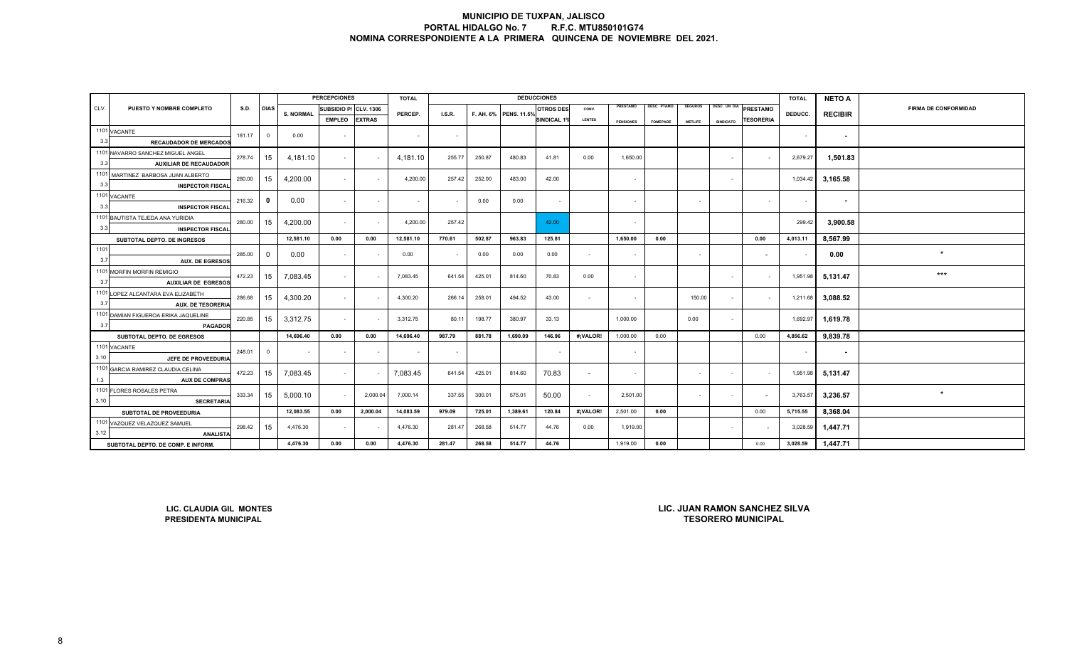|      |                                                                                                                      |        |                |                  | <b>PERCEPCIONES</b>      |               | <b>TOTAL</b> |        |                    |                       | <b>DEDUCCIONES</b> |                 |                          |                     |                  |              |                          | <b>TOTAL</b> | <b>NETO A</b> |                             |
|------|----------------------------------------------------------------------------------------------------------------------|--------|----------------|------------------|--------------------------|---------------|--------------|--------|--------------------|-----------------------|--------------------|-----------------|--------------------------|---------------------|------------------|--------------|--------------------------|--------------|---------------|-----------------------------|
| CLV. | PUESTO Y NOMBRE COMPLETO                                                                                             | S.D.   | <b>DIAS</b>    | <b>S. NORMAL</b> | SUBSIDIO P/ CLV. 1306    |               | PERCEP.      |        |                    | F. AH. 6% PENS. 11.5% | <b>OTROS DES</b>   | CONV.           | PRESTAMO                 | <b>DESC. PTAMO.</b> | <b>SEGUROS</b>   | DESC. UN DIA | PRESTAMO                 | DEDUCC.      |               | <b>FIRMA DE CONFORMIDAD</b> |
|      |                                                                                                                      |        | <b>EMPLEO</b>  | <b>EXTRAS</b>    |                          | <b>I.S.R.</b> |              |        | <b>SINDICAL 1%</b> | <b>LENTES</b>         | <b>PENSIONES</b>   | <b>FOMEPADE</b> | <b>METLIFE</b>           | <b>SINDICATO</b>    | <b>TESORERIA</b> |              | <b>RECIBIR</b>           |              |               |                             |
|      | 1101 VACANTE                                                                                                         | 181.17 | $\overline{0}$ | 0.00             | $\sim$                   |               | $\sim$       | $\sim$ |                    |                       |                    |                 |                          |                     |                  |              |                          | $\sim$       | $\sim$        |                             |
| 3.3  | <b>RECAUDADOR DE MERCADOS</b>                                                                                        |        |                |                  |                          |               |              |        |                    |                       |                    |                 |                          |                     |                  |              |                          |              |               |                             |
|      | 1101 NAVARRO SANCHEZ MIGUEL ANGEL                                                                                    | 278.74 | 15             | 4,181.10         | $\sim$                   |               | 4,181.10     | 255.77 | 250.87             | 480.83                | 41.81              | 0.00            | 1,650.00                 |                     |                  | $\sim$       |                          | 2,679.27     | 1,501.83      |                             |
| 3.3  | <b>AUXILIAR DE RECAUDADOR</b>                                                                                        |        |                |                  |                          |               |              |        |                    |                       |                    |                 |                          |                     |                  |              |                          |              |               |                             |
|      | 1101 MARTINEZ BARBOSA JUAN ALBERTO                                                                                   | 280.00 | 15             | 4,200.00         | $\sim$                   |               | 4,200.00     | 257.42 | 252.00             | 483.00                | 42.00              |                 | $\overline{\phantom{a}}$ |                     |                  | $\sim$       |                          | 1,034.42     | 3,165.58      |                             |
| 3.3  | <b>INSPECTOR FISCAL</b>                                                                                              |        |                |                  |                          |               |              |        |                    |                       |                    |                 |                          |                     |                  |              |                          |              |               |                             |
|      | 1101 VACANTE                                                                                                         | 216.32 | $\mathbf{0}$   | 0.00             | $\sim$                   | $\sim$        | $\sim$       | $\sim$ | 0.00               | 0.00                  | $\sim$             |                 | $\sim$                   |                     |                  |              | $\overline{\phantom{a}}$ | $\sim$       | $\sim$        |                             |
| 3.3  | <b>INSPECTOR FISCAL</b>                                                                                              |        |                |                  |                          |               |              |        |                    |                       |                    |                 |                          |                     |                  |              |                          |              |               |                             |
|      | 1101 BAUTISTA TEJEDA ANA YURIDIA                                                                                     | 280.00 | 15             | 4,200.00         | $\sim$                   | $\sim$        | 4,200.00     | 257.42 |                    |                       | 42.00              |                 | $\sim$                   |                     |                  |              |                          | 299.42       | 3,900.58      |                             |
| 3.3  | <b>INSPECTOR FISCAL</b>                                                                                              |        |                |                  |                          |               |              |        |                    |                       |                    |                 |                          |                     |                  |              |                          |              |               |                             |
|      | SUBTOTAL DEPTO. DE INGRESOS                                                                                          |        |                | 12,581.10        | 0.00                     | 0.00          | 12,581.10    | 770.61 | 502.87             | 963.83                | 125.81             |                 | 1,650.00                 | 0.00                |                  |              | 0.00                     | 4,013.11     | 8,567.99      |                             |
| 1101 |                                                                                                                      | 285.00 | $\overline{0}$ | 0.00             | $\blacksquare$           |               | 0.00         | $\sim$ | 0.00               | 0.00                  | 0.00               | $\sim$          |                          |                     |                  |              |                          |              | 0.00          | $\star$                     |
| 3.7  | <b>AUX. DE EGRESOS</b>                                                                                               |        |                |                  |                          |               |              |        |                    |                       |                    |                 |                          |                     |                  |              |                          |              |               |                             |
| 3.7  | 1101 MORFIN MORFIN REMIGIO<br><b>AUXILIAR DE EGRESOS</b>                                                             | 472.23 | 15             | 7,083.45         | $\sim$                   |               | 7,083.45     | 641.54 | 425.01             | 814.60                | 70.83              | 0.00            | $\sim$                   |                     |                  | $\sim$       | $\sim$                   | 1,951.98     | 5,131.47      | $***$                       |
|      | 1101 LOPEZ ALCANTARA EVA ELIZABETH                                                                                   |        |                |                  |                          |               |              |        |                    |                       |                    |                 |                          |                     |                  |              |                          |              |               |                             |
| 3.7  | <b>AUX. DE TESORERIA</b>                                                                                             | 286.68 | 15             | 4,300.20         | $\sim$                   |               | 4,300.20     | 266.14 | 258.01             | 494.52                | 43.00              | $\sim$          | $\sim$                   |                     | 150.00           | $\sim$       | $\sim$                   | 1,211.68     | 3,088.52      |                             |
|      | 1101 DAMIAN FIGUEROA ERIKA JAQUELINE                                                                                 |        |                |                  |                          |               |              |        |                    |                       |                    |                 |                          |                     |                  |              |                          |              |               |                             |
| 3.7  | <b>PAGADOR</b>                                                                                                       | 220.85 | 15             | 3,312.75         | $\sim$                   |               | 3,312.75     | 80.11  | 198.77             | 380.97                | 33.13              |                 | 1,000.00                 |                     | 0.00             | $\sim$       |                          | 1,692.97     | 1,619.78      |                             |
|      | SUBTOTAL DEPTO. DE EGRESOS                                                                                           |        |                | 14,696.40        | 0.00                     | 0.00          | 14,696.40    | 987.79 | 881.78             | 1,690.09              | 146.96             | #¡VALOR!        | 1,000.00                 | 0.00                |                  |              | 0.00                     | 4,856.62     | 9,839.78      |                             |
|      | 1101 VACANTE                                                                                                         |        |                |                  |                          |               |              |        |                    |                       |                    |                 |                          |                     |                  |              |                          |              |               |                             |
| 3.10 | JEFE DE PROVEEDURIA                                                                                                  | 248.01 | $\overline{0}$ | $\sim$           | $\overline{\phantom{a}}$ | $\sim$        | $\sim$       | $\sim$ |                    |                       | $\sim$             |                 | $\sim$                   |                     |                  |              |                          | $\sim$       | $\sim$        |                             |
|      | 1101 GARCIA RAMIREZ CLAUDIA CELINA                                                                                   | 472.23 | 15             | 7,083.45         | $\sim$                   |               | 7,083.45     | 641.54 | 425.01             | 814.60                | 70.83              | $\sim$          | $\sim$                   |                     | $\sim$           | $\sim$       | $\overline{\phantom{a}}$ | 1,951.98     |               |                             |
| 1.3  | <b>AUX DE COMPRAS</b>                                                                                                |        |                |                  |                          |               |              |        |                    |                       |                    |                 |                          |                     |                  |              |                          |              | 5,131.47      |                             |
|      | 1101 FLORES ROSALES PETRA                                                                                            | 333.34 | 15             | 5,000.10         | $\sim$                   | 2,000.04      | 7,000.14     | 337.55 | 300.01             | 575.01                | 50.00              | $\sim$          | 2,501.00                 |                     |                  | $\sim$       |                          | 3,763.57     | 3,236.57      | $\star$                     |
| 3.10 | <b>SECRETARIA</b>                                                                                                    |        |                |                  |                          |               |              |        |                    |                       |                    |                 |                          |                     |                  |              |                          |              |               |                             |
|      | SUBTOTAL DE PROVEEDURIA                                                                                              |        |                | 12,083.55        | 0.00                     | 2,000.04      | 14,083.59    | 979.09 | 725.01             | 1,389.61              | 120.84             | #¡VALOR!        | 2,501.00                 | 0.00                |                  |              | 0.00                     | 5,715.55     | 8,368.04      |                             |
|      | 1101 VAZQUEZ VELAZQUEZ SAMUEL                                                                                        | 298.42 | 15             | 4,476.30         | $\blacksquare$           |               | 4,476.30     | 281.47 | 268.58             | 514.77                | 44.76              | 0.00            | 1,919.00                 |                     |                  | $\sim$       |                          | 3,028.59     | 1,447.71      |                             |
| 3.12 | <b>ANALISTA</b>                                                                                                      |        |                |                  |                          |               |              |        |                    |                       |                    |                 |                          |                     |                  |              |                          |              |               |                             |
|      | SUBTOTAL DEPTO. DE COMP. E INFORM.                                                                                   |        |                | 4,476.30         | 0.00                     | 0.00          | 4,476.30     | 281.47 | 268.58             | 514.77                | 44.76              |                 | 1,919.00                 | 0.00                |                  |              | 0.00                     | 3,028.59     | 1,447.71      |                             |
|      |                                                                                                                      |        |                |                  |                          |               |              |        |                    |                       |                    |                 |                          |                     |                  |              |                          |              |               |                             |
|      | LIC. JUAN RAMON SANCHEZ SILVA<br>LIC. CLAUDIA GIL MONTES<br><b>TESORERO MUNICIPAL</b><br><b>PRESIDENTA MUNICIPAL</b> |        |                |                  |                          |               |              |        |                    |                       |                    |                 |                          |                     |                  |              |                          |              |               |                             |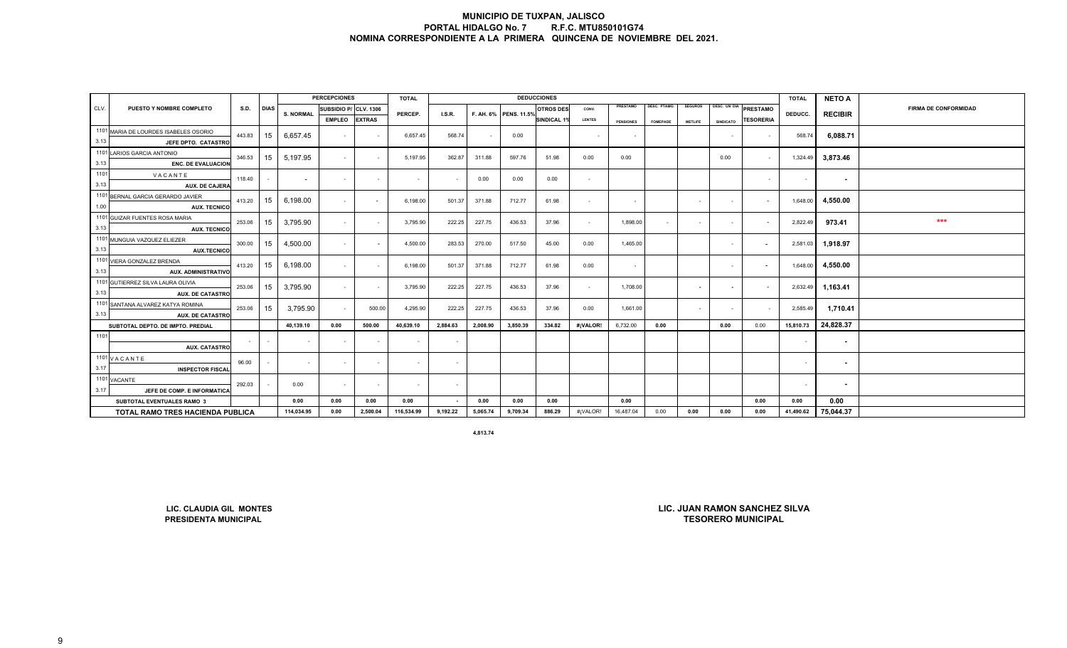|      | <b>PERCEPCIONES</b><br><b>DEDUCCIONES</b><br><b>TOTAL</b> |             |             |                          |                       |               |                          |                          |          |                       |                  |               |                  |                 | <b>TOTAL</b>   | <b>NETO A</b>    |                          |           |                          |                             |
|------|-----------------------------------------------------------|-------------|-------------|--------------------------|-----------------------|---------------|--------------------------|--------------------------|----------|-----------------------|------------------|---------------|------------------|-----------------|----------------|------------------|--------------------------|-----------|--------------------------|-----------------------------|
| CLV. | PUESTO Y NOMBRE COMPLETO                                  | <b>S.D.</b> | <b>DIAS</b> | <b>S. NORMAL</b>         | SUBSIDIO P/ CLV. 1306 |               | PERCEP.                  |                          |          | F. AH. 6% PENS. 11.5% | <b>OTROS DES</b> | CONV.         | PRESTAMO         | DESC. PTAMO.    | <b>SEGUROS</b> | DESC. UN DIA     | <b>PRESTAMO</b>          | DEDUCC.   | <b>RECIBIR</b>           | <b>FIRMA DE CONFORMIDAD</b> |
|      |                                                           |             |             |                          | <b>EMPLEO</b>         | <b>EXTRAS</b> |                          | <b>I.S.R.</b>            |          |                       | SINDICAL 1%      | <b>LENTES</b> | <b>PENSIONES</b> | <b>FOMEPADE</b> | <b>METLIFE</b> | <b>SINDICATO</b> | <b>TESORERIA</b>         |           |                          |                             |
|      | 1101 MARIA DE LOURDES ISABELES OSORIO                     | 443.83      | 15          | 6,657.45                 |                       |               |                          | 568.74                   |          |                       |                  |               |                  |                 |                |                  |                          |           | 6,088.71                 |                             |
| 3.13 | JEFE DPTO. CATASTRO                                       |             |             |                          | $\sim$                |               | 6,657.45                 |                          |          | 0.00                  |                  |               |                  |                 |                | $\sim$           | $\sim$                   | 568.74    |                          |                             |
|      | 1101 LARIOS GARCIA ANTONIO                                | 346.53      |             | 5,197.95                 |                       |               | 5,197.95                 | 362.87                   | 311.88   | 597.76                | 51.98            | 0.00          | 0.00             |                 |                | 0.00             | $\sim$                   | 1,324.49  | 3,873.46                 |                             |
| 3.13 | <b>ENC. DE EVALUACION</b>                                 |             | 15          |                          | $\sim$                |               |                          |                          |          |                       |                  |               |                  |                 |                |                  |                          |           |                          |                             |
| 1101 | VACANTE                                                   | 118.40      |             | $\overline{\phantom{a}}$ | $\sim$                |               | $\overline{\phantom{a}}$ | $\sim$                   | 0.00     | 0.00                  | 0.00             | $\sim$        |                  |                 |                |                  | $\sim$                   | $\sim$    |                          |                             |
| 3.13 | <b>AUX. DE CAJERA</b>                                     |             |             |                          |                       |               |                          |                          |          |                       |                  |               |                  |                 |                |                  |                          |           | $\overline{\phantom{a}}$ |                             |
|      | 1101 BERNAL GARCIA GERARDO JAVIER                         | 413.20      | 15          | 6,198.00                 | $\sim$                | $\sim$        | 6,198.00                 | 501.37                   | 371.88   | 712.77                | 61.98            | $\sim$        | $\sim$           |                 |                | $\sim$           | $\sim$                   | 1,648.00  | 4,550.00                 |                             |
| 1.00 | <b>AUX. TECNICO</b>                                       |             |             |                          |                       |               |                          |                          |          |                       |                  |               |                  |                 |                |                  |                          |           |                          |                             |
|      | 1101 GUIZAR FUENTES ROSA MARIA                            | 253.06      | 15          | 3,795.90                 | $\sim$                | $\sim$        | 3,795.90                 | 222.25                   | 227.75   | 436.53                | 37.96            | $\sim$        | 1,898.00         | $\sim$          | $\sim$         | $\sim$           | $\sim$                   | 2,822.49  | 973.41                   | $***$                       |
| 3.13 | <b>AUX. TECNICO</b>                                       |             |             |                          |                       |               |                          |                          |          |                       |                  |               |                  |                 |                |                  |                          |           |                          |                             |
|      | 1101 MUNGUIA VAZQUEZ ELIEZER                              | 300.00      | 15          | 4,500.00                 | $\sim$                |               | 4,500.00                 | 283.53                   | 270.00   | 517.50                | 45.00            | 0.00          | 1,465.00         |                 |                | $\sim$           | $\overline{\phantom{a}}$ | 2,581.03  | 1,918.97                 |                             |
| 3.13 | <b>AUX.TECNICO</b>                                        |             |             |                          |                       |               |                          |                          |          |                       |                  |               |                  |                 |                |                  |                          |           |                          |                             |
|      | 1101 VIERA GONZALEZ BRENDA                                | 413.20      | 15          | 6,198.00                 | $\sim$                |               | 6,198.00                 | 501.37                   | 371.88   | 712.77                | 61.98            | 0.00          | $\sim$           |                 |                | $\sim$           | $\overline{\phantom{a}}$ | 1,648.00  | 4,550.00                 |                             |
| 3.13 | <b>AUX. ADMINISTRATIVO</b>                                |             |             |                          |                       |               |                          |                          |          |                       |                  |               |                  |                 |                |                  |                          |           |                          |                             |
|      | 1101 GUTIERREZ SILVA LAURA OLIVIA                         | 253.06      | 15          | 3,795.90                 | $\sim$                |               | 3,795.90                 | 222.25                   | 227.75   | 436.53                | 37.96            | $\sim$        | 1,708.00         |                 | $\sim$         | $\sim$           | $\sim$                   | 2,632.49  | 1,163.41                 |                             |
| 3.13 | <b>AUX. DE CATASTRO</b>                                   |             |             |                          |                       |               |                          |                          |          |                       |                  |               |                  |                 |                |                  |                          |           |                          |                             |
|      | 1101 SANTANA ALVAREZ KATYA ROMINA                         | 253.06      | 15          | 3,795.90                 | $\sim$                | 500.00        | 4,295.90                 | 222.25                   | 227.75   | 436.53                | 37.96            | 0.00          | 1,661.00         |                 | $\sim$         | $\sim$           | $\sim$                   | 2,585.49  | 1,710.41                 |                             |
| 3.13 | <b>AUX. DE CATASTRO</b>                                   |             |             |                          |                       |               |                          |                          |          |                       |                  |               |                  |                 |                |                  |                          |           |                          |                             |
|      | SUBTOTAL DEPTO. DE IMPTO. PREDIAL                         |             |             | 40,139.10                | 0.00                  | 500.00        | 40,639.10                | 2,884.63                 | 2,008.90 | 3,850.39              | 334.82           | #¡VALOR!      | 6,732.00         | 0.00            |                | 0.00             | 0.00                     | 15,810.73 | 24,828.37                |                             |
| 1101 |                                                           |             |             |                          | $\sim$                |               |                          | $\overline{\phantom{a}}$ |          |                       |                  |               |                  |                 |                |                  |                          |           | $\overline{\phantom{a}}$ |                             |
|      | <b>AUX. CATASTRO</b>                                      |             |             |                          |                       |               |                          |                          |          |                       |                  |               |                  |                 |                |                  |                          |           |                          |                             |
|      | 1101 VACANTE                                              | 96.00       | $\sim$      | $\sim$                   | $\sim$                | $\sim$        | $\sim$                   | $\sim$                   |          |                       |                  |               |                  |                 |                |                  |                          | $\sim$    | $\overline{\phantom{a}}$ |                             |
| 3.17 | <b>INSPECTOR FISCAL</b>                                   |             |             |                          |                       |               |                          |                          |          |                       |                  |               |                  |                 |                |                  |                          |           |                          |                             |
|      | 1101 VACANTE                                              | 292.03      |             | 0.00                     | $\sim$                |               | $\overline{\phantom{a}}$ | $\sim$                   |          |                       |                  |               |                  |                 |                |                  |                          | $\sim$    | $\sim$                   |                             |
| 3.17 | JEFE DE COMP. E INFORMATICA                               |             |             |                          |                       |               |                          |                          |          |                       |                  |               |                  |                 |                |                  |                          |           |                          |                             |
|      | SUBTOTAL EVENTUALES RAMO 3                                |             |             | 0.00                     | 0.00                  | 0.00          | 0.00                     | $\blacksquare$           | 0.00     | 0.00                  | 0.00             |               | 0.00             |                 |                |                  | 0.00                     | 0.00      | 0.00                     |                             |
|      | <b>TOTAL RAMO TRES HACIENDA PUBLICA</b>                   |             |             | 114,034.95               | 0.00                  | 2,500.04      | 116,534.99               | 9,192.22                 | 5,065.74 | 9,709.34              | 886.29           | #¡VALOR!      | 16,487.04        | 0.00            | 0.00           | 0.00             | 0.00                     | 41,490.62 | 75,044.37                |                             |
|      |                                                           |             |             |                          |                       |               |                          |                          |          |                       |                  |               |                  |                 |                |                  |                          |           |                          |                             |
|      | 4,813.74                                                  |             |             |                          |                       |               |                          |                          |          |                       |                  |               |                  |                 |                |                  |                          |           |                          |                             |
|      |                                                           |             |             |                          |                       |               |                          |                          |          |                       |                  |               |                  |                 |                |                  |                          |           |                          |                             |
|      |                                                           |             |             |                          |                       |               |                          |                          |          |                       |                  |               |                  |                 |                |                  |                          |           |                          |                             |
|      |                                                           |             |             |                          |                       |               |                          |                          |          |                       |                  |               |                  |                 |                |                  |                          |           |                          |                             |
|      |                                                           |             |             |                          |                       |               |                          |                          |          |                       |                  |               |                  |                 |                |                  |                          |           |                          |                             |
|      |                                                           |             |             |                          |                       |               |                          |                          |          |                       |                  |               |                  |                 |                |                  |                          |           |                          |                             |
|      | LIC. JUAN RAMON SANCHEZ SILVA<br>LIC. CLAUDIA GIL MONTES  |             |             |                          |                       |               |                          |                          |          |                       |                  |               |                  |                 |                |                  |                          |           |                          |                             |
|      | <b>TESORERO MUNICIPAL</b><br>PRESIDENTA MUNICIPAL         |             |             |                          |                       |               |                          |                          |          |                       |                  |               |                  |                 |                |                  |                          |           |                          |                             |
|      |                                                           |             |             |                          |                       |               |                          |                          |          |                       |                  |               |                  |                 |                |                  |                          |           |                          |                             |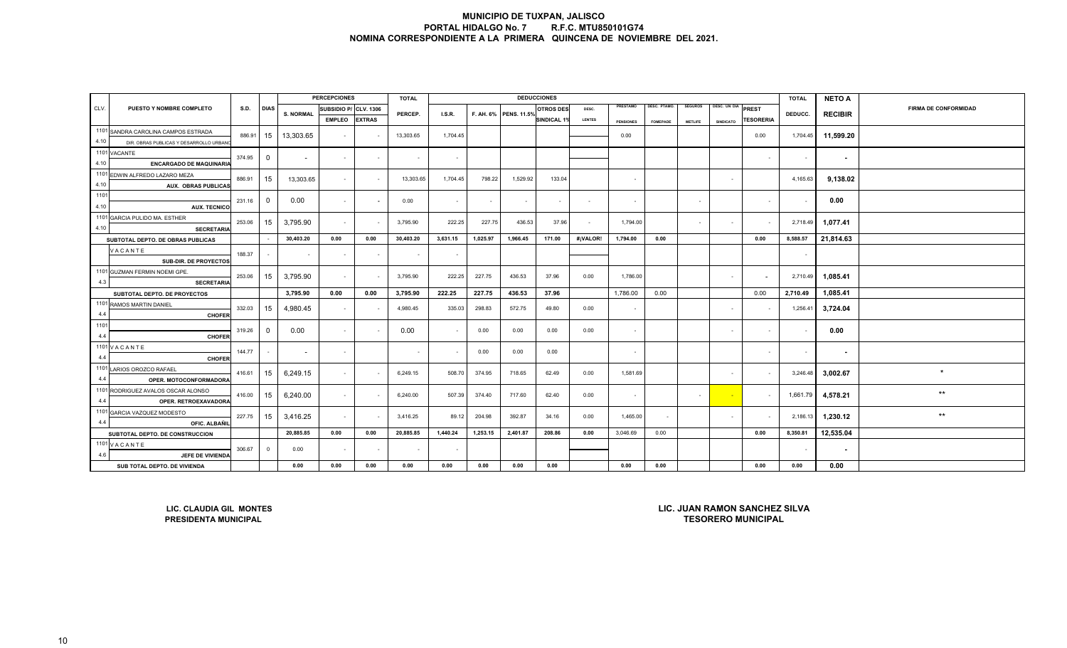|                                                          |                                                                                  |        |                |                  | <b>PERCEPCIONES</b>   |               | <b>TOTAL</b> |               |          |                          | <b>DEDUCCIONES</b> |               |                  |                 |                |                  |                          | <b>TOTAL</b> | <b>NETO A</b>  |                             |
|----------------------------------------------------------|----------------------------------------------------------------------------------|--------|----------------|------------------|-----------------------|---------------|--------------|---------------|----------|--------------------------|--------------------|---------------|------------------|-----------------|----------------|------------------|--------------------------|--------------|----------------|-----------------------------|
| CLV.                                                     | PUESTO Y NOMBRE COMPLETO                                                         | S.D.   | <b>DIAS</b>    |                  | SUBSIDIO P/ CLV. 1306 |               |              |               |          |                          | <b>OTROS DES</b>   | DESC.         | PRESTAMO         | DESC. PTAMO.    | <b>SEGUROS</b> | DESC. UN DIA     | PREST                    |              |                | <b>FIRMA DE CONFORMIDAD</b> |
|                                                          |                                                                                  |        |                | <b>S. NORMAL</b> | <b>EMPLEO</b>         | <b>EXTRAS</b> | PERCEP.      | <b>I.S.R.</b> |          | F. AH. 6% PENS. 11.5%    | SINDICAL 1%        | <b>LENTES</b> | <b>PENSIONES</b> | <b>FOMEPADE</b> | <b>METLIFE</b> | <b>SINDICATO</b> | <b>TESORERIA</b>         | DEDUCC.      | <b>RECIBIR</b> |                             |
|                                                          | 1101 SANDRA CAROLINA CAMPOS ESTRADA                                              | 886.91 | 15             | 13,303.65        |                       |               | 13,303.65    | 1,704.45      |          |                          |                    |               | 0.00             |                 |                |                  | 0.00                     | 1,704.45     | 11,599.20      |                             |
| 4.10                                                     | DIR. OBRAS PUBLICAS Y DESARROLLO URBAN                                           |        |                |                  | $\sim$                |               |              |               |          |                          |                    |               |                  |                 |                |                  |                          |              |                |                             |
|                                                          | 1101 VACANTE                                                                     | 374.95 | $\mathbf{0}$   | $\sim$           | $\sim$                | $\sim$        | $\sim$       | $\sim$        |          |                          |                    |               |                  |                 |                |                  | $\sim$                   | $\sim$       | $\sim$         |                             |
| 4.10                                                     | <b>ENCARGADO DE MAQUINARIA</b>                                                   |        |                |                  |                       |               |              |               |          |                          |                    |               |                  |                 |                |                  |                          |              |                |                             |
|                                                          | 1101 EDWIN ALFREDO LAZARO MEZA                                                   | 886.91 | 15             | 13,303.65        | $\sim$                | $\sim$        | 13,303.65    | 1,704.45      | 798.22   | 1,529.92                 | 133.04             |               | $\sim$           |                 |                | $\blacksquare$   |                          | 4,165.63     | 9,138.02       |                             |
| 4.10                                                     | <b>AUX. OBRAS PUBLICAS</b>                                                       |        |                |                  |                       |               |              |               |          |                          |                    |               |                  |                 |                |                  |                          |              |                |                             |
| 1101                                                     |                                                                                  | 231.16 | $\mathbf 0$    | 0.00             | $\sim$                |               | 0.00         | $\sim$        | $\sim$   | $\overline{\phantom{a}}$ | $\sim$             | $\sim$        | $\sim$           |                 |                |                  | $\sim$                   | $\sim$       | 0.00           |                             |
| 4.10                                                     | <b>AUX. TECNICO</b>                                                              |        |                |                  |                       |               |              |               |          |                          |                    |               |                  |                 |                |                  |                          |              |                |                             |
|                                                          | 1101 GARCIA PULIDO MA. ESTHER                                                    | 253.06 | 15             | 3,795.90         | $\sim$                |               | 3,795.90     | 222.25        | 227.75   | 436.53                   | 37.96              | $\sim$        | 1,794.00         |                 | $\sim$         | $\sim$           | $\sim$                   | 2,718.49     | 1,077.41       |                             |
| 4.10                                                     | <b>SECRETARIA</b>                                                                |        |                |                  |                       |               |              |               |          |                          |                    |               |                  |                 |                |                  |                          |              |                |                             |
|                                                          | SUBTOTAL DEPTO. DE OBRAS PUBLICAS                                                |        |                | 30,403.20        | 0.00                  | 0.00          | 30,403.20    | 3,631.15      | 1,025.97 | 1,966.45                 | 171.00             | #¡VALOR!      | 1,794.00         | 0.00            |                |                  | 0.00                     | 8,588.57     | 21,814.63      |                             |
|                                                          | VACANTE                                                                          | 188.37 |                | $\sim$           | $\sim$                | $\sim$        | $\sim$       | $\sim$        |          |                          |                    |               |                  |                 |                |                  |                          | $\sim$       |                |                             |
|                                                          | SUB-DIR, DE PROYECTOS                                                            |        |                |                  |                       |               |              |               |          |                          |                    |               |                  |                 |                |                  |                          |              |                |                             |
|                                                          | 1101 GUZMAN FERMIN NOEMI GPE.                                                    | 253.06 | 15             | 3,795.90         | $\sim$                |               | 3,795.90     | 222.25        | 227.75   | 436.53                   | 37.96              | 0.00          | 1,786.00         |                 |                | $\sim$           | $\overline{\phantom{a}}$ | 2,710.49     | 1,085.41       |                             |
| 4.3                                                      | <b>SECRETARIA</b>                                                                |        |                |                  |                       | 0.00          |              | 222.25        |          |                          |                    |               |                  | 0.00            |                |                  | 0.00                     |              | 1,085.41       |                             |
|                                                          | SUBTOTAL DEPTO. DE PROYECTOS<br>1101 RAMOS MARTIN DANIEL                         |        |                | 3,795.90         | 0.00                  |               | 3,795.90     |               | 227.75   | 436.53                   | 37.96              |               | 1,786.00         |                 |                |                  |                          | 2,710.49     |                |                             |
| 4.4                                                      | <b>CHOFER</b>                                                                    | 332.03 | 15             | 4,980.45         | $\sim$                |               | 4,980.45     | 335.03        | 298.83   | 572.75                   | 49.80              | 0.00          | $\sim$           |                 |                | $\blacksquare$   |                          | 1,256.41     | 3,724.04       |                             |
| 1101                                                     |                                                                                  |        |                |                  |                       |               |              |               |          |                          |                    |               |                  |                 |                |                  |                          |              |                |                             |
| 4.4                                                      | <b>CHOFER</b>                                                                    | 319.26 | $\overline{0}$ | 0.00             | $\sim$                |               | 0.00         | $\sim$        | 0.00     | 0.00                     | 0.00               | 0.00          | $\sim$           |                 |                | $\blacksquare$   | $\sim$                   | $\sim$       | 0.00           |                             |
|                                                          | 1101 VACANTE                                                                     | 144.77 |                | $\sim$           | $\sim$                |               | $\sim$       | $\sim$        | 0.00     | 0.00                     | 0.00               |               | $\sim$           |                 |                |                  |                          | $\sim$       | $\sim$         |                             |
| 4.4                                                      | <b>CHOFER</b>                                                                    |        |                |                  |                       |               |              |               |          |                          |                    |               |                  |                 |                |                  | $\sim$                   |              |                |                             |
|                                                          | 1101 LARIOS OROZCO RAFAEL                                                        | 416.61 | 15             | 6,249.15         | $\sim$                |               | 6,249.15     | 508.70        | 374.95   | 718.65                   | 62.49              | 0.00          | 1,581.69         |                 |                | $\sim$           | $\sim$                   | 3,246.48     | 3,002.67       | $\star$                     |
| 4.4                                                      | OPER. MOTOCONFORMADORA                                                           |        |                |                  |                       |               |              |               |          |                          |                    |               |                  |                 |                |                  |                          |              |                |                             |
|                                                          | 1101 RODRIGUEZ AVALOS OSCAR ALONSO                                               | 416.00 | 15             | 6.240.00         | $\sim$                |               | 6,240.00     | 507.39        | 374.40   | 717.60                   | 62.40              | 0.00          | $\sim$           |                 |                |                  | $\sim$                   | 1,661.79     | 4,578.21       | $***$                       |
| 4.4                                                      | OPER. RETROEXAVADORA                                                             |        |                |                  |                       |               |              |               |          |                          |                    |               |                  |                 |                |                  |                          |              |                |                             |
|                                                          | 1101 GARCIA VAZQUEZ MODESTO                                                      | 227.75 | 15             | 3,416.25         | $\sim$                |               | 3,416.25     | 89.12         | 204.98   | 392.87                   | 34.16              | 0.00          | 1,465.00         | $\sim$          |                | $\sim$           | $\sim$                   | 2,186.13     | 1,230.12       | $\star\star$                |
| 4.4                                                      | OFIC. ALBAÑIL                                                                    |        |                |                  |                       |               |              |               |          |                          |                    |               |                  |                 |                |                  |                          |              |                |                             |
|                                                          | SUBTOTAL DEPTO. DE CONSTRUCCION                                                  |        |                | 20,885.85        | 0.00                  | 0.00          | 20,885.85    | 1,440.24      | 1,253.15 | 2,401.87                 | 208.86             | 0.00          | 3,046.69         | 0.00            |                |                  | 0.00                     | 8,350.81     | 12,535.04      |                             |
| 4.6                                                      | 1101 V A C A N T E                                                               | 306.67 | $\mathbf{0}$   | 0.00             | $\sim$                | $\sim$        | $\sim$       | $\sim$        |          |                          |                    |               |                  |                 |                |                  |                          | $\sim$       | $\sim$         |                             |
|                                                          | JEFE DE VIVIENDA<br>0.00<br>0.00<br>0.00<br>0.00<br>0.00<br>0.00<br>0.00<br>0.00 |        |                |                  |                       |               |              |               |          |                          |                    |               |                  | 0.00            | 0.00           |                  |                          |              |                |                             |
|                                                          | 0.00<br>0.00<br>0.00<br>SUB TOTAL DEPTO. DE VIVIENDA                             |        |                |                  |                       |               |              |               |          |                          |                    |               |                  |                 |                |                  |                          |              |                |                             |
| LIC. JUAN RAMON SANCHEZ SILVA<br>LIC. CLAUDIA GIL MONTES |                                                                                  |        |                |                  |                       |               |              |               |          |                          |                    |               |                  |                 |                |                  |                          |              |                |                             |
|                                                          |                                                                                  |        |                |                  |                       |               |              |               |          |                          |                    |               |                  |                 |                |                  |                          |              |                |                             |

**LIC. CLAUDIA GIL MONTESPRESIDENTA MUNICIPAL**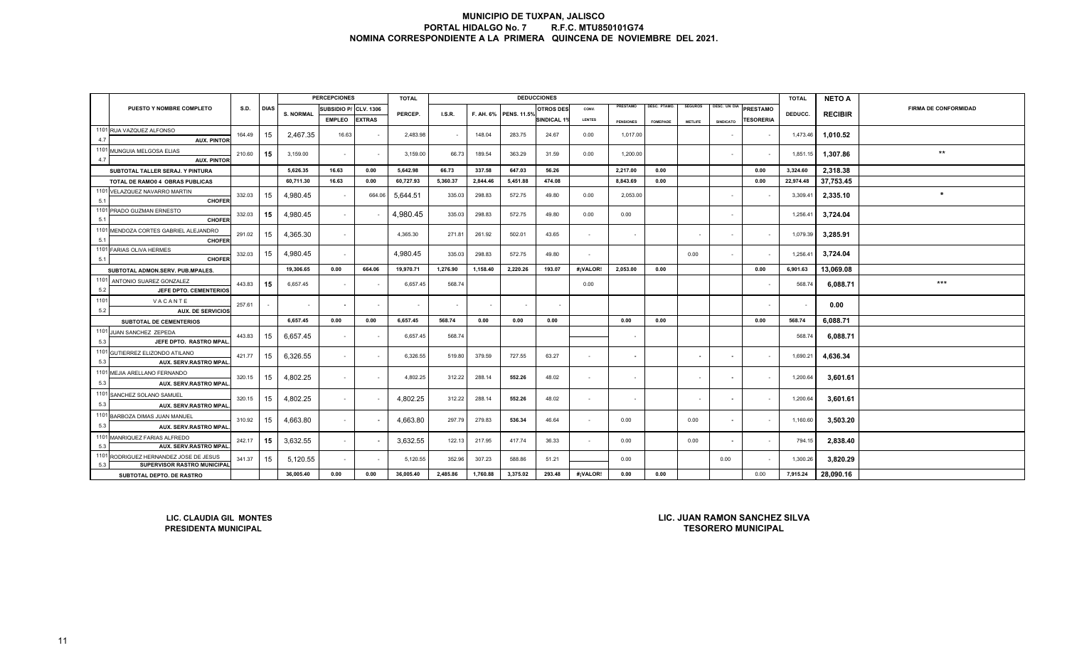|      |                                                            |           |    |                  | <b>PERCEPCIONES</b>      |               | <b>TOTAL</b> |          |          |                       | <b>DEDUCCIONES</b> |                |                  |                 |                |                  |                  | <b>TOTAL</b> | <b>NETO A</b>  |                             |
|------|------------------------------------------------------------|-----------|----|------------------|--------------------------|---------------|--------------|----------|----------|-----------------------|--------------------|----------------|------------------|-----------------|----------------|------------------|------------------|--------------|----------------|-----------------------------|
|      | PUESTO Y NOMBRE COMPLETO                                   | S.D. DIAS |    | <b>S. NORMAL</b> | SUBSIDIO P/ CLV. 1306    |               | PERCEP.      | LS.R.    |          | F. AH. 6% PENS. 11.5% | <b>OTROS DES</b>   | CONV.          | <b>PRESTAMO</b>  | DESC. PTAMO.    | <b>SEGUROS</b> | DESC. UN DIA     | PRESTAMO         | DEDUCC.      | <b>RECIBIR</b> | <b>FIRMA DE CONFORMIDAD</b> |
|      |                                                            |           |    |                  | <b>EMPLEO</b>            | <b>EXTRAS</b> |              |          |          |                       | <b>SINDICAL 1%</b> | <b>LENTES</b>  | <b>PENSIONES</b> | <b>FOMEPADE</b> | <b>METLIFE</b> | <b>SINDICATO</b> | <b>TESORERIA</b> |              |                |                             |
|      | 1101 RUA VAZQUEZ ALFONSO                                   | 164.49    | 15 | 2.467.35         | 16.63                    |               | 2,483.98     |          | 148.04   | 283.75                | 24.67              | 0.00           | 1,017.00         |                 |                | $\sim$           |                  | 1,473.46     | 1,010.52       |                             |
| 4.7  | <b>AUX. PINTOF</b>                                         |           |    |                  |                          |               |              |          |          |                       |                    |                |                  |                 |                |                  |                  |              |                |                             |
| 4.7  | 1101 MUNGUIA MELGOSA ELIAS                                 | 210.60    | 15 | 3,159.00         | $\sim$                   |               | 3,159.00     | 66.73    | 189.54   | 363.29                | 31.59              | 0.00           | 1,200.00         |                 |                | $\sim$           |                  | 1,851.15     | 1.307.86       | $***$                       |
|      | <b>AUX. PINTOR</b><br>SUBTOTAL TALLER SERAJ. Y PINTURA     |           |    | 5,626.35         | 16.63                    | 0.00          | 5,642.98     | 66.73    | 337.58   | 647.03                | 56.26              |                | 2,217.00         | 0.00            |                |                  | 0.00             | 3,324.60     | 2,318.38       |                             |
|      | TOTAL DE RAMO0 4 OBRAS PUBLICAS                            |           |    | 60,711.30        | 16.63                    | 0.00          | 60,727.93    | 5,360.37 | 2,844.46 | 5,451.88              | 474.08             |                | 8,843.69         | 0.00            |                |                  | 0.00             | 22,974.48    | 37,753.45      |                             |
|      | 1101 VELAZQUEZ NAVARRO MARTIN                              |           |    |                  |                          |               |              |          |          |                       |                    |                |                  |                 |                |                  |                  |              |                |                             |
| 5.1  | <b>CHOFER</b>                                              | 332.03    | 15 | 4,980.45         | $\sim$                   | 664.06        | 5,644.51     | 335.03   | 298.83   | 572.75                | 49.80              | 0.00           | 2,053.00         |                 |                |                  |                  | 3,309.41     | 2,335.10       | $\star$                     |
| 5.1  | 1101 PRADO GUZMAN ERNESTO<br><b>CHOFER</b>                 | 332.03    | 15 | 4,980.45         | $\sim$                   |               | 4,980.45     | 335.03   | 298.83   | 572.75                | 49.80              | 0.00           | 0.00             |                 |                | $\sim$           |                  | 1,256.41     | 3,724.04       |                             |
|      | 1101 MENDOZA CORTES GABRIEL ALEJANDRO                      | 291.02    | 15 | 4,365.30         | $\sim$                   |               | 4,365.30     | 271.81   | 261.92   | 502.01                | 43.65              | $\sim$         | $\sim$           |                 |                | $\sim$           |                  | 1,079.39     | 3,285.91       |                             |
| 5.1  | <b>CHOFER</b>                                              |           |    |                  |                          |               |              |          |          |                       |                    |                |                  |                 |                |                  |                  |              |                |                             |
| 5.1  | 1101 FARIAS OLIVA HERMES<br>CHOFEI                         | 332.03    | 15 | 4,980.45         | $\sim$                   |               | 4,980.45     | 335.03   | 298.83   | 572.75                | 49.80              | $\sim$         |                  |                 | 0.00           | $\sim$           |                  | 1,256.41     | 3,724.04       |                             |
|      | SUBTOTAL ADMON.SERV. PUB.MPALES.                           |           |    | 19,306.65        | 0.00                     | 664.06        | 19,970.71    | 1,276.90 | 1,158.40 | 2,220.26              | 193.07             | #¡VALOR!       | 2,053.00         | 0.00            |                |                  | 0.00             | 6,901.63     | 13,069.08      |                             |
|      | 1101 ANTONIO SUAREZ GONZALEZ                               | 443.83    | 15 | 6,657.45         | $\sim$                   |               | 6,657.45     | 568.74   |          |                       |                    | 0.00           |                  |                 |                |                  |                  | 568.74       | 6,088.71       | $***$                       |
| 5.2  | JEFE DPTO. CEMENTERIOS                                     |           |    |                  |                          |               |              |          |          |                       |                    |                |                  |                 |                |                  |                  |              |                |                             |
| 1101 | VACANTE                                                    | 257.61    |    |                  | $\overline{\phantom{a}}$ |               |              |          |          |                       |                    |                |                  |                 |                |                  |                  |              | 0.00           |                             |
| 5.2  | <b>AUX. DE SERVICIOS</b>                                   |           |    | 6,657.45         | 0.00                     | 0.00          | 6,657.45     | 568.74   | 0.00     | 0.00                  | 0.00               |                | 0.00             | 0.00            |                |                  | 0.00             | 568.74       | 6,088.71       |                             |
|      | <b>SUBTOTAL DE CEMENTERIOS</b><br>1101 JUAN SANCHEZ ZEPEDA |           |    |                  |                          |               |              |          |          |                       |                    |                |                  |                 |                |                  |                  |              |                |                             |
| 5.3  | JEFE DPTO. RASTRO MPAL                                     | 443.83    | 15 | 6,657.45         | $\sim$                   |               | 6,657.45     | 568.74   |          |                       |                    |                |                  |                 |                |                  |                  | 568.74       | 6,088.71       |                             |
|      | 1101 GUTIERREZ ELIZONDO ATILANO                            | 421.77    | 15 | 6,326.55         |                          |               |              | 519.80   |          |                       |                    |                |                  |                 |                |                  |                  | 1,690.21     | 4,636.34       |                             |
| 5.3  | AUX. SERV.RASTRO MPAL.                                     |           |    |                  | $\sim$                   |               | 6,326.55     |          | 379.59   | 727.55                | 63.27              | $\overline{a}$ |                  |                 |                |                  |                  |              |                |                             |
|      | 1101 MEJIA ARELLANO FERNANDO                               | 320.15    | 15 | 4,802.25         | $\sim$                   |               | 4,802.25     | 312.22   | 288.14   | 552.26                | 48.02              | $\overline{a}$ |                  |                 |                |                  |                  | 1,200.64     | 3,601.61       |                             |
| 5.3  | AUX. SERV.RASTRO MPAL                                      |           |    |                  |                          |               |              |          |          |                       |                    |                |                  |                 |                |                  |                  |              |                |                             |
|      | 1101 SANCHEZ SOLANO SAMUEL                                 | 320.15    | 15 | 4,802.25         | $\sim$                   |               | 4,802.25     | 312.22   | 288.14   | 552.26                | 48.02              | $\sim$         |                  |                 |                | $\sim$           |                  | 1,200.64     | 3,601.61       |                             |
| 5.3  | <b>AUX. SERV.RASTRO MPAL</b>                               |           |    |                  |                          |               |              |          |          |                       |                    |                |                  |                 |                |                  |                  |              |                |                             |
|      | 1101 BARBOZA DIMAS JUAN MANUEL                             | 310.92    | 15 | 4,663.80         | $\sim$                   |               | 4,663.80     | 297.79   | 279.83   | 536.34                | 46.64              | $\sim$         | 0.00             |                 | 0.00           | $\sim$           |                  | 1,160.60     | 3,503.20       |                             |
| 5.3  | AUX. SERV.RASTRO MPAL                                      |           |    |                  |                          |               |              |          |          |                       |                    |                |                  |                 |                |                  |                  |              |                |                             |
| 5.3  | 1101 MANRIQUEZ FARIAS ALFREDO<br>AUX. SERV.RASTRO MPAL     | 242.17    | 15 | 3,632.55         | $\sim$                   |               | 3,632.55     | 122.13   | 217.95   | 417.74                | 36.33              | $\sim$         | 0.00             |                 | 0.00           | $\sim$           |                  | 794.15       | 2,838.40       |                             |
|      | 1101 RODRIGUEZ HERNANDEZ JOSE DE JESUS                     | 341.37    | 15 | 5,120.55         | $\sim$                   |               | 5,120.55     | 352.96   | 307.23   | 588.86                | 51.21              |                | 0.00             |                 |                | 0.00             |                  | 1,300.26     | 3,820.29       |                             |
| 5.3  | SUPERVISOR RASTRO MUNICIPAL                                |           |    |                  |                          |               |              |          |          |                       |                    |                |                  |                 |                |                  |                  |              |                |                             |
|      | SUBTOTAL DEPTO. DE RASTRO                                  |           |    | 36,005.40        | 0.00                     | 0.00          | 36,005.40    | 2,485.86 | 1,760.88 | 3,375.02              | 293.48             | #¡VALOR!       | 0.00             | 0.00            |                |                  | 0.00             | 7,915.24     | 28,090.16      |                             |

**LIC. CLAUDIA GIL MONTESPRESIDENTA MUNICIPAL**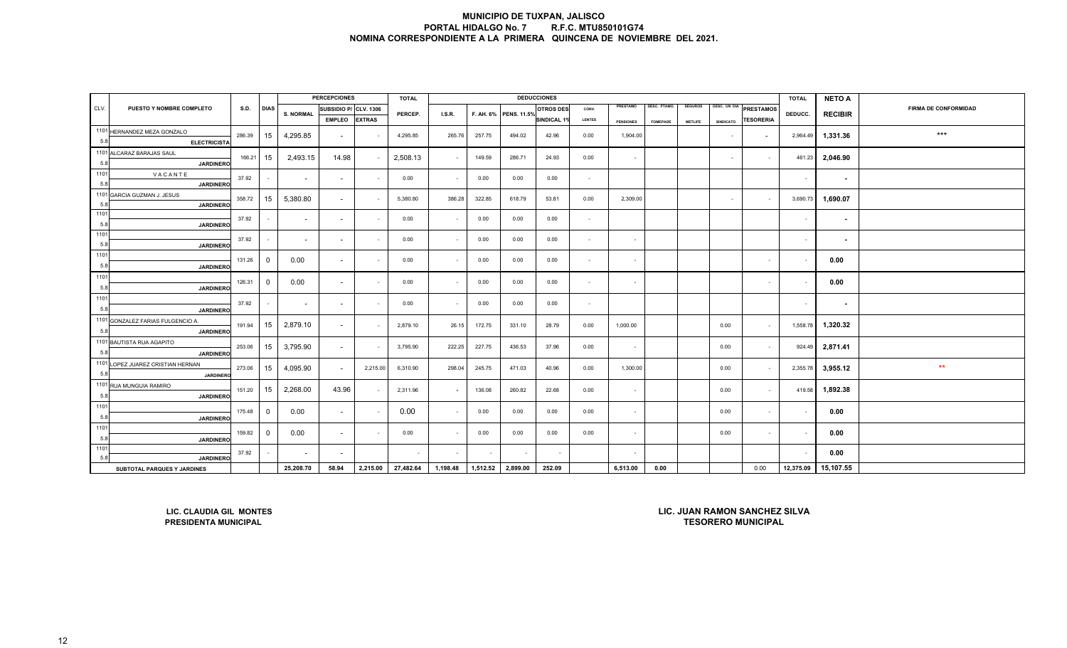|             |                                                                                                               |               |               |                          | <b>PERCEPCIONES</b>      |          | <b>TOTAL</b>          |                    |               |                  | <b>DEDUCCIONES</b> |                |                  |                     |                |                |                        | <b>TOTAL</b>             | <b>NETO A</b>  |                             |
|-------------|---------------------------------------------------------------------------------------------------------------|---------------|---------------|--------------------------|--------------------------|----------|-----------------------|--------------------|---------------|------------------|--------------------|----------------|------------------|---------------------|----------------|----------------|------------------------|--------------------------|----------------|-----------------------------|
| CLV.        | PUESTO Y NOMBRE COMPLETO                                                                                      | <b>S.D.</b>   | <b>DIAS</b>   | <b>S. NORMAL</b>         | SUBSIDIO P/ CLV. 1306    |          |                       |                    |               |                  | <b>OTROS DES</b>   | CONV.          | PRESTAMO         | <b>DESC. PTAMO.</b> | <b>SEGUROS</b> |                | DESC. UN DIA PRESTAMOS |                          |                | <b>FIRMA DE CONFORMIDAD</b> |
|             |                                                                                                               | <b>EMPLEO</b> | <b>EXTRAS</b> | PERCEP.                  | I.S.R.                   |          | F. AH. 6% PENS. 11.5% | <b>SINDICAL 1%</b> | <b>LENTES</b> | <b>PENSIONES</b> | <b>FOMEPADE</b>    | <b>METLIFE</b> | <b>SINDICATO</b> | TESORERIA           | DEDUCC.        | <b>RECIBIR</b> |                        |                          |                |                             |
|             | 1101 HERNANDEZ MEZA GONZALO                                                                                   |               | 15            |                          |                          |          |                       |                    |               |                  |                    |                |                  |                     |                |                |                        |                          |                | $***$                       |
| 5.8         | ELECTRICIST/                                                                                                  | 286.39        |               | 4,295.85                 | $\overline{\phantom{a}}$ |          | 4,295.85              | 265.76             | 257.75        | 494.02           | 42.96              | 0.00           | 1,904.00         |                     |                | $\sim$         |                        | 2,964.49                 | 1,331.36       |                             |
|             | 1101 ALCARAZ BARAJAS SAUL                                                                                     | 166.21        | 15            | 2,493.15                 | 14.98                    |          | 2,508.13              |                    | 149.59        | 286.71           | 24.93              | 0.00           |                  |                     |                |                |                        | 461.23                   |                |                             |
| 5.8         | <b>JARDINERO</b>                                                                                              |               |               |                          |                          |          |                       | $\sim$             |               |                  |                    |                | $\sim$           |                     |                | $\sim$         |                        |                          | 2,046.90       |                             |
| 1101        | VACANTE                                                                                                       | 37.92         |               | $\sim$                   | $\overline{\phantom{a}}$ |          | 0.00                  | $\sim$             | 0.00          | 0.00             | 0.00               | $\sim$         |                  |                     |                |                |                        | $\sim$                   | $\sim$         |                             |
| 5.8         | <b>JARDINERO</b>                                                                                              |               |               |                          |                          |          |                       |                    |               |                  |                    |                |                  |                     |                |                |                        |                          |                |                             |
|             | 1101 GARCIA GUZMAN J. JESUS                                                                                   | 358.72        | 15            | 5,380.80                 | $\sim$                   |          | 5,380.80              | 386.28             | 322.85        | 618.79           | 53.81              | 0.00           | 2,309.00         |                     |                | $\sim$         |                        | 3,690.73                 | 1,690.07       |                             |
| 5.8         | <b>JARDINERO</b>                                                                                              |               |               |                          |                          |          |                       |                    |               |                  |                    |                |                  |                     |                |                |                        |                          |                |                             |
| 1101<br>5.8 |                                                                                                               | 37.92         |               | $\sim$                   | $\overline{\phantom{a}}$ |          | 0.00                  | $\sim$             | 0.00          | 0.00             | 0.00               | $\sim$         |                  |                     |                |                |                        | $\sim$                   | $\blacksquare$ |                             |
| 1101        | <b>JARDINERO</b>                                                                                              |               |               |                          |                          |          |                       |                    |               |                  |                    |                |                  |                     |                |                |                        |                          |                |                             |
| 5.8         | <b>JARDINERC</b>                                                                                              | 37.92         |               | $\sim$                   | $\overline{\phantom{a}}$ |          | 0.00                  | $\sim$             | 0.00          | 0.00             | 0.00               | $\sim$         | $\sim$           |                     |                |                |                        | $\sim$                   | $\blacksquare$ |                             |
| 1101        |                                                                                                               |               |               |                          |                          |          |                       |                    |               |                  |                    |                |                  |                     |                |                |                        |                          |                |                             |
| 5.8         | <b>JARDINERC</b>                                                                                              | 131.26        | $\mathbf 0$   | 0.00                     | $\sim$                   |          | 0.00                  | $\sim$             | 0.00          | 0.00             | 0.00               | $\sim$         | $\sim$           |                     |                |                | $\sim$                 | $\overline{\phantom{a}}$ | 0.00           |                             |
| 1101        |                                                                                                               |               |               |                          |                          |          |                       |                    |               |                  |                    |                |                  |                     |                |                |                        |                          |                |                             |
| 5.8         | <b>JARDINERC</b>                                                                                              | 126.31        | $\mathbf 0$   | 0.00                     | $\sim$                   |          | 0.00                  | $\sim$             | 0.00          | 0.00             | 0.00               | $\sim$         | $\sim$           |                     |                |                | $\sim$                 | $\sim$                   | 0.00           |                             |
| 1101        |                                                                                                               |               |               |                          |                          |          |                       |                    |               |                  |                    |                |                  |                     |                |                |                        |                          |                |                             |
| 5.8         | <b>JARDINERO</b>                                                                                              | 37.92         |               | $\sim$                   | $\overline{\phantom{a}}$ |          | 0.00                  | $\sim$             | 0.00          | 0.00             | 0.00               | $\sim$         |                  |                     |                |                |                        | $\sim$                   | $\blacksquare$ |                             |
|             | 1101 GONZALEZ FARIAS FULGENCIO A.                                                                             | 191.94        | 15            | 2,879.10                 | $\sim$                   |          | 2,879.10              | 26.15              | 172.75        | 331.10           | 28.79              | 0.00           | 1,000.00         |                     |                | 0.00           | $\sim$                 | 1,558.78                 | 1,320.32       |                             |
| 5.8         | <b>JARDINERO</b>                                                                                              |               |               |                          |                          |          |                       |                    |               |                  |                    |                |                  |                     |                |                |                        |                          |                |                             |
|             | 1101 BAUTISTA RUA AGAPITO                                                                                     | 253.06        | 15            | 3,795.90                 | $\sim$                   |          | 3,795.90              | 222.25             | 227.75        | 436.53           | 37.96              | 0.00           | $\sim$           |                     |                | 0.00           | $\sim$                 | 924.49                   | 2,871.41       |                             |
| 5.8         | <b>JARDINERO</b>                                                                                              |               |               |                          |                          |          |                       |                    |               |                  |                    |                |                  |                     |                |                |                        |                          |                |                             |
|             | 1101 LOPEZ JUAREZ CRISTIAN HERNAN                                                                             | 273.06        | 15            | 4,095.90                 | $\sim$                   | 2,215.00 | 6,310.90              | 298.04             | 245.75        | 471.03           | 40.96              | 0.00           | 1,300.00         |                     |                | 0.00           | $\sim$                 | 2,355.78                 | 3,955.12       | $\star\star$                |
| 5.8         | <b>JARDINER</b>                                                                                               |               |               |                          |                          |          |                       |                    |               |                  |                    |                |                  |                     |                |                |                        |                          |                |                             |
|             | 1101 RUA MUNGUIA RAMIRO                                                                                       | 151.20        | 15            | 2,268.00                 | 43.96                    |          | 2,311.96              | $\sim$             | 136.08        | 260.82           | 22.68              | 0.00           | $\sim$           |                     |                | 0.00           | $\sim$                 | 419.58                   | 1,892.38       |                             |
| 5.8         | <b>JARDINERC</b>                                                                                              |               |               |                          |                          |          |                       |                    |               |                  |                    |                |                  |                     |                |                |                        |                          |                |                             |
| 1101        |                                                                                                               | 175.48        | $\mathbf{0}$  | 0.00                     | $\sim$                   |          | 0.00                  | $\sim$             | 0.00          | 0.00             | 0.00               | 0.00           | $\sim$           |                     |                | 0.00           | $\sim$                 | $\sim$                   | 0.00           |                             |
| 5.8         | <b>JARDINERC</b>                                                                                              |               |               |                          |                          |          |                       |                    |               |                  |                    |                |                  |                     |                |                |                        |                          |                |                             |
| 1101<br>5.8 |                                                                                                               | 159.82        | $\Omega$      | 0.00                     | $\sim$                   |          | 0.00                  | $\sim$             | 0.00          | 0.00             | 0.00               | 0.00           | $\sim$           |                     |                | 0.00           | $\sim$                 |                          | 0.00           |                             |
| 1101        | <b>JARDINERO</b>                                                                                              |               |               |                          |                          |          |                       |                    |               |                  |                    |                |                  |                     |                |                |                        |                          |                |                             |
| 5.8         | <b>JARDINERO</b>                                                                                              | 37.92         |               | $\overline{\phantom{a}}$ | $\overline{\phantom{a}}$ |          | $\sim$                | $\sim$             |               |                  |                    |                | $\sim$           |                     |                |                |                        |                          | 0.00           |                             |
|             | SUBTOTAL PARQUES Y JARDINES                                                                                   |               |               | 25,208.70                | 58.94                    | 2,215.00 | 27,482.64             | 1,198.48           | 1,512.52      | 2,899.00         | 252.09             |                | 6,513.00         | 0.00                |                |                | 0.00                   | 12,375.09                | 15,107.55      |                             |
|             | LIC. JUAN RAMON SANCHEZ SILVA<br>LIC. CLAUDIA GIL MONTES<br><b>TESORERO MUNICIPAL</b><br>PRESIDENTA MUNICIPAL |               |               |                          |                          |          |                       |                    |               |                  |                    |                |                  |                     |                |                |                        |                          |                |                             |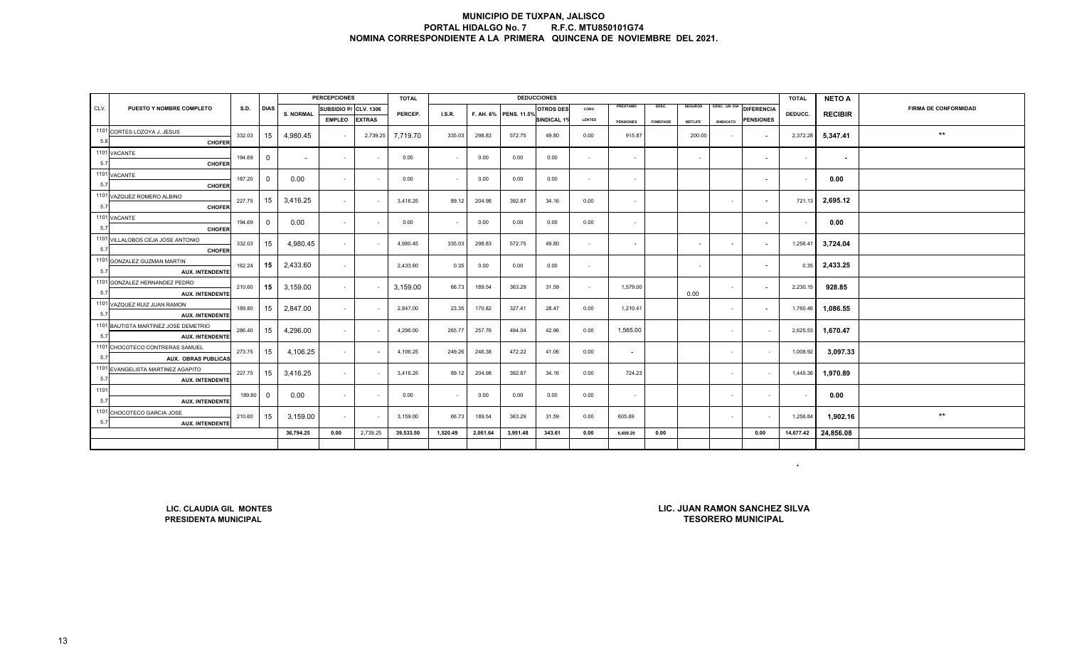|      | <b>PERCEPCIONES</b><br><b>DEDUCCIONES</b><br><b>TOTAL</b> |             |              |                  |                       |               |           |          |          |                       |                    |               |                  |          |                | <b>TOTAL</b>     | <b>NETO A</b>            |           |                |                             |
|------|-----------------------------------------------------------|-------------|--------------|------------------|-----------------------|---------------|-----------|----------|----------|-----------------------|--------------------|---------------|------------------|----------|----------------|------------------|--------------------------|-----------|----------------|-----------------------------|
| CLV. | PUESTO Y NOMBRE COMPLETO                                  | <b>S.D.</b> | <b>DIAS</b>  | <b>S. NORMAL</b> | SUBSIDIO P/ CLV. 1306 |               | PERCEP.   | LS.R.    |          | F. AH. 6% PENS. 11.5% | <b>OTROS DES</b>   | CONV.         | PRESTAMO         | DESC.    | <b>SEGUROS</b> | DESC. UN DIA     | <b>DIFERENCIA</b>        | DEDUCC.   | <b>RECIBIR</b> | <b>FIRMA DE CONFORMIDAD</b> |
|      |                                                           |             |              |                  | <b>EMPLEO</b>         | <b>EXTRAS</b> |           |          |          |                       | <b>SINDICAL 1%</b> | <b>LENTES</b> | <b>PENSIONES</b> | FOMEPADE | <b>METLIFE</b> | <b>SINDICATO</b> | <b>PENSIONES</b>         |           |                |                             |
|      | 1101 CORTES LOZOYA J. JESUS                               | 332.03      | 15           | 4,980.45         | $\sim$                | 2,739.25      | 7,719.70  | 335.03   | 298.83   | 572.75                | 49.80              | 0.00          | 915.87           |          | 200.00         | $\sim$           |                          | 2,372.28  | 5,347.41       | $***$                       |
| 5.8  | <b>CHOFER</b>                                             |             |              |                  |                       |               |           |          |          |                       |                    |               |                  |          |                |                  |                          |           |                |                             |
|      | 1101 VACANTE                                              | 194.69      | $\mathbf{0}$ | $\sim$           | $\sim$                | $\sim$        | 0.00      | $\sim$   | 0.00     | 0.00                  | 0.00               | $\sim$        | $\sim$           |          | $\sim$         |                  | $\sim$                   | $\sim$    | $\sim$         |                             |
| 5.7  | <b>CHOFER</b>                                             |             |              |                  |                       |               |           |          |          |                       |                    |               |                  |          |                |                  |                          |           |                |                             |
|      | 1101 VACANTE                                              | 187.20      | $\mathbf 0$  | 0.00             | $\sim$                | $\sim$        | 0.00      | $\sim$   | 0.00     | 0.00                  | 0.00               | $\sim$        | $\sim$           |          |                |                  | $\sim$                   |           | 0.00           |                             |
| 5.7  | <b>CHOFER</b>                                             |             |              |                  |                       |               |           |          |          |                       |                    |               |                  |          |                |                  |                          |           |                |                             |
|      | 1101 VAZQUEZ ROMERO ALBINO                                | 227.75      | 15           | 3,416.25         | $\sim$                |               | 3,416.25  | 89.12    | 204.98   | 392.87                | 34.16              | 0.00          | $\sim$           |          |                | $\sim$           | $\overline{a}$           | 721.13    | 2,695.12       |                             |
| 5.7  | <b>CHOFER</b>                                             |             |              |                  |                       |               |           |          |          |                       |                    |               |                  |          |                |                  |                          |           |                |                             |
|      | 1101 VACANTE                                              | 194.69      | $\mathbf 0$  | 0.00             | $\sim$                | $\sim$        | 0.00      | $\sim$   | 0.00     | 0.00                  | 0.00               | 0.00          | $\sim$           |          |                |                  | $\overline{a}$           |           | 0.00           |                             |
| 5.7  | <b>CHOFER</b>                                             |             |              |                  |                       |               |           |          |          |                       |                    |               |                  |          |                |                  |                          |           |                |                             |
|      | 1101 VILLALOBOS CEJA JOSE ANTONIO                         | 332.03      | 15           | 4,980.45         | $\sim$                |               | 4,980.45  | 335.03   | 298.83   | 572.75                | 49.80              | $\sim$        | $\sim$           |          | $\sim$         | $\sim$           | $\overline{\phantom{a}}$ | 1,256.41  | 3,724.04       |                             |
| 5.7  | <b>CHOFER</b>                                             |             |              |                  |                       |               |           |          |          |                       |                    |               |                  |          |                |                  |                          |           |                |                             |
| 5.7  | 1101 GONZALEZ GUZMAN MARTIN                               | 162.24      | 15           | 2,433.60         | $\sim$                |               | 2,433.60  | 0.35     | 0.00     | 0.00                  | 0.00               | $\sim$        |                  |          | $\sim$         |                  | $\overline{\phantom{a}}$ | 0.35      | 2,433.25       |                             |
|      | <b>AUX. INTENDENTE</b>                                    |             |              |                  |                       |               |           |          |          |                       |                    |               |                  |          |                |                  |                          |           |                |                             |
| 5.7  | 1101 GONZALEZ HERNANDEZ PEDRO<br><b>AUX. INTENDENTE</b>   | 210.60      | 15           | 3,159.00         | $\sim$                |               | 3,159.00  | 66.73    | 189.54   | 363.29                | 31.59              | $\sim$        | 1,579.00         |          |                | $\sim$           | $\overline{\phantom{a}}$ | 2,230.15  | 928.85         |                             |
|      | 1101 VAZQUEZ RUIZ JUAN RAMON                              |             |              |                  |                       |               |           |          |          |                       |                    |               |                  |          | 0.00           |                  |                          |           |                |                             |
| 5.7  | <b>AUX. INTENDENTE</b>                                    | 189.80      | 15           | 2,847.00         | $\sim$                |               | 2,847.00  | 23.35    | 170.82   | 327.41                | 28.47              | 0.00          | 1,210.41         |          |                | $\sim$           |                          | 1,760.46  | 1,086.55       |                             |
|      | 1101 BAUTISTA MARTINEZ JOSE DEMETRIO                      |             |              |                  |                       |               |           |          |          |                       |                    |               |                  |          |                |                  |                          |           |                |                             |
| 5.7  | <b>AUX. INTENDENTE</b>                                    | 286.40      | 15           | 4,296.00         | $\sim$                |               | 4,296.00  | 265.77   | 257.76   | 494.04                | 42.96              | 0.00          | 1,565.00         |          |                | $\sim$           | $\sim$                   | 2,625.53  | 1,670.47       |                             |
|      | 1101 CHOCOTECO CONTRERAS SAMUEL                           |             |              |                  |                       |               |           |          |          |                       |                    |               |                  |          |                |                  |                          |           |                |                             |
| 5.7  | <b>AUX. OBRAS PUBLICAS</b>                                | 273.75      | 15           | 4,106.25         | $\sim$                |               | 4,106.25  | 249.26   | 246.38   | 472.22                | 41.06              | 0.00          | $\sim$           |          |                | $\sim$           | $\sim$                   | 1,008.92  | 3,097.33       |                             |
|      | 1101 EVANGELISTA MARTINEZ AGAPITO                         | 227.75      | 15           | 3,416.25         | $\sim$                |               | 3,416.25  | 89.12    | 204.98   | 392.87                | 34.16              | 0.00          | 724.23           |          |                | $\sim$           | $\sim$                   | 1,445.36  | 1,970.89       |                             |
| 5.7  | <b>AUX. INTENDENTE</b>                                    |             |              |                  |                       |               |           |          |          |                       |                    |               |                  |          |                |                  |                          |           |                |                             |
| 1101 |                                                           | 189.80      | $\mathbf 0$  | 0.00             | $\sim$                | $\sim$        | 0.00      | $\sim$   | 0.00     | 0.00                  | 0.00               | 0.00          | $\sim$           |          |                | $\sim$           | $\sim$                   |           | 0.00           |                             |
| 5.7  | <b>AUX. INTENDENTE</b>                                    |             |              |                  |                       |               |           |          |          |                       |                    |               |                  |          |                |                  |                          |           |                |                             |
|      | 1101 CHOCOTECO GARCIA JOSE                                | 210.60      | 15           | 3,159.00         | $\sim$                |               | 3,159.00  | 66.73    | 189.54   | 363.29                | 31.59              | 0.00          | 605.69           |          |                | $\sim$           | $\sim$                   | 1,256.84  | 1,902.16       | $\star\star$                |
| 5.7  | <b>AUX. INTENDENTE</b>                                    |             |              |                  |                       |               |           |          |          |                       |                    |               |                  |          |                |                  |                          |           |                |                             |
|      |                                                           |             |              | 36,794.25        | 0.00                  | 2,739.25      | 39,533.50 | 1,520.49 | 2,061.64 | 3,951.48              | 343.61             | 0.00          | 6,600.20         | 0.00     |                |                  | 0.00                     | 14,677.42 | 24,856.08      |                             |
|      |                                                           |             |              |                  |                       |               |           |          |          |                       |                    |               |                  |          |                |                  |                          |           |                |                             |
|      |                                                           |             |              |                  |                       |               |           |          |          |                       |                    |               |                  |          |                |                  |                          | $+$       |                |                             |
|      |                                                           |             |              |                  |                       |               |           |          |          |                       |                    |               |                  |          |                |                  |                          |           |                |                             |
|      |                                                           |             |              |                  |                       |               |           |          |          |                       |                    |               |                  |          |                |                  |                          |           |                |                             |
|      |                                                           |             |              |                  |                       |               |           |          |          |                       |                    |               |                  |          |                |                  |                          |           |                |                             |
|      | LIC. JUAN RAMON SANCHEZ SILVA<br>LIC. CLAUDIA GIL MONTES  |             |              |                  |                       |               |           |          |          |                       |                    |               |                  |          |                |                  |                          |           |                |                             |
|      |                                                           |             |              |                  |                       |               |           |          |          |                       |                    |               |                  |          |                |                  |                          |           |                |                             |

**LIC. CLAUDIA GIL MONTESPRESIDENTA MUNICIPAL** 

**TESORERO MUNICIPALLIC. JUAN RAMON SANCHEZ SILVA**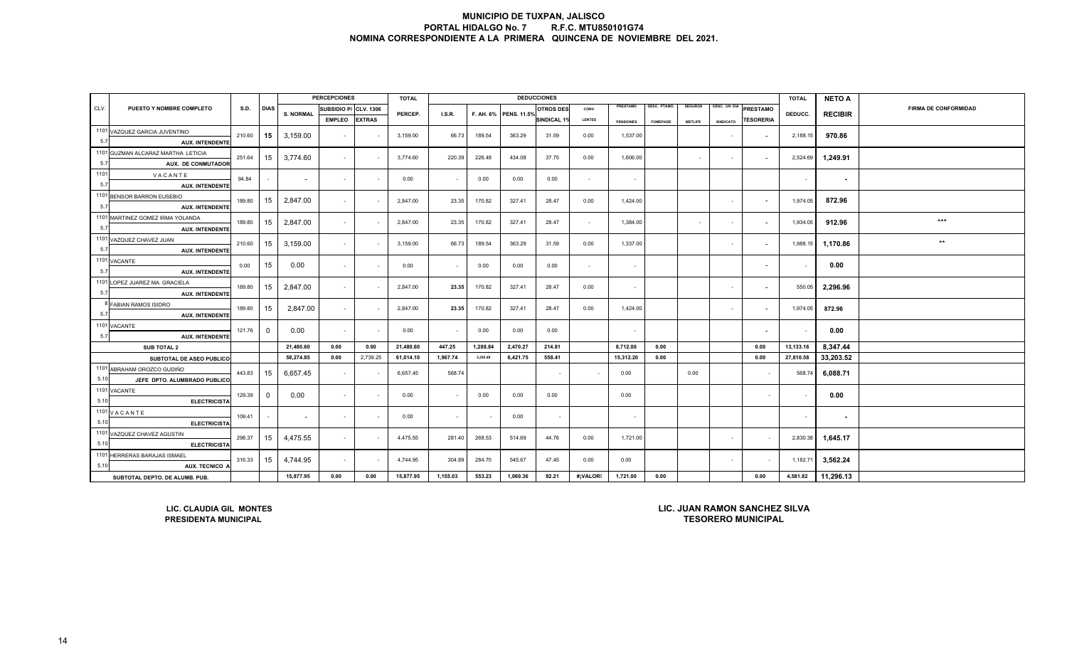|                                                                                                                                                                               |                                                                                                |        |                |                          | <b>PERCEPCIONES</b> |          | <b>TOTAL</b> |          |                    |               | <b>DEDUCCIONES</b> |                 |                |                  |                  |            |                               | <b>TOTAL</b> | <b>NETO A</b>               |                 |
|-------------------------------------------------------------------------------------------------------------------------------------------------------------------------------|------------------------------------------------------------------------------------------------|--------|----------------|--------------------------|---------------------|----------|--------------|----------|--------------------|---------------|--------------------|-----------------|----------------|------------------|------------------|------------|-------------------------------|--------------|-----------------------------|-----------------|
| CLV.<br>PUESTO Y NOMBRE COMPLETO<br><b>DIAS</b><br>S.D.<br>SUBSIDIO P/ CLV. 1306<br><b>OTROS DES</b><br><b>S. NORMAL</b><br>PERCEP.<br><b>I.S.R.</b><br>F. AH. 6% PENS. 11.5% |                                                                                                |        |                |                          |                     |          |              |          |                    |               | CONV.              | PRESTAMO        | DESC. PTAMO.   | <b>SEGUROS</b>   | DESC. UN DIA     | PRESTAMO   |                               |              | <b>FIRMA DE CONFORMIDAD</b> |                 |
|                                                                                                                                                                               |                                                                                                |        | <b>EMPLEO</b>  | <b>EXTRAS</b>            |                     |          |              |          | <b>SINDICAL 1%</b> | <b>LENTES</b> | <b>PENSIONES</b>   | <b>FOMEPADE</b> | <b>METLIFE</b> | <b>SINDICATO</b> | <b>TESORERIA</b> | DEDUCC.    | <b>RECIBIR</b>                |              |                             |                 |
|                                                                                                                                                                               | 1101 VAZQUEZ GARCIA JUVENTINO                                                                  |        |                |                          |                     |          |              |          |                    |               |                    |                 |                |                  |                  |            |                               |              |                             |                 |
| 5.7                                                                                                                                                                           | <b>AUX. INTENDENTE</b>                                                                         | 210.60 | 15             | 3,159.00                 | $\sim$              |          | 3,159.00     | 66.73    | 189.54             | 363.29        | 31.59              | 0.00            | 1,537.00       |                  |                  | $\sim$     |                               | 2,188.15     | 970.86                      |                 |
|                                                                                                                                                                               | 1101 GUZMAN ALCARAZ MARTHA LETICIA                                                             | 251.64 | 15             |                          | $\sim$              |          | 3,774.60     | 220.39   | 226.48             | 434.08        | 37.75              | 0.00            | 1,606.00       |                  | $\sim$           | $\sim$     |                               | 2,524.69     |                             |                 |
| 5.7                                                                                                                                                                           | <b>AUX. DE CONMUTADOR</b>                                                                      |        |                | 3,774.60                 |                     |          |              |          |                    |               |                    |                 |                |                  |                  |            |                               |              | 1,249.91                    |                 |
| 1101                                                                                                                                                                          | VACANTE                                                                                        | 94.84  |                | $\sim$                   | $\sim$              |          | 0.00         | $\sim$   | 0.00               | 0.00          | 0.00               | $\sim$          | $\sim$         |                  |                  |            |                               | $\sim$       | $\sim$                      |                 |
| 5.7                                                                                                                                                                           | <b>AUX. INTENDENTE</b>                                                                         |        |                |                          |                     |          |              |          |                    |               |                    |                 |                |                  |                  |            |                               |              |                             |                 |
|                                                                                                                                                                               | 1101 BENSOR BARRON EUSEBIO                                                                     | 189.80 | 15             | 2,847.00                 | $\sim$              |          | 2,847.00     | 23.35    | 170.82             | 327.41        | 28.47              | 0.00            | 1,424.00       |                  |                  | $\sim$     |                               | 1.974.05     | 872.96                      |                 |
| 5.7                                                                                                                                                                           | <b>AUX. INTENDENTE</b>                                                                         |        |                |                          |                     |          |              |          |                    |               |                    |                 |                |                  |                  |            |                               |              |                             |                 |
|                                                                                                                                                                               | 1101 MARTINEZ GOMEZ IRMA YOLANDA                                                               | 189.80 | 15             | 2,847.00                 | $\sim$              |          | 2,847.00     | 23.35    | 170.82             | 327.41        | 28.47              | $\sim$          | 1,384.00       |                  | $\sim$           | $\sim$     |                               | 1,934.05     | 912.96                      | ***             |
| 5.7                                                                                                                                                                           | <b>AUX. INTENDENTE</b>                                                                         |        |                |                          |                     |          |              |          |                    |               |                    |                 |                |                  |                  |            |                               |              |                             |                 |
|                                                                                                                                                                               | 1101 VAZQUEZ CHAVEZ JUAN                                                                       | 210.60 | 15             | 3,159.00                 | $\sim$              |          | 3,159.00     | 66.73    | 189.54             | 363.29        | 31.59              | 0.00            | 1,337.00       |                  |                  | $\sim$ $-$ | $\sim$                        | 1,988.15     | 1,170.86                    | $^{\star\star}$ |
| 5.7                                                                                                                                                                           | <b>AUX. INTENDENTE</b>                                                                         |        |                |                          |                     |          |              |          |                    |               |                    |                 |                |                  |                  |            |                               |              |                             |                 |
|                                                                                                                                                                               | 1101 VACANTE                                                                                   | 0.00   | 15             | 0.00                     | $\sim$              |          | 0.00         | $\sim$   | 0.00               | 0.00          | 0.00               | $\sim$          | $\sim$         |                  |                  |            |                               |              | 0.00                        |                 |
| 5.7                                                                                                                                                                           | <b>AUX. INTENDENTE</b>                                                                         |        |                |                          |                     |          |              |          |                    |               |                    |                 |                |                  |                  |            |                               |              |                             |                 |
|                                                                                                                                                                               | 1101 LOPEZ JUAREZ MA. GRACIELA                                                                 | 189.80 | 15             | 2,847.00                 | $\sim$              |          | 2,847.00     | 23.35    | 170.82             | 327.41        | 28.47              | 0.00            | $\sim$         |                  |                  | $\sim$     |                               | 550.05       | 2,296.96                    |                 |
| 5.7                                                                                                                                                                           | <b>AUX. INTENDENTE</b>                                                                         |        |                |                          |                     |          |              |          |                    |               |                    |                 |                |                  |                  |            |                               |              |                             |                 |
|                                                                                                                                                                               | 8 FABIAN RAMOS ISIDRO                                                                          | 189.80 | 15             | 2,847.00                 | $\sim$              |          | 2,847.00     | 23.35    | 170.82             | 327.41        | 28.47              | 0.00            | 1,424.00       |                  |                  | $\sim$     |                               | 1,974.05     | 872.96                      |                 |
| 5.7                                                                                                                                                                           | <b>AUX. INTENDENTE</b>                                                                         |        |                |                          |                     |          |              |          |                    |               |                    |                 |                |                  |                  |            |                               |              |                             |                 |
|                                                                                                                                                                               | 1101 VACANTE                                                                                   | 121.76 | $\overline{0}$ | 0.00                     | $\sim$              |          | 0.00         | $\sim$   | 0.00               | 0.00          | 0.00               |                 | $\sim$         |                  |                  |            |                               | $\sim$       | 0.00                        |                 |
| 5.7                                                                                                                                                                           | <b>AUX. INTENDENTE</b>                                                                         |        |                |                          |                     |          |              |          |                    |               |                    |                 |                |                  |                  |            |                               |              |                             |                 |
|                                                                                                                                                                               | <b>SUB TOTAL 2</b>                                                                             |        |                | 21,480.60                | 0.00                | 0.00     | 21,480.60    | 447.25   | 1,288.84           | 2,470.27      | 214.81             |                 | 8,712.00       | 0.00             |                  |            | 0.00                          | 13,133.16    | 8,347.44                    |                 |
|                                                                                                                                                                               | SUBTOTAL DE ASEO PUBLICO                                                                       |        |                | 58.274.85                | 0.00                | 2,739.25 | 61,014.10    | 1.967.74 | 3,350.48           | 6,421.75      | 558.41             |                 | 15.312.20      | 0.00             |                  |            | 0.00                          | 27,810.58    | 33,203.52                   |                 |
|                                                                                                                                                                               | 1101 ABRAHAM OROZCO GUDIÑO                                                                     | 443.83 | 15             | 6,657.45                 | $\sim$              |          | 6,657.45     | 568.74   |                    |               | $\sim$             | $\sim$          | 0.00           |                  | 0.00             |            |                               | 568.74       | 6,088.71                    |                 |
| 5.10                                                                                                                                                                          | JEFE DPTO. ALUMBRADO PUBLICO                                                                   |        |                |                          |                     |          |              |          |                    |               |                    |                 |                |                  |                  |            |                               |              |                             |                 |
|                                                                                                                                                                               | 1101 VACANTE                                                                                   | 129.39 | $\mathbf 0$    | 0.00                     | $\sim$              |          | 0.00         | $\sim$   | 0.00               | 0.00          | 0.00               |                 | 0.00           |                  |                  |            | $\sim$                        |              | 0.00                        |                 |
| 5.10                                                                                                                                                                          | <b>ELECTRICISTA</b>                                                                            |        |                |                          |                     |          |              |          |                    |               |                    |                 |                |                  |                  |            |                               |              |                             |                 |
|                                                                                                                                                                               | 1101 VACANTE                                                                                   | 109.41 |                | $\overline{\phantom{a}}$ | $\sim$              |          | 0.00         | $\omega$ |                    | 0.00          |                    |                 |                |                  |                  |            |                               |              | $\sim$                      |                 |
| 5.10                                                                                                                                                                          | <b>ELECTRICISTA</b>                                                                            |        |                |                          |                     |          |              |          |                    |               |                    |                 |                |                  |                  |            |                               |              |                             |                 |
|                                                                                                                                                                               | 1101 VAZQUEZ CHAVEZ AGUSTIN                                                                    | 298.37 | 15             | 4,475.55                 | $\sim$              |          | 4,475.55     | 281.40   | 268.53             | 514.69        | 44.76              | 0.00            | 1,721.00       |                  |                  | $\sim$     | $\overline{\phantom{a}}$      | 2,830.38     | 1,645.17                    |                 |
| 5.10                                                                                                                                                                          | <b>ELECTRICISTA</b>                                                                            |        |                |                          |                     |          |              |          |                    |               |                    |                 |                |                  |                  |            |                               |              |                             |                 |
| 1101 HERRERAS BARAJAS ISMAEL<br>15<br>4,744.95<br>316.33<br>$\sim$<br>4,744.95<br>304.89<br>284.70<br>545.67<br>47.45<br>5.10                                                 |                                                                                                |        |                |                          |                     |          |              |          |                    |               |                    | 0.00            | 0.00           |                  |                  | $\sim$     | $\overline{\phantom{a}}$      | 1,182.71     | 3,562.24                    |                 |
|                                                                                                                                                                               | AUX. TECNICO A<br>15,877.95<br>0.00<br>553.23<br>1,060.36<br>92.21<br>0.00<br>0.00<br>1,155.03 |        |                |                          |                     |          |              |          |                    |               |                    |                 |                |                  |                  |            |                               |              |                             |                 |
|                                                                                                                                                                               | 15,877.95<br>#¡VALOR!<br>1,721.00<br>0.00<br>SUBTOTAL DEPTO. DE ALUMB. PUB.                    |        |                |                          |                     |          |              |          |                    |               |                    |                 |                | 4,581.82         | 11,296.13        |            |                               |              |                             |                 |
|                                                                                                                                                                               |                                                                                                |        |                |                          |                     |          |              |          |                    |               |                    |                 |                |                  |                  |            |                               |              |                             |                 |
|                                                                                                                                                                               | LIC. CLAUDIA GIL MONTES                                                                        |        |                |                          |                     |          |              |          |                    |               |                    |                 |                |                  |                  |            | LIC. JUAN RAMON SANCHEZ SILVA |              |                             |                 |
|                                                                                                                                                                               |                                                                                                |        |                |                          |                     |          |              |          |                    |               |                    |                 |                |                  |                  |            |                               |              |                             |                 |

**LIC. CLAUDIA GIL MONTESPRESIDENTA MUNICIPAL** 

**LIC. JUAN RAMON SANCHEZ SILVATESORERO MUNICIPAL**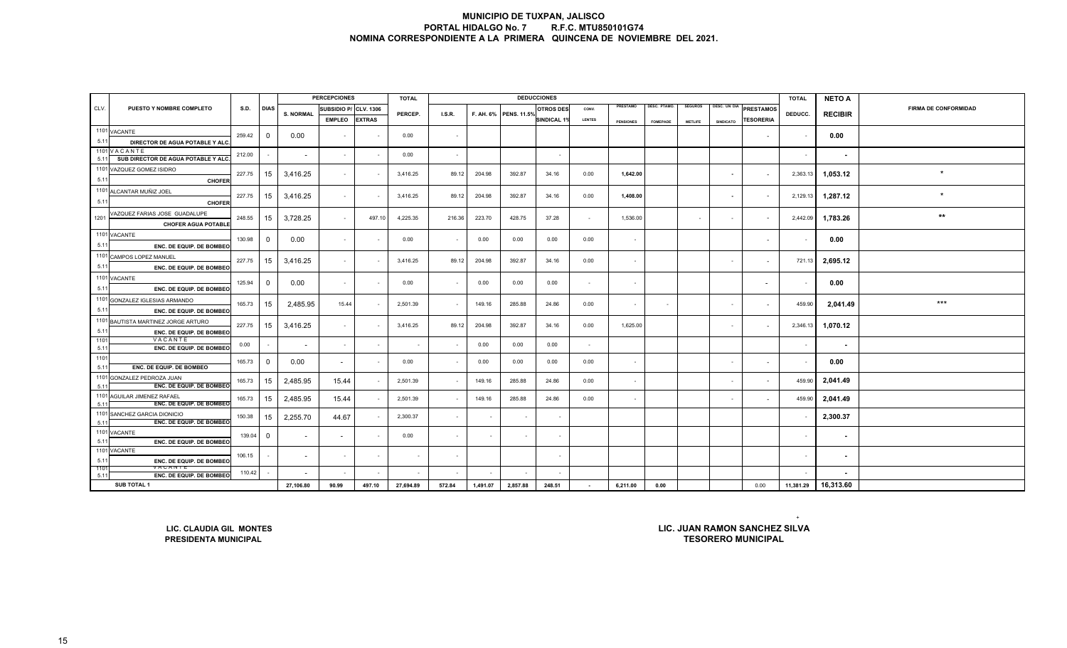|                 |                                                                 |             |                |                          | <b>PERCEPCIONES</b>      |                          | <b>TOTAL</b> |        |          |                       | <b>DEDUCCIONES</b>       |                |                  |                 |                |                  |                                      | <b>TOTAL</b> | <b>NETO A</b>            |                             |
|-----------------|-----------------------------------------------------------------|-------------|----------------|--------------------------|--------------------------|--------------------------|--------------|--------|----------|-----------------------|--------------------------|----------------|------------------|-----------------|----------------|------------------|--------------------------------------|--------------|--------------------------|-----------------------------|
| CLV.            | PUESTO Y NOMBRE COMPLETO                                        | <b>S.D.</b> | <b>DIAS</b>    |                          | SUBSIDIO P/ CLV. 1306    |                          |              |        |          |                       | <b>OTROS DES</b>         | CONV.          | PRESTAMO         | DESC. PTAMO.    | <b>SEGUROS</b> | DESC. UN DIA     | <b>PRESTAMOS</b>                     |              |                          | <b>FIRMA DE CONFORMIDAD</b> |
|                 |                                                                 |             |                | <b>S. NORMAL</b>         | <b>EMPLEO</b>            | <b>EXTRAS</b>            | PERCEP.      | I.S.R. |          | F. AH. 6% PENS. 11.5% | <b>SINDICAL 19</b>       | <b>LENTES</b>  | <b>PENSIONES</b> | <b>FOMEPADE</b> | <b>METLIFE</b> | <b>SINDICATO</b> | <b>TESORERIA</b>                     | DEDUCC.      | <b>RECIBIR</b>           |                             |
|                 | 1101 VACANTE                                                    |             |                |                          |                          |                          |              |        |          |                       |                          |                |                  |                 |                |                  |                                      |              |                          |                             |
| 5.11            | DIRECTOR DE AGUA POTABLE Y ALC                                  | 259.42      | $\overline{0}$ | 0.00                     | $\sim$                   |                          | 0.00         | $\sim$ |          |                       |                          |                |                  |                 |                |                  | $\sim$                               |              | 0.00                     |                             |
|                 | 1101 VACANTE                                                    | 212.00      | $\sim$         | $\overline{\phantom{a}}$ | $\sim$                   |                          | 0.00         |        |          |                       | $\sim$                   |                |                  |                 |                |                  |                                      |              | $\sim$                   |                             |
| 5.11            | SUB DIRECTOR DE AGUA POTABLE Y ALC.                             |             |                |                          |                          |                          |              |        |          |                       |                          |                |                  |                 |                |                  |                                      |              |                          |                             |
|                 | 1101 VAZQUEZ GOMEZ ISIDRO                                       | 227.75      | 15             | 3,416.25                 | $\sim$                   |                          | 3,416.25     | 89.12  | 204.98   | 392.87                | 34.16                    | 0.00           | 1,642.00         |                 |                | $\sim$           | $\sim$                               | 2,363.13     | 1,053.12                 | $\star$                     |
| 5.11            | <b>CHOFER</b>                                                   |             |                |                          |                          |                          |              |        |          |                       |                          |                |                  |                 |                |                  |                                      |              |                          |                             |
|                 | 1101 ALCANTAR MUÑIZ JOEL                                        | 227.75      | 15             | 3,416.25                 | $\sim$                   |                          | 3,416.25     | 89.12  | 204.98   | 392.87                | 34.16                    | 0.00           | 1,408.00         |                 |                | $\sim$           | $\sim$                               | 2,129.13     | 1,287.12                 | $\star$                     |
| 5.11            | <b>CHOFER</b>                                                   |             |                |                          |                          |                          |              |        |          |                       |                          |                |                  |                 |                |                  |                                      |              |                          |                             |
| 1201            | VAZQUEZ FARIAS JOSE GUADALUPE                                   | 248.55      | 15             | 3,728.25                 | $\sim$                   | 497.10                   | 4,225.35     | 216.36 | 223.70   | 428.75                | 37.28                    | $\sim$         | 1,536.00         |                 | $\sim$         | $\sim$           | $\sim$                               | 2,442.09     | 1,783.26                 | $***$                       |
|                 | <b>CHOFER AGUA POTABLE</b><br>1101 VACANTE                      |             |                |                          |                          |                          |              |        |          |                       |                          |                |                  |                 |                |                  |                                      |              |                          |                             |
|                 |                                                                 | 130.98      | $\overline{0}$ | 0.00                     | $\sim$                   |                          | 0.00         |        | 0.00     | 0.00                  | 0.00                     | 0.00           | $\sim$           |                 |                |                  | $\sim$                               |              | 0.00                     |                             |
| 5.11            | ENC. DE EQUIP. DE BOMBEC                                        |             |                |                          |                          |                          |              |        |          |                       |                          |                |                  |                 |                |                  |                                      |              |                          |                             |
|                 | 1101 CAMPOS LOPEZ MANUEL                                        | 227.75      | 15             | 3,416.25                 | $\sim$                   |                          | 3,416.25     | 89.12  | 204.98   | 392.87                | 34.16                    | 0.00           | $\sim$           |                 |                | $\sim$           | $\overline{\phantom{a}}$             | 721.13       | 2,695.12                 |                             |
| 5.11            | ENC. DE EQUIP. DE BOMBEO                                        |             |                |                          |                          |                          |              |        |          |                       |                          |                |                  |                 |                |                  |                                      |              |                          |                             |
|                 | 1101 VACANTE                                                    | 125.94      | $\mathbf 0$    | 0.00                     | $\sim$                   | $\sim$                   | 0.00         |        | 0.00     | 0.00                  | 0.00                     | $\sim$         | $\sim$           |                 |                |                  | $\overline{\phantom{a}}$             |              | 0.00                     |                             |
| 5.11            | ENC. DE EQUIP. DE BOMBEC                                        |             |                |                          |                          |                          |              |        |          |                       |                          |                |                  |                 |                |                  |                                      |              |                          |                             |
| 5.11            | 1101 GONZALEZ IGLESIAS ARMANDO                                  | 165.73      | 15             | 2,485.95                 | 15.44                    |                          | 2,501.39     |        | 149.16   | 285.88                | 24.86                    | 0.00           | $\sim$           |                 |                | $\sim$           | $\sim$                               | 459.90       | 2,041.49                 | $***$                       |
|                 | ENC. DE EQUIP. DE BOMBEC<br>1101 BAUTISTA MARTINEZ JORGE ARTURO |             |                |                          |                          |                          |              |        |          |                       |                          |                |                  |                 |                |                  |                                      |              |                          |                             |
| 5.11            | ENC. DE EQUIP. DE BOMBEO                                        | 227.75      | 15             | 3,416.25                 | $\sim$                   |                          | 3,416.25     | 89.12  | 204.98   | 392.87                | 34.16                    | 0.00           | 1,625.00         |                 |                | $\sim$           | $\sim$                               | 2,346.13     | 1,070.12                 |                             |
| 1101            | VACANTE                                                         |             |                |                          | $\sim$                   |                          |              |        | 0.00     | 0.00                  | 0.00                     |                |                  |                 |                |                  |                                      |              |                          |                             |
| 5.11            | ENC. DE EQUIP. DE BOMBEC                                        | 0.00        | $\sim$         | $\overline{\phantom{a}}$ |                          |                          |              |        |          |                       |                          | $\overline{a}$ |                  |                 |                |                  |                                      |              | $\overline{\phantom{a}}$ |                             |
| 1101            |                                                                 | 165.73      | $\mathbf 0$    | 0.00                     | $\overline{\phantom{a}}$ |                          | 0.00         |        | 0.00     | 0.00                  | 0.00                     | 0.00           | $\sim$           |                 |                | $\sim$           | $\sim$                               |              | 0.00                     |                             |
| 5.11            | ENC. DE EQUIP. DE BOMBEO                                        |             |                |                          |                          |                          |              |        |          |                       |                          |                |                  |                 |                |                  |                                      |              |                          |                             |
| 5.11            | 1101 GONZALEZ PEDROZA JUAN<br>ENC. DE EQUIP. DE BOMBEO          | 165.73      | 15             | 2,485.95                 | 15.44                    |                          | 2,501.39     |        | 149.16   | 285.88                | 24.86                    | 0.00           | $\sim$           |                 |                | $\sim$           | $\overline{\phantom{a}}$             | 459.90       | 2,041.49                 |                             |
|                 | 1101 AGUILAR JIMENEZ RAFAEL                                     | 165.73      | 15             | 2,485.95                 | 15.44                    |                          | 2,501.39     |        | 149.16   | 285.88                | 24.86                    | 0.00           | $\sim$           |                 |                |                  |                                      | 459.90       | 2,041.49                 |                             |
| 5.11            | <b>ENC. DE EQUIP. DE BOMBEO</b>                                 |             |                |                          |                          |                          |              |        |          |                       |                          |                |                  |                 |                |                  |                                      |              |                          |                             |
|                 | 1101 SANCHEZ GARCIA DIONICIO                                    | 150.38      | 15             | 2,255.70                 | 44.67                    |                          | 2,300.37     | $\sim$ |          |                       | $\overline{\phantom{a}}$ |                |                  |                 |                |                  |                                      |              | 2,300.37                 |                             |
| 5.11            | ENC. DE EQUIP. DE BOMBEO<br>1101 VACANTE                        |             |                |                          |                          |                          |              |        |          |                       |                          |                |                  |                 |                |                  |                                      |              |                          |                             |
| 5.11            | ENC. DE EQUIP. DE BOMBEO                                        | 139.04      | $\overline{0}$ | $\sim$                   | $\sim$                   |                          | 0.00         | $\sim$ | $\sim$   |                       | $\overline{\phantom{a}}$ |                |                  |                 |                |                  |                                      |              | $\sim$                   |                             |
|                 | 1101 VACANTE                                                    | 106.15      |                |                          | $\sim$                   | $\sim$                   | $\sim$       | $\sim$ |          |                       | $\overline{\phantom{a}}$ |                |                  |                 |                |                  |                                      | $\sim$       |                          |                             |
| 5.11            | ENC. DE EQUIP. DE BOMBEC                                        |             | $\sim$         | $\sim$                   |                          |                          |              |        |          |                       |                          |                |                  |                 |                |                  |                                      |              | $\sim$                   |                             |
| $-1101$<br>5.11 | VACANIE<br>ENC. DE EQUIP. DE BOMBEO                             | 110.42      |                | $\overline{\phantom{a}}$ | $\sim$                   | $\overline{\phantom{a}}$ |              |        |          |                       |                          |                |                  |                 |                |                  |                                      |              | $\sim$                   |                             |
|                 | SUB TOTAL 1                                                     |             |                | 27,106.80                | 90.99                    | 497.10                   | 27,694.89    | 572.84 | 1,491.07 | 2,857.88              | 248.51                   | $\sim$         | 6,211.00         | 0.00            |                |                  | 0.00                                 | 11,381.29    | 16,313.60                |                             |
|                 | LIC. CLAUDIA GIL MONTES                                         |             |                |                          |                          |                          |              |        |          |                       |                          |                |                  |                 |                |                  | <b>LIC. JUAN RAMON SANCHEZ SILVA</b> |              |                          |                             |
|                 | <b>PRESIDENTA MUNICIPAL</b>                                     |             |                |                          |                          |                          |              |        |          |                       |                          |                |                  |                 |                |                  | <b>TESORERO MUNICIPAL</b>            |              |                          |                             |

**LIC. CLAUDIA GIL MONTES**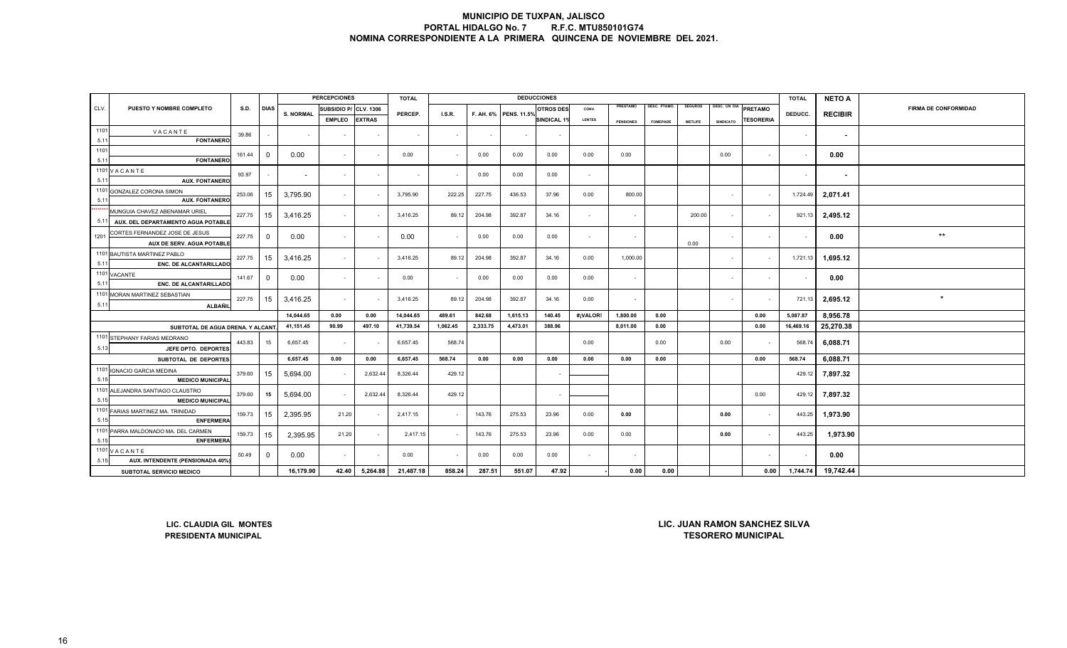|      |                                                               |             |              |                  | <b>PERCEPCIONES</b>      |               | <b>TOTAL</b>  |                |          | <b>DEDUCCIONES</b>    |                  |                          |                  |                 |                |                  |                               | <b>TOTAL</b> | <b>NETO A</b>  |                             |
|------|---------------------------------------------------------------|-------------|--------------|------------------|--------------------------|---------------|---------------|----------------|----------|-----------------------|------------------|--------------------------|------------------|-----------------|----------------|------------------|-------------------------------|--------------|----------------|-----------------------------|
| CLV. | PUESTO Y NOMBRE COMPLETO                                      | <b>S.D.</b> | <b>DIAS</b>  | <b>S. NORMAL</b> | SUBSIDIO P/ CLV. 1306    |               | <b>PERCEP</b> | I.S.R.         |          | F. AH. 6% PENS. 11.5% | <b>OTROS DES</b> | CONV.                    | PRESTAMO         | DESC. PTAMO.    | <b>SEGUROS</b> | DESC. UN DIA     | PRETAMO                       |              |                | <b>FIRMA DE CONFORMIDAD</b> |
|      |                                                               |             |              |                  | <b>EMPLEO</b>            | <b>EXTRAS</b> |               |                |          |                       | SINDICAL 1'      | <b>LENTES</b>            | <b>PENSIONES</b> | <b>FOMEPADE</b> | <b>METLIFE</b> | <b>SINDICATO</b> | <b>TESORERIA</b>              | DEDUCC.      | <b>RECIBIR</b> |                             |
| 1101 | VACANTE                                                       | 39.86       |              |                  |                          |               |               | $\blacksquare$ |          | $\sim$                |                  |                          |                  |                 |                |                  |                               |              |                |                             |
| 5.11 | <b>FONTANERO</b>                                              |             |              |                  |                          |               |               |                |          |                       |                  |                          |                  |                 |                |                  |                               |              | $\blacksquare$ |                             |
| 1101 |                                                               | 161.44      | $\mathbf 0$  | 0.00             | $\blacksquare$           | $\sim$        | 0.00          | $\blacksquare$ | 0.00     | 0.00                  | 0.00             | 0.00                     | 0.00             |                 |                | 0.00             | $\sim$                        |              | 0.00           |                             |
| 5.11 | <b>FONTANERO</b>                                              |             |              |                  |                          |               |               |                |          |                       |                  |                          |                  |                 |                |                  |                               |              |                |                             |
|      | $1101$ V A C A N T E                                          | 93.97       |              | $\overline{a}$   | $\sim$                   | $\sim$        | $\sim$        | $\sim$         | 0.00     | 0.00                  | 0.00             | $\sim$                   |                  |                 |                |                  |                               |              | $\sim$         |                             |
| 5.11 | <b>AUX. FONTANERO</b>                                         |             |              |                  |                          |               |               |                |          |                       |                  |                          |                  |                 |                |                  |                               |              |                |                             |
|      | 1101 GONZALEZ CORONA SIMON                                    | 253.06      | 15           | 3,795.90         | $\sim$                   |               | 3,795.90      | 222.25         | 227.75   | 436.53                | 37.96            | 0.00                     | 800.00           |                 |                | $\sim$           | $\sim$                        | 1,724.49     | 2,071.41       |                             |
| 5.11 | <b>AUX. FONTANERO</b>                                         |             |              |                  |                          |               |               |                |          |                       |                  |                          |                  |                 |                |                  |                               |              |                |                             |
|      | MUNGUIA CHAVEZ ABENAMAR URIEL                                 | 227.75      | 15           | 3,416.25         | $\sim$                   |               | 3,416.25      | 89.12          | 204.98   | 392.87                | 34.16            | $\sim$                   | $\sim$           |                 | 200.00         | $\sim$           | $\sim$                        | 921.13       | 2,495.12       |                             |
| 5.11 | AUX. DEL DEPARTAMENTO AGUA POTABLE                            |             |              |                  |                          |               |               |                |          |                       |                  |                          |                  |                 |                |                  |                               |              |                |                             |
| 1201 | CORTES FERNANDEZ JOSE DE JESUS                                | 227.75      | $\mathbf{0}$ | 0.00             | $\sim$                   |               | 0.00          | $\sim$         | 0.00     | 0.00                  | 0.00             | $\sim$                   |                  |                 |                | $\sim$           | $\sim$                        |              | 0.00           | $^{\star\star}$             |
|      | AUX DE SERV. AGUA POTABLE                                     |             |              |                  |                          |               |               |                |          |                       |                  |                          |                  |                 | 0.00           |                  |                               |              |                |                             |
| 5.11 | 1101 BAUTISTA MARTINEZ PABLO<br><b>ENC. DE ALCANTARILLADO</b> | 227.75      | 15           | 3,416.25         | $\blacksquare$           |               | 3,416.25      | 89.12          | 204.98   | 392.87                | 34.16            | 0.00                     | 1,000.00         |                 |                | $\sim$           | $\sim$                        | 1,721.13     | 1,695.12       |                             |
|      | 1101 VACANTE                                                  |             |              |                  |                          |               |               |                |          |                       |                  |                          |                  |                 |                |                  |                               |              |                |                             |
| 5.11 | <b>ENC. DE ALCANTARILLADO</b>                                 | 141.67      | $\mathbf 0$  | 0.00             | $\sim$                   |               | 0.00          | $\sim$         | 0.00     | 0.00                  | 0.00             | 0.00                     | $\sim$           |                 |                | $\sim$           | $\sim$                        |              | 0.00           |                             |
|      | 1101 MORAN MARTINEZ SEBASTIAN                                 |             |              |                  |                          |               |               |                |          |                       |                  |                          |                  |                 |                |                  |                               |              |                |                             |
| 5.11 | <b>ALBAÑIL</b>                                                | 227.75      | 15           | 3,416.25         | $\sim$                   |               | 3,416.25      | 89.12          | 204.98   | 392.87                | 34.16            | 0.00                     | $\sim$           |                 |                | $\sim$           | $\sim$                        | 721.13       | 2,695.12       | $\star$                     |
|      |                                                               |             |              | 14,044.65        | 0.00                     | 0.00          | 14,044.65     | 489.61         | 842.68   | 1,615.13              | 140.45           | #¡VALOR!                 | 1,800.00         | 0.00            |                |                  | 0.00                          | 5,087.87     | 8,956.78       |                             |
|      | SUBTOTAL DE AGUA DRENA. Y ALCANT.                             |             |              | 41,151.45        | 90.99                    | 497.10        | 41,739.54     | 1,062.45       | 2,333.75 | 4,473.01              | 388.96           |                          | 8.011.00         | 0.00            |                |                  | 0.00                          | 16,469.16    | 25,270.38      |                             |
|      |                                                               |             |              |                  |                          |               |               |                |          |                       |                  |                          |                  |                 |                |                  |                               |              |                |                             |
| 5.13 | 1101 STEPHANY FARIAS MEDRANO                                  | 443.83      | 15           | 6,657.45         | $\overline{\phantom{a}}$ |               | 6,657.45      | 568.74         |          |                       |                  | 0.00                     |                  | 0.00            |                | 0.00             |                               | 568.74       | 6,088.71       |                             |
|      | JEFE DPTO. DEPORTES                                           |             |              | 6,657.45         | 0.00                     | 0.00          | 6,657.45      | 568.74         | 0.00     | 0.00                  | 0.00             | 0.00                     | 0.00             | 0.00            |                |                  | 0.00                          | 568.74       | 6,088.71       |                             |
|      | SUBTOTAL DE DEPORTES                                          |             |              |                  |                          |               |               |                |          |                       |                  |                          |                  |                 |                |                  |                               |              |                |                             |
| 5.15 | 1101   GNACIO GARCIA MEDINA<br><b>MEDICO MUNICIPAL</b>        | 379.60      | 15           | 5,694.00         | $\sim$                   | 2,632.44      | 8,326.44      | 429.12         |          |                       | $\sim$           |                          |                  |                 |                |                  |                               | 429.12       | 7,897.32       |                             |
|      | 1101 ALEJANDRA SANTIAGO CLAUSTRO                              |             |              |                  |                          |               |               |                |          |                       |                  |                          |                  |                 |                |                  |                               |              |                |                             |
| 5.15 | <b>MEDICO MUNICIPAL</b>                                       | 379.60      | 15           | 5,694.00         | $\sim$                   | 2.632.44      | 8,326.44      | 429.12         |          |                       |                  |                          |                  |                 |                |                  | 0.00                          | 429.12       | 7,897.32       |                             |
|      | 1101 FARIAS MARTINEZ MA. TRINIDAD                             |             |              |                  |                          |               |               |                |          |                       |                  |                          |                  |                 |                |                  |                               |              |                |                             |
| 5.15 | <b>ENFERMERA</b>                                              | 159.73      | 15           | 2,395.95         | 21.20                    |               | 2,417.15      | $\sim$         | 143.76   | 275.53                | 23.96            | 0.00                     | 0.00             |                 |                | 0.00             | $\sim$                        | 443.25       | 1,973.90       |                             |
|      | 1101 PARRA MALDONADO MA. DEL CARMEN                           |             |              |                  |                          |               |               |                |          |                       |                  |                          |                  |                 |                |                  |                               |              |                |                             |
| 5.15 | <b>ENFERMERA</b>                                              | 159.73      | 15           | 2,395.95         | 21.20                    | $\sim$        | 2,417.15      | $\sim$         | 143.76   | 275.53                | 23.96            | 0.00                     | 0.00             |                 |                | 0.00             | $\sim$                        | 443.25       | 1,973.90       |                             |
|      | 1101 VACANTE                                                  | 50.49       | $\mathbf 0$  | 0.00             | $\sim$                   |               | 0.00          | $\sim$         | 0.00     | 0.00                  | 0.00             | $\overline{\phantom{a}}$ |                  |                 |                |                  | $\sim$                        |              | 0.00           |                             |
| 5.15 | AUX. INTENDENTE (PENSIONADA 40%)                              |             |              |                  |                          |               |               |                |          |                       |                  |                          |                  |                 |                |                  |                               |              |                |                             |
|      | SUBTOTAL SERVICIO MEDICO                                      |             |              | 16,179.90        | 42.40                    | 5,264.88      | 21,487.18     | 858.24         | 287.51   | 551.07                | 47.92            |                          | 0.00             | 0.00            |                |                  | 0.00                          | 1,744.74     | 19,742.44      |                             |
|      | LIC. CLAUDIA GIL MONTES                                       |             |              |                  |                          |               |               |                |          |                       |                  |                          |                  |                 |                |                  | LIC. JUAN RAMON SANCHEZ SILVA |              |                |                             |
|      | <b>PRESIDENTA MUNICIPAL</b>                                   |             |              |                  |                          |               |               |                |          |                       |                  |                          |                  |                 |                |                  | <b>TESORERO MUNICIPAL</b>     |              |                |                             |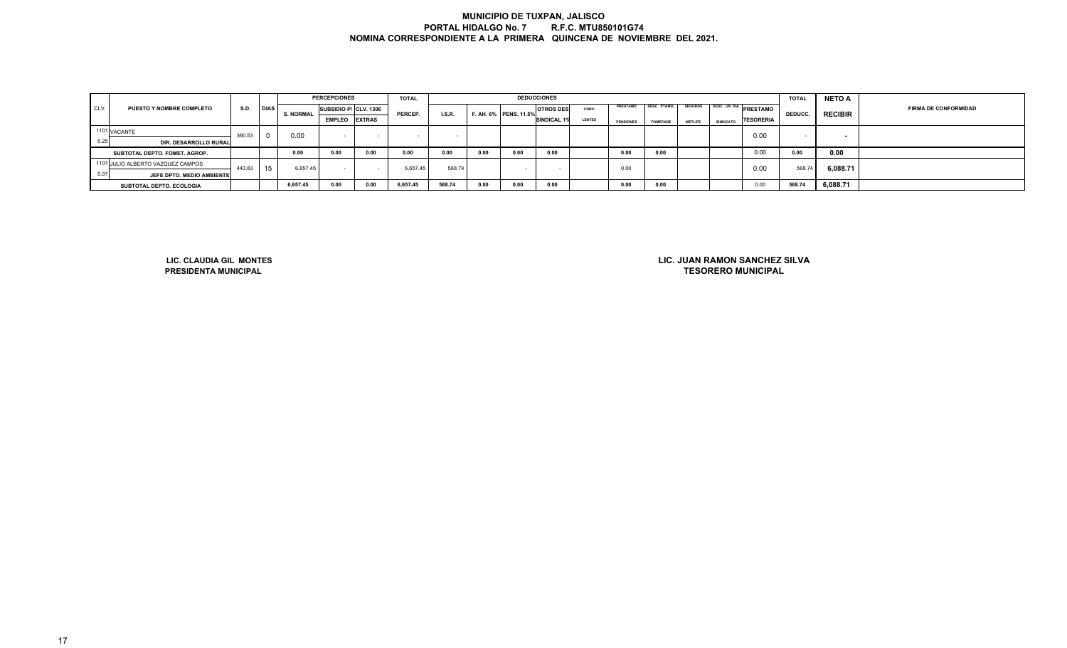|               |                                   |        |             |                  | <b>PERCEPCIONES</b>   |                          | <b>TOTAL</b>             |               |      |                       | <b>DEDUCCIONES</b>       |               |                  |                 |                |                  |                               | <b>TOTAL</b> | <b>NETO A</b>  |                             |
|---------------|-----------------------------------|--------|-------------|------------------|-----------------------|--------------------------|--------------------------|---------------|------|-----------------------|--------------------------|---------------|------------------|-----------------|----------------|------------------|-------------------------------|--------------|----------------|-----------------------------|
| CLV.          | <b>PUESTO Y NOMBRE COMPLETO</b>   | S.D.   | <b>DIAS</b> | <b>S. NORMAL</b> | SUBSIDIO P/ CLV. 1306 |                          | PERCEP.                  | <b>I.S.R.</b> |      | F. AH. 6% PENS. 11.5% | <b>OTROS DES</b>         | CONV.         | PRESTAMO         | DESC. PTAMO.    | <b>SEGUROS</b> |                  | DESC. UN DIA PRESTAMO         | DEDUCC.      | <b>RECIBIR</b> | <b>FIRMA DE CONFORMIDAD</b> |
|               |                                   |        |             |                  | <b>EMPLEO</b>         | <b>EXTRAS</b>            |                          |               |      |                       | <b>SINDICAL 1%</b>       | <b>LENTES</b> | <b>PENSIONES</b> | <b>FOMEPADE</b> | <b>METLIFE</b> | <b>SINDICATO</b> | <b>TESORERIA</b>              |              |                |                             |
|               | 1101 VACANTE                      | 360.53 |             | 0.00             | $\sim$                | $\sim$                   | $\overline{\phantom{a}}$ | $\sim$        |      |                       |                          |               |                  |                 |                |                  | 0.00                          | $\sim$       | $\sim$         |                             |
| 5.25          | DIR. DESARROLLO RURAL             |        |             |                  |                       |                          |                          |               |      |                       |                          |               |                  |                 |                |                  |                               |              |                |                             |
|               | SUBTOTAL DEPTO. FOMET. AGROP.     |        |             | 0.00             | 0.00                  | 0.00                     | 0.00                     | 0.00          | 0.00 | 0.00                  | 0.00                     |               | 0.00             | 0.00            |                |                  | 0.00                          | 0.00         | 0.00           |                             |
|               | 1101 JULIO ALBERTO VAZQUEZ CAMPOS | 443.83 | 15          | 6,657.45         | $\sim$                | $\overline{\phantom{a}}$ | 6,657.45                 | 568.74        |      | $\sim$                | $\overline{\phantom{a}}$ |               | 0.00             |                 |                |                  | 0.00                          | 568.74       | 6,088.71       |                             |
| $5.3^{\circ}$ | JEFE DPTO. MEDIO AMBIENTE         |        |             |                  |                       |                          |                          |               |      |                       |                          |               |                  |                 |                |                  |                               |              |                |                             |
|               | SUBTOTAL DEPTO. ECOLOGIA          |        |             | 6,657.45         | 0.00                  | 0.00                     | 6,657.45                 | 568.74        | 0.00 | 0.00                  | 0.00                     |               | 0.00             | 0.00            |                |                  | 0.00                          | 568.74       | 6,088.71       |                             |
|               |                                   |        |             |                  |                       |                          |                          |               |      |                       |                          |               |                  |                 |                |                  |                               |              |                |                             |
|               |                                   |        |             |                  |                       |                          |                          |               |      |                       |                          |               |                  |                 |                |                  |                               |              |                |                             |
|               |                                   |        |             |                  |                       |                          |                          |               |      |                       |                          |               |                  |                 |                |                  |                               |              |                |                             |
|               |                                   |        |             |                  |                       |                          |                          |               |      |                       |                          |               |                  |                 |                |                  |                               |              |                |                             |
|               |                                   |        |             |                  |                       |                          |                          |               |      |                       |                          |               |                  |                 |                |                  |                               |              |                |                             |
|               |                                   |        |             |                  |                       |                          |                          |               |      |                       |                          |               |                  |                 |                |                  |                               |              |                |                             |
|               | LIC. CLAUDIA GIL MONTES           |        |             |                  |                       |                          |                          |               |      |                       |                          |               |                  |                 |                |                  | LIC. JUAN RAMON SANCHEZ SILVA |              |                |                             |

**LIC. CLAUDIA GIL MONTESPRESIDENTA MUNICIPAL** 

**LIC. JUAN RAMON SANCHEZ SILVATESORERO MUNICIPAL**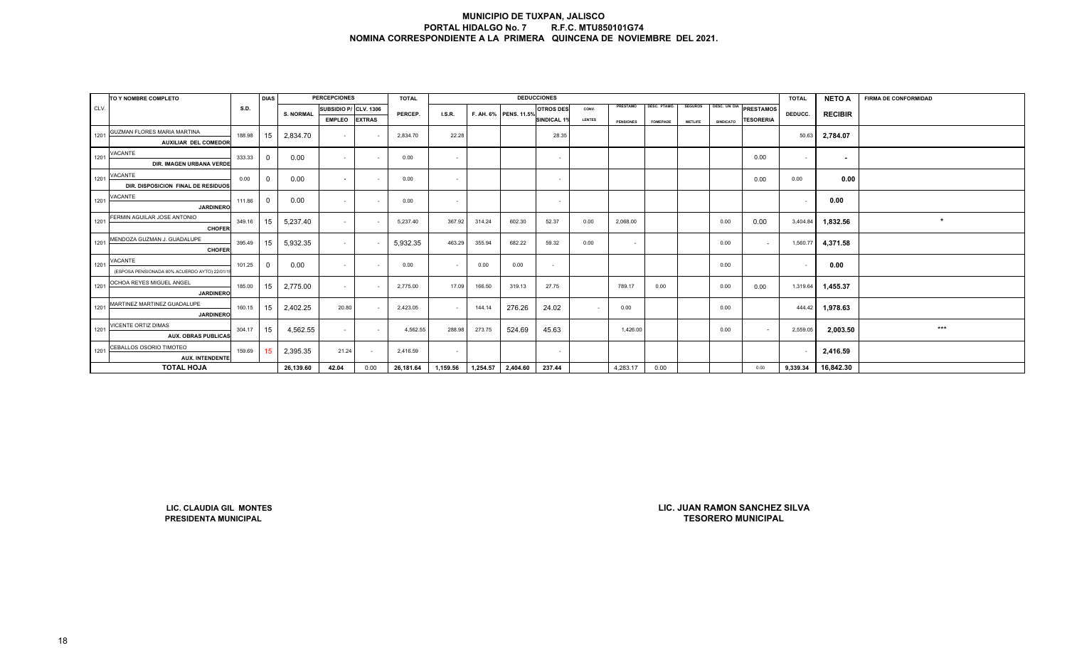|      | TO Y NOMBRE COMPLETO                                 |        | <b>DIAS</b>    |                  | <b>PERCEPCIONES</b>      |        | <b>TOTAL</b> |          |        |                       | <b>DEDUCCIONES</b>       |               |                  |                 |                |                  |                        | <b>TOTAL</b> | <b>NETO A</b>  | <b>FIRMA DE CONFORMIDAD</b> |
|------|------------------------------------------------------|--------|----------------|------------------|--------------------------|--------|--------------|----------|--------|-----------------------|--------------------------|---------------|------------------|-----------------|----------------|------------------|------------------------|--------------|----------------|-----------------------------|
| CLV. |                                                      | S.D.   |                | <b>S. NORMAL</b> | SUBSIDIO P/ CLV. 1306    |        | PERCEP.      | I.S.R.   |        | F. AH. 6% PENS. 11.5% | <b>OTROS DES</b>         | CONV.         | <b>PRESTAMO</b>  | DESC. PTAMO.    | <b>SEGUROS</b> |                  | DESC. UN DIA PRESTAMOS | DEDUCC.      |                |                             |
|      |                                                      |        |                |                  | EMPLEO EXTRAS            |        |              |          |        |                       | SINDICAL 1%              | <b>LENTES</b> | <b>PENSIONES</b> | <b>FOMEPADE</b> | <b>METLIFE</b> | <b>SINDICATO</b> | <b>TESORERIA</b>       |              | <b>RECIBIR</b> |                             |
| 1201 | GUZMAN FLORES MARIA MARTINA                          | 188.98 | 15             | 2,834.70         | $\sim$ $-$               |        | 2,834.70     | 22.28    |        |                       | 28.35                    |               |                  |                 |                |                  |                        | 50.63        | 2,784.07       |                             |
|      | <b>AUXILIAR DEL COMEDOR</b>                          |        |                |                  |                          |        |              |          |        |                       |                          |               |                  |                 |                |                  |                        |              |                |                             |
| 1201 | VACANTE                                              | 333.33 | $\overline{0}$ | 0.00             | $\sim$                   | $\sim$ | 0.00         | $\sim$   |        |                       | $\sim$                   |               |                  |                 |                |                  | 0.00                   | $\sim 100$   | . н. н.        |                             |
|      | DIR. IMAGEN URBANA VERDE                             |        |                |                  |                          |        |              |          |        |                       |                          |               |                  |                 |                |                  |                        |              |                |                             |
| 1201 | VACANTE                                              | 0.00   | $\mathbf 0$    | 0.00             | $\overline{\phantom{a}}$ |        | 0.00         | $\sim$   |        |                       |                          |               |                  |                 |                |                  | 0.00                   | 0.00         | 0.00           |                             |
|      | DIR. DISPOSICION FINAL DE RESIDUOS                   |        |                |                  |                          |        |              |          |        |                       |                          |               |                  |                 |                |                  |                        |              |                |                             |
|      | 1201 VACANTE                                         | 111.86 | $\overline{0}$ | 0.00             | $\sim$                   |        | 0.00         | $\sim$   |        |                       |                          |               |                  |                 |                |                  |                        |              | 0.00           |                             |
|      | <b>JARDINERO</b>                                     |        |                |                  |                          |        |              |          |        |                       |                          |               |                  |                 |                |                  |                        |              |                |                             |
|      | 1201 FERMIN AGUILAR JOSE ANTONIO<br><b>CHOFER</b>    | 349.16 | 15             | 5,237.40         | $\sim$                   |        | 5,237.40     | 367.92   | 314.24 | 602.30                | 52.37                    | 0.00          | 2,068.00         |                 |                | 0.00             | 0.00                   | 3,404.84     | 1,832.56       | $\star$                     |
|      | 1201 MENDOZA GUZMAN J. GUADALUPE                     | 395.49 | 15             | 5,932.35         | $\sim$                   |        | 5,932.35     | 463.29   | 355.94 | 682.22                | 59.32                    | 0.00          | $\sim$           |                 |                | 0.00             | $\sim$                 | 1,560.77     | 4,371.58       |                             |
|      | <b>CHOFER</b>                                        |        |                |                  |                          |        |              |          |        |                       |                          |               |                  |                 |                |                  |                        |              |                |                             |
| 1201 | VACANTE                                              | 101.25 | $\overline{0}$ | 0.00             | $\sim$                   |        | 0.00         | $\sim$   | 0.00   | 0.00                  | $\overline{\phantom{a}}$ |               |                  |                 |                | 0.00             |                        | $\sim$       | 0.00           |                             |
|      | (ESPOSA PENSIONADA 80% ACUERDO AYTO) 22/01/15        |        |                |                  |                          |        |              |          |        |                       |                          |               |                  |                 |                |                  |                        |              |                |                             |
| 1201 | OCHOA REYES MIGUEL ANGEL                             | 185.00 | 15             | 2,775.00         | $\sim$                   |        | 2,775.00     | 17.09    | 166.50 | 319.13                | 27.75                    |               | 789.17           | 0.00            |                | 0.00             | 0.00                   | 1,319.64     | 1,455.37       |                             |
|      | <b>JARDINERO</b>                                     |        |                |                  |                          |        |              |          |        |                       |                          |               |                  |                 |                |                  |                        |              |                |                             |
|      | 1201 MARTINEZ MARTINEZ GUADALUPE<br><b>JARDINERO</b> | 160.15 | 15             | 2,402.25         | 20.80                    |        | 2,423.05     | $\sim$   | 144.14 | 276.26                | 24.02                    |               | 0.00             |                 |                | 0.00             |                        | 444.42       | 1,978.63       |                             |
|      | 1 <sub>1201</sub> VICENTE ORTIZ DIMAS                | 304.17 | 15             | 4,562.55         |                          |        |              |          |        | 524.69                | 45.63                    |               |                  |                 |                |                  |                        |              |                | $***$                       |
|      | <b>AUX. OBRAS PUBLICAS</b>                           |        |                |                  | $\sim$                   | $\sim$ | 4,562.55     | 288.98   | 273.75 |                       |                          |               | 1,426.00         |                 |                | 0.00             | $\sim$                 | 2,559.05     | 2,003.50       |                             |
| 1201 | CEBALLOS OSORIO TIMOTEO                              | 159.69 | 15             | 2,395.35         | 21.24                    |        | 2,416.59     | $\sim$   |        |                       |                          |               |                  |                 |                |                  |                        |              | 2,416.59       |                             |
|      | <b>AUX. INTENDENTE</b>                               |        |                |                  |                          |        |              |          |        |                       |                          |               |                  |                 |                |                  |                        |              |                |                             |
|      | <b>TOTAL HOJA</b>                                    |        |                | 26,139.60        | 42.04                    | 0.00   | 26,181.64    | 1,159.56 |        | 1,254.57 2,404.60     | 237.44                   |               | 4,283.17         | 0.00            |                |                  | 0.00                   | 9,339.34     | 16,842.30      |                             |

**LIC. CLAUDIA GIL MONTESPRESIDENTA MUNICIPAL**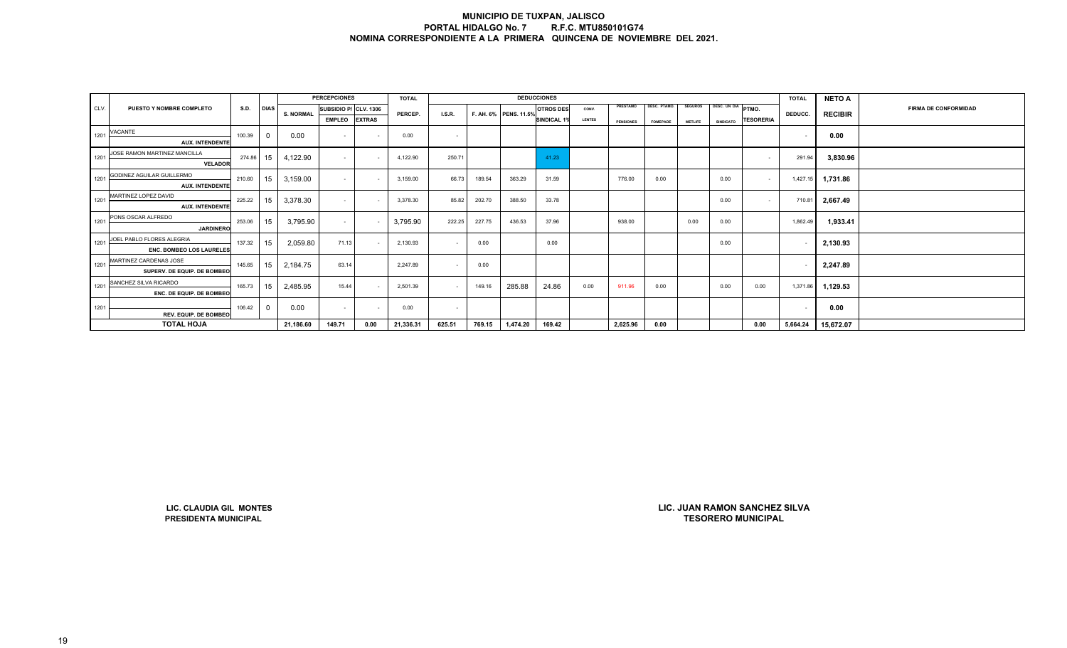|      |                                                       |        |             |                  | <b>PERCEPCIONES</b>   |               | <b>TOTAL</b> |               |        |                       | <b>DEDUCCIONES</b> |               |                  |                 |                |                  |                                                            | <b>TOTAL</b> | <b>NETO A</b>  |                             |
|------|-------------------------------------------------------|--------|-------------|------------------|-----------------------|---------------|--------------|---------------|--------|-----------------------|--------------------|---------------|------------------|-----------------|----------------|------------------|------------------------------------------------------------|--------------|----------------|-----------------------------|
| CLV. | PUESTO Y NOMBRE COMPLETO                              | S.D.   | <b>DIAS</b> | <b>S. NORMAL</b> | SUBSIDIO P/ CLV. 1306 |               | PERCEP.      | <b>I.S.R.</b> |        | F. AH. 6% PENS. 11.5% | <b>OTROS DES</b>   | CONV.         | PRESTAMO         | DESC. PTAMO.    | <b>SEGUROS</b> | DESC. UN DIA     | PTMO.                                                      | DEDUCC.      | <b>RECIBIR</b> | <b>FIRMA DE CONFORMIDAD</b> |
|      |                                                       |        |             |                  | <b>EMPLEO</b>         | <b>EXTRAS</b> |              |               |        |                       | SINDICAL 1%        | <b>LENTES</b> | <b>PENSIONES</b> | <b>FOMEPADE</b> | <b>METLIFE</b> | <b>SINDICATO</b> | <b>TESORERIA</b>                                           |              |                |                             |
| 1201 | VACANTE                                               | 100.39 | $\mathbf 0$ | 0.00             | $\sim$                |               | 0.00         | $\sim$        |        |                       |                    |               |                  |                 |                |                  |                                                            | $\sim$       | 0.00           |                             |
|      | <b>AUX. INTENDENTE</b>                                |        |             |                  |                       |               |              |               |        |                       |                    |               |                  |                 |                |                  |                                                            |              |                |                             |
| 1201 | JOSE RAMON MARTINEZ MANCILLA                          | 274.86 | 15          | 4,122.90         | $\sim$                |               | 4,122.90     | 250.71        |        |                       | 41.23              |               |                  |                 |                |                  | $\overline{\phantom{a}}$                                   | 291.94       | 3,830.96       |                             |
|      | VELADOR                                               |        |             |                  |                       |               |              |               |        |                       |                    |               |                  |                 |                |                  |                                                            |              |                |                             |
| 1201 | GODINEZ AGUILAR GUILLERMO                             | 210.60 | 15          | 3,159.00         | $\sim$                |               | 3,159.00     | 66.73         | 189.54 | 363.29                | 31.59              |               | 776.00           | 0.00            |                | 0.00             | $\sim$                                                     | 1,427.15     | 1,731.86       |                             |
|      | <b>AUX. INTENDENTE</b>                                |        |             |                  |                       |               |              |               |        |                       |                    |               |                  |                 |                |                  |                                                            |              |                |                             |
| 1201 | MARTINEZ LOPEZ DAVID                                  | 225.22 | 15          | 3,378.30         | $\sim$                |               | 3,378.30     | 85.82         | 202.70 | 388.50                | 33.78              |               |                  |                 |                | 0.00             | $\sim$                                                     | 710.81       | 2,667.49       |                             |
|      | <b>AUX. INTENDENTE</b>                                |        |             |                  |                       |               |              |               |        |                       |                    |               |                  |                 |                |                  |                                                            |              |                |                             |
| 1201 | PONS OSCAR ALFREDO                                    | 253.06 | 15          | 3,795.90         | $\sim$                |               | 3,795.90     | 222.25        | 227.75 | 436.53                | 37.96              |               | 938.00           |                 | 0.00           | 0.00             |                                                            | 1,862.49     | 1,933.41       |                             |
|      | <b>JARDINERO</b>                                      |        |             |                  |                       |               |              |               |        |                       |                    |               |                  |                 |                |                  |                                                            |              |                |                             |
| 1201 | JOEL PABLO FLORES ALEGRIA<br>ENC. BOMBEO LOS LAURELES | 137.32 | 15          | 2,059.80         | 71.13                 |               | 2,130.93     | $\sim$        | 0.00   |                       | 0.00               |               |                  |                 |                | 0.00             |                                                            |              | 2,130.93       |                             |
|      | MARTINEZ CARDENAS JOSE                                |        |             |                  |                       |               |              |               |        |                       |                    |               |                  |                 |                |                  |                                                            |              |                |                             |
| 1201 | SUPERV. DE EQUIP. DE BOMBEO                           | 145.65 | 15          | 2,184.75         | 63.14                 |               | 2,247.89     | $\sim$        | 0.00   |                       |                    |               |                  |                 |                |                  |                                                            | $\sim$       | 2,247.89       |                             |
|      | SANCHEZ SILVA RICARDO                                 |        |             |                  |                       |               |              |               |        |                       |                    |               |                  |                 |                |                  |                                                            |              |                |                             |
| 1201 | ENC. DE EQUIP. DE BOMBEO                              | 165.73 | 15          | 2,485.95         | 15.44                 |               | 2,501.39     | $\sim$        | 149.16 | 285.88                | 24.86              | 0.00          | 911.96           | 0.00            |                | 0.00             | 0.00                                                       | 1,371.86     | 1,129.53       |                             |
|      |                                                       |        |             |                  |                       |               |              |               |        |                       |                    |               |                  |                 |                |                  |                                                            |              |                |                             |
| 1201 | <b>REV. EQUIP. DE BOMBEO</b>                          | 106.42 | $\mathbf 0$ | 0.00             | $\sim$                |               | 0.00         | $\sim$        |        |                       |                    |               |                  |                 |                |                  |                                                            | $\sim$       | 0.00           |                             |
|      | <b>TOTAL HOJA</b>                                     |        |             | 21,186.60        | 149.71                | 0.00          | 21,336.31    | 625.51        | 769.15 | 1,474.20              | 169.42             |               | 2,625.96         | 0.00            |                |                  | 0.00                                                       | 5,664.24     | 15,672.07      |                             |
|      |                                                       |        |             |                  |                       |               |              |               |        |                       |                    |               |                  |                 |                |                  |                                                            |              |                |                             |
|      | LIC. CLAUDIA GIL MONTES<br>PRESIDENTA MUNICIPAL       |        |             |                  |                       |               |              |               |        |                       |                    |               |                  |                 |                |                  | LIC. JUAN RAMON SANCHEZ SILVA<br><b>TESORERO MUNICIPAL</b> |              |                |                             |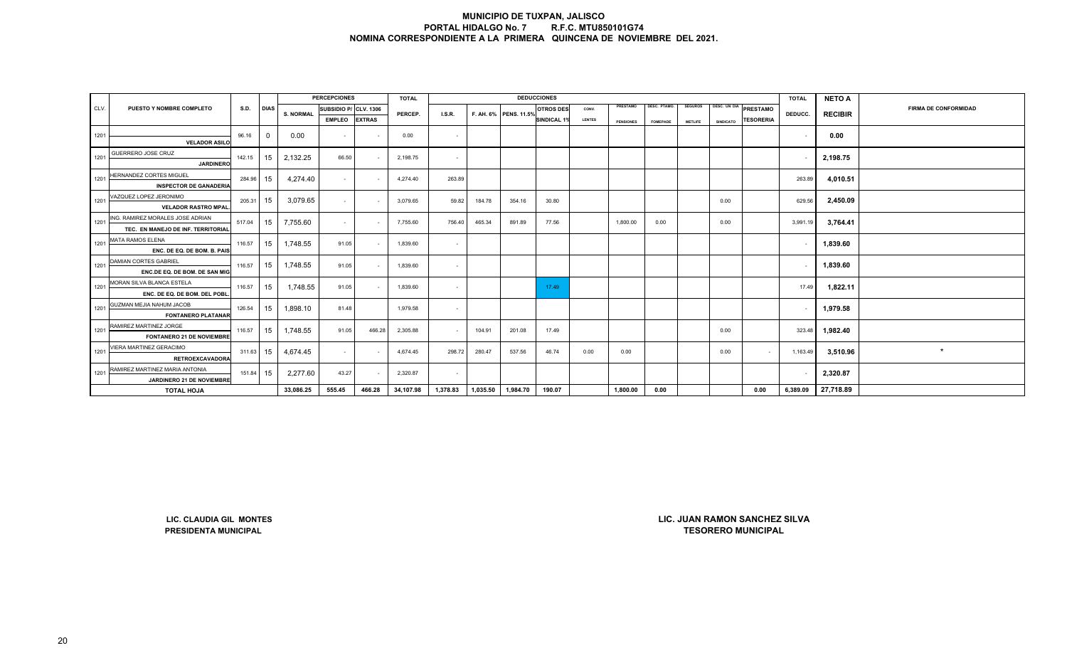|      |                                                              |             |             |                  | <b>PERCEPCIONES</b>   |               | <b>TOTAL</b> |          |          |                       | <b>DEDUCCIONES</b> |        |                  |                 |                |                  |                               | <b>TOTAL</b> | <b>NETO A</b>  |                             |
|------|--------------------------------------------------------------|-------------|-------------|------------------|-----------------------|---------------|--------------|----------|----------|-----------------------|--------------------|--------|------------------|-----------------|----------------|------------------|-------------------------------|--------------|----------------|-----------------------------|
| CLV. | PUESTO Y NOMBRE COMPLETO                                     | <b>S.D.</b> | <b>DIAS</b> | <b>S. NORMAL</b> | SUBSIDIO P/ CLV. 1306 |               | PERCEP.      | LS.R.    |          | F. AH. 6% PENS. 11.5% | <b>OTROS DES</b>   | CONV.  | PRESTAMO         | DESC. PTAMO.    | <b>SEGUROS</b> | DESC. UN DIA     | <b>PRESTAMO</b>               |              | <b>RECIBIR</b> | <b>FIRMA DE CONFORMIDAD</b> |
|      |                                                              |             |             |                  | <b>EMPLEO</b>         | <b>EXTRAS</b> |              |          |          |                       | SINDICAL 1%        | LENTES | <b>PENSIONES</b> | <b>FOMEPADE</b> | <b>METLIFE</b> | <b>SINDICATO</b> | <b>TESORERIA</b>              | DEDUCC.      |                |                             |
| 1201 |                                                              | 96.16       | $\mathbf 0$ | 0.00             |                       |               | 0.00         | $\sim$   |          |                       |                    |        |                  |                 |                |                  |                               | $\sim$       | 0.00           |                             |
|      | <b>VELADOR ASILO</b>                                         |             |             |                  | $\sim$                |               |              |          |          |                       |                    |        |                  |                 |                |                  |                               |              |                |                             |
| 1201 | GUERRERO JOSE CRUZ                                           | 142.15      | 15          | 2,132.25         | 66.50                 |               | 2,198.75     | $\sim$   |          |                       |                    |        |                  |                 |                |                  |                               |              | 2,198.75       |                             |
|      | <b>JARDINERO</b>                                             |             |             |                  |                       |               |              |          |          |                       |                    |        |                  |                 |                |                  |                               |              |                |                             |
| 1201 | <b>IERNANDEZ CORTES MIGUEL</b>                               | 284.96 15   |             | 4,274.40         | $\sim$                |               | 4,274.40     | 263.89   |          |                       |                    |        |                  |                 |                |                  |                               | 263.89       | 4,010.51       |                             |
|      | <b>INSPECTOR DE GANADERIA</b>                                |             |             |                  |                       |               |              |          |          |                       |                    |        |                  |                 |                |                  |                               |              |                |                             |
| 1201 | AZQUEZ LOPEZ JERONIMO                                        | 205.31      | 15          | 3,079.65         | $\sim$                |               | 3,079.65     | 59.82    | 184.78   | 354.16                | 30.80              |        |                  |                 |                | 0.00             |                               | 629.56       | 2,450.09       |                             |
|      | <b>VELADOR RASTRO MPAL</b>                                   |             |             |                  |                       |               |              |          |          |                       |                    |        |                  |                 |                |                  |                               |              |                |                             |
| 1201 | NG. RAMIREZ MORALES JOSE ADRIAN                              | 517.04      | 15          | 7,755.60         | $\sim$                |               | 7,755.60     | 756.40   | 465.34   | 891.89                | 77.56              |        | 1,800.00         | 0.00            |                | 0.00             |                               | 3,991.19     | 3,764.41       |                             |
|      | TEC. EN MANEJO DE INF. TERRITORIAL                           |             |             |                  |                       |               |              |          |          |                       |                    |        |                  |                 |                |                  |                               |              |                |                             |
| 1201 | MATA RAMOS ELENA                                             | 116.57      | 15          | 1,748.55         | 91.05                 |               | 1,839.60     | $\sim$   |          |                       |                    |        |                  |                 |                |                  |                               |              | 1,839.60       |                             |
|      | ENC. DE EQ. DE BOM. B. PAIS                                  |             |             |                  |                       |               |              |          |          |                       |                    |        |                  |                 |                |                  |                               |              |                |                             |
| 1201 | DAMIAN CORTES GABRIEL                                        | 116.57      | 15          | 1,748.55         | 91.05                 |               | 1,839.60     | $\sim$   |          |                       |                    |        |                  |                 |                |                  |                               |              | 1,839.60       |                             |
|      | ENC.DE EQ. DE BOM. DE SAN MIG                                |             |             |                  |                       |               |              |          |          |                       |                    |        |                  |                 |                |                  |                               |              |                |                             |
| 1201 | MORAN SILVA BLANCA ESTELA                                    | 116.57      | 15          | 1,748.55         | 91.05                 |               | 1,839.60     | $\sim$   |          |                       | 17.49              |        |                  |                 |                |                  |                               | 17.49        | 1,822.11       |                             |
|      | ENC. DE EQ. DE BOM. DEL POBL                                 |             |             |                  |                       |               |              |          |          |                       |                    |        |                  |                 |                |                  |                               |              |                |                             |
| 1201 | <b>GUZMAN MEJIA NAHUM JACOB</b><br><b>FONTANERO PLATANAR</b> | 126.54      | 15          | 1,898.10         | 81.48                 |               | 1,979.58     | $\sim$   |          |                       |                    |        |                  |                 |                |                  |                               | $\sim$       | 1,979.58       |                             |
|      | RAMIREZ MARTINEZ JORGE                                       |             |             |                  |                       |               |              |          |          |                       |                    |        |                  |                 |                |                  |                               |              |                |                             |
| 1201 | <b>FONTANERO 21 DE NOVIEMBRE</b>                             | 116.57      | 15          | 1,748.55         | 91.05                 | 466.28        | 2,305.88     | $\sim$   | 104.91   | 201.08                | 17.49              |        |                  |                 |                | 0.00             |                               | 323.48       | 1,982.40       |                             |
|      | <b>IERA MARTINEZ GERACIMO</b>                                |             |             |                  |                       |               |              |          |          |                       |                    |        |                  |                 |                |                  |                               |              |                |                             |
| 1201 | <b>RETROEXCAVADORA</b>                                       | 311.63      | 15          | 4,674.45         | $\sim$                |               | 4,674.45     | 298.72   | 280.47   | 537.56                | 46.74              | 0.00   | 0.00             |                 |                | 0.00             | $\sim$                        | 1,163.49     | 3,510.96       | $\star$                     |
|      | RAMIREZ MARTINEZ MARIA ANTONIA                               |             |             |                  |                       |               |              |          |          |                       |                    |        |                  |                 |                |                  |                               |              |                |                             |
| 1201 | JARDINERO 21 DE NOVIEMBRE                                    | 151.84      | 15          | 2,277.60         | 43.27                 |               | 2,320.87     | $\sim$   |          |                       |                    |        |                  |                 |                |                  |                               |              | 2,320.87       |                             |
|      | <b>TOTAL HOJA</b>                                            |             |             | 33,086.25        | 555.45                | 466.28        | 34,107.98    | 1,378.83 | 1,035.50 | 1,984.70              | 190.07             |        | 1,800.00         | 0.00            |                |                  | 0.00                          | 6,389.09     | 27,718.89      |                             |
|      |                                                              |             |             |                  |                       |               |              |          |          |                       |                    |        |                  |                 |                |                  |                               |              |                |                             |
|      |                                                              |             |             |                  |                       |               |              |          |          |                       |                    |        |                  |                 |                |                  |                               |              |                |                             |
|      |                                                              |             |             |                  |                       |               |              |          |          |                       |                    |        |                  |                 |                |                  |                               |              |                |                             |
|      |                                                              |             |             |                  |                       |               |              |          |          |                       |                    |        |                  |                 |                |                  |                               |              |                |                             |
|      |                                                              |             |             |                  |                       |               |              |          |          |                       |                    |        |                  |                 |                |                  |                               |              |                |                             |
|      |                                                              |             |             |                  |                       |               |              |          |          |                       |                    |        |                  |                 |                |                  |                               |              |                |                             |
|      |                                                              |             |             |                  |                       |               |              |          |          |                       |                    |        |                  |                 |                |                  |                               |              |                |                             |
|      |                                                              |             |             |                  |                       |               |              |          |          |                       |                    |        |                  |                 |                |                  |                               |              |                |                             |
|      |                                                              |             |             |                  |                       |               |              |          |          |                       |                    |        |                  |                 |                |                  |                               |              |                |                             |
|      |                                                              |             |             |                  |                       |               |              |          |          |                       |                    |        |                  |                 |                |                  |                               |              |                |                             |
|      |                                                              |             |             |                  |                       |               |              |          |          |                       |                    |        |                  |                 |                |                  |                               |              |                |                             |
|      | LIC. CLAUDIA GIL MONTES                                      |             |             |                  |                       |               |              |          |          |                       |                    |        |                  |                 |                |                  | LIC. JUAN RAMON SANCHEZ SILVA |              |                |                             |

**LIC. CLAUDIA GIL MONTESPRESIDENTA MUNICIPAL** 

**LIC. JUAN RAMON SANCHEZ SILVATESORERO MUNICIPAL**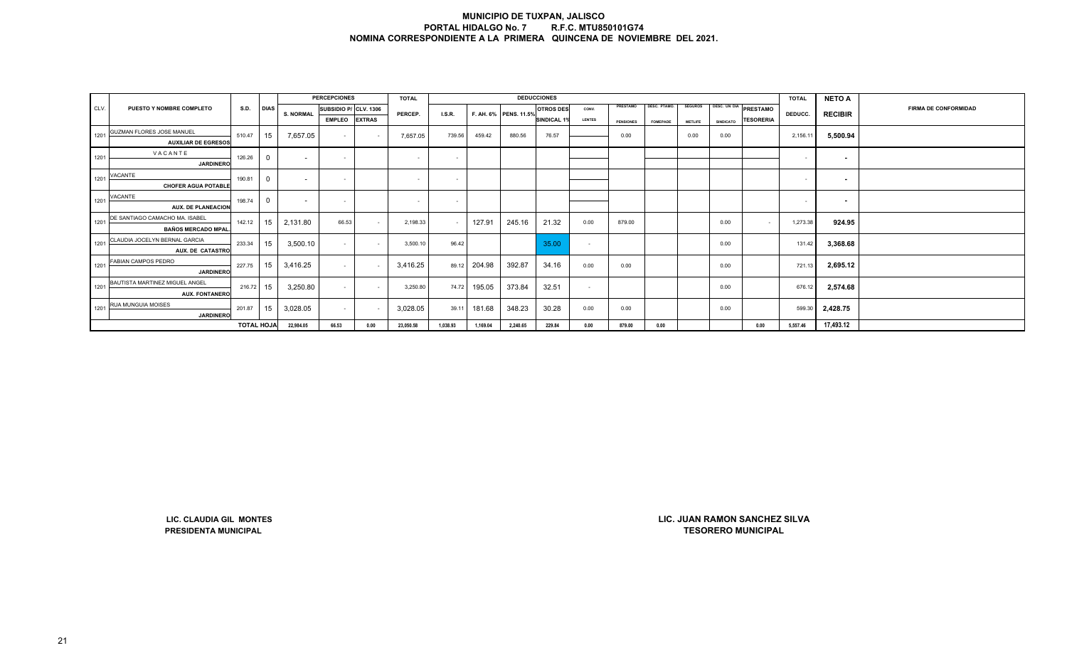|      |                                                        |                   |              |                  | <b>PERCEPCIONES</b>   |               | <b>TOTAL</b> |          |          |                       | <b>DEDUCCIONES</b> |               |                  |                     |                |                  |                                                            | <b>TOTAL</b> | <b>NETO A</b>  |                      |
|------|--------------------------------------------------------|-------------------|--------------|------------------|-----------------------|---------------|--------------|----------|----------|-----------------------|--------------------|---------------|------------------|---------------------|----------------|------------------|------------------------------------------------------------|--------------|----------------|----------------------|
| CLV. | PUESTO Y NOMBRE COMPLETO                               | <b>S.D.</b>       | <b>DIAS</b>  |                  | SUBSIDIO P/ CLV. 1306 |               |              |          |          |                       | <b>OTROS DES</b>   | CONV.         | PRESTAMO         | <b>DESC. PTAMO.</b> | <b>SEGUROS</b> |                  | DESC. UN DIA PRESTAMO                                      |              |                | FIRMA DE CONFORMIDAD |
|      |                                                        |                   |              | <b>S. NORMAL</b> | <b>EMPLEO</b>         | <b>EXTRAS</b> | PERCEP.      | LS.R.    |          | F. AH. 6% PENS. 11.5% | SINDICAL 1%        | <b>LENTES</b> | <b>PENSIONES</b> | <b>FOMEPADE</b>     | <b>METLIFE</b> | <b>SINDICATO</b> | <b>TESORERIA</b>                                           | DEDUCC.      | <b>RECIBIR</b> |                      |
|      | GUZMAN FLORES JOSE MANUEL                              |                   |              |                  |                       |               |              |          |          |                       |                    |               |                  |                     |                |                  |                                                            |              |                |                      |
| 1201 | <b>AUXILIAR DE EGRESOS</b>                             | 510.47            | 15           | 7,657.05         | $\sim$                |               | 7,657.05     | 739.56   | 459.42   | 880.56                | 76.57              |               | 0.00             |                     | 0.00           | 0.00             |                                                            | 2,156.11     | 5,500.94       |                      |
|      | VACANTE                                                |                   |              |                  |                       |               |              |          |          |                       |                    |               |                  |                     |                |                  |                                                            |              |                |                      |
| 1201 | <b>JARDINERO</b>                                       | 126.26            | $\mathbf{0}$ | $\sim$           | $\sim$                |               | $\sim$       | $\sim$   |          |                       |                    |               |                  |                     |                |                  |                                                            | $\sim$       | $\sim$         |                      |
| 1201 | VACANTE                                                | 190.81            | $\mathbf{0}$ | $\sim$           | $\sim$                |               | $\sim$       | $\sim$   |          |                       |                    |               |                  |                     |                |                  |                                                            | $\sim$       | $\sim$         |                      |
|      | <b>CHOFER AGUA POTABLE</b>                             |                   |              |                  |                       |               |              |          |          |                       |                    |               |                  |                     |                |                  |                                                            |              |                |                      |
| 1201 | VACANTE                                                | 198.74            | $\mathbf{0}$ | $\sim$           | $\sim$                |               | $\sim$       | $\sim$   |          |                       |                    |               |                  |                     |                |                  |                                                            | $\sim$       | $\sim$         |                      |
|      | <b>AUX. DE PLANEACION</b>                              |                   |              |                  |                       |               |              |          |          |                       |                    |               |                  |                     |                |                  |                                                            |              |                |                      |
| 1201 | DE SANTIAGO CAMACHO MA. ISABEL                         | 142.12            | 15           | 2,131.80         | 66.53                 |               | 2,198.33     | $\sim$   | 127.91   | 245.16                | 21.32              | 0.00          | 879.00           |                     |                | 0.00             | $\sim$                                                     | 1,273.38     | 924.95         |                      |
|      | <b>BAÑOS MERCADO MPAL</b>                              |                   |              |                  |                       |               |              |          |          |                       |                    |               |                  |                     |                |                  |                                                            |              |                |                      |
| 1201 | CLAUDIA JOCELYN BERNAL GARCIA                          | 233.34            | 15           | 3,500.10         | $\sim$                |               | 3,500.10     | 96.42    |          |                       | 35.00              | $\sim$        |                  |                     |                | 0.00             |                                                            | 131.42       | 3,368.68       |                      |
|      | AUX. DE CATASTRO                                       |                   |              |                  |                       |               |              |          |          |                       |                    |               |                  |                     |                |                  |                                                            |              |                |                      |
| 1201 | FABIAN CAMPOS PEDRO                                    | 227.75            | 15           | 3,416.25         | $\sim$                |               | 3,416.25     | 89.12    | 204.98   | 392.87                | 34.16              | 0.00          | 0.00             |                     |                | 0.00             |                                                            | 721.13       | 2,695.12       |                      |
|      | <b>JARDINERO</b>                                       |                   |              |                  |                       |               |              |          |          |                       |                    |               |                  |                     |                |                  |                                                            |              |                |                      |
| 1201 | BAUTISTA MARTINEZ MIGUEL ANGEL                         | 216.72            | 15           | 3,250.80         | $\sim$                |               | 3,250.80     | 74.72    | 195.05   | 373.84                | 32.51              | $\sim$        |                  |                     |                | 0.00             |                                                            | 676.12       | 2,574.68       |                      |
|      | <b>AUX. FONTANERO</b>                                  |                   |              |                  |                       |               |              |          |          |                       |                    |               |                  |                     |                |                  |                                                            |              |                |                      |
| 1201 | RUA MUNGUIA MOISES<br><b>JARDINERC</b>                 | 201.87            | 15           | 3,028.05         | $\sim$                |               | 3,028.05     | 39.11    | 181.68   | 348.23                | 30.28              | 0.00          | 0.00             |                     |                | 0.00             |                                                            | 599.30       | 2,428.75       |                      |
|      |                                                        | <b>TOTAL HOJA</b> |              | 22,984.05        | 66.53                 | 0.00          | 23,050.58    | 1,038.93 | 1,169.04 | 2,240.65              | 229.84             | 0.00          | 879.00           | 0.00                |                |                  | 0.00                                                       | 5,557.46     | 17,493.12      |                      |
|      |                                                        |                   |              |                  |                       |               |              |          |          |                       |                    |               |                  |                     |                |                  |                                                            |              |                |                      |
|      | LIC. CLAUDIA GIL MONTES<br><b>PRESIDENTA MUNICIPAL</b> |                   |              |                  |                       |               |              |          |          |                       |                    |               |                  |                     |                |                  | LIC. JUAN RAMON SANCHEZ SILVA<br><b>TESORERO MUNICIPAL</b> |              |                |                      |

**LIC. CLAUDIA GIL MONTES**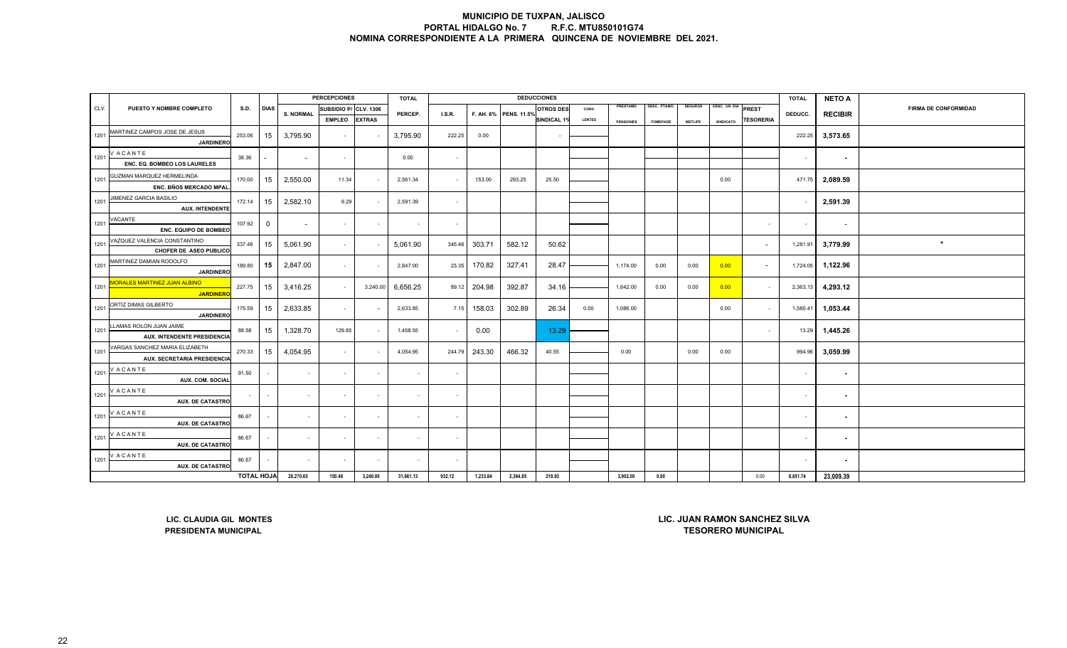|      |                                                                      |                   |             |                  | <b>PERCEPCIONES</b>      |               | <b>TOTAL</b> |                |          |                       | <b>DEDUCCIONES</b> |        |                  |                 |                |                  |                                                                   | <b>TOTAL</b> | <b>NETO A</b>            |                             |
|------|----------------------------------------------------------------------|-------------------|-------------|------------------|--------------------------|---------------|--------------|----------------|----------|-----------------------|--------------------|--------|------------------|-----------------|----------------|------------------|-------------------------------------------------------------------|--------------|--------------------------|-----------------------------|
| CLV. | PUESTO Y NOMBRE COMPLETO                                             | S.D.              | <b>DIAS</b> | <b>S. NORMAL</b> | SUBSIDIO P/ CLV. 1306    |               | PERCEP.      | LS.R.          |          | F. AH. 6% PENS. 11.5% | <b>OTROS DES</b>   | CONV.  | PRESTAMO         | DESC. PTAMO.    | <b>SEGUROS</b> | DESC. UN DIA     | PREST                                                             | DEDUCC.      | <b>RECIBIR</b>           | <b>FIRMA DE CONFORMIDAD</b> |
|      |                                                                      |                   |             |                  | <b>EMPLEO</b>            | <b>EXTRAS</b> |              |                |          |                       | <b>SINDICAL 1%</b> | LENTES | <b>PENSIONES</b> | <b>FOMEPADE</b> | <b>METLIFE</b> | <b>SINDICATO</b> | <b>TESORERIA</b>                                                  |              |                          |                             |
| 1201 | MARTINEZ CAMPOS JOSE DE JESUS                                        | 253.06            | 15          | 3,795.90         | $\overline{\phantom{a}}$ |               | 3,795.90     | 222.25         | 0.00     |                       |                    |        |                  |                 |                |                  |                                                                   | 222.25       | 3,573.65                 |                             |
|      | <b>JARDINERO</b>                                                     |                   |             |                  |                          |               |              |                |          |                       |                    |        |                  |                 |                |                  |                                                                   |              |                          |                             |
| 1201 | V ACANTE<br>ENC. EQ. BOMBEO LOS LAURELES                             | 38.36             |             | $\sim$           | $\sim$                   |               | 0.00         | $\sim$         |          |                       |                    |        |                  |                 |                |                  |                                                                   |              | $\sim$                   |                             |
| 1201 | GUZMAN MARQUEZ HERMELINDA<br>ENC. BÑOS MERCADO MPAL                  | 170.00            | 15          | 2,550.00         | 11.34                    |               | 2,561.34     | $\sim$         | 153.00   | 293.25                | 25.50              |        |                  |                 |                | 0.00             |                                                                   | 471.75       | 2,089.59                 |                             |
| 1201 | JIMENEZ GARCIA BASILIO<br><b>AUX. INTENDENTE</b>                     | 172.14            | 15          | 2,582.10         | 9.29                     |               | 2,591.39     | $\sim$         |          |                       |                    |        |                  |                 |                |                  |                                                                   |              | 2,591.39                 |                             |
| 1201 | VACANTE<br>ENC. EQUIPO DE BOMBEO                                     | 107.92            | $\mathbf 0$ | $\sim$           | $\overline{\phantom{a}}$ |               | $\sim$       | $\sim$         |          |                       |                    |        |                  |                 |                |                  | $\sim$                                                            |              | $\overline{\phantom{a}}$ |                             |
| 1201 | VAZQUEZ VALENCIA CONSTANTINO<br>CHOFER DE ASEO PUBLICO               | 337.46            | 15          | 5,061.90         | $\sim$                   |               | 5,061.90     | 345.46         | 303.71   | 582.12                | 50.62              |        |                  |                 |                |                  | $\sim$                                                            | 1,281.91     | 3,779.99                 | $\star$                     |
| 1201 | MARTINEZ DAMIAN RODOLFO<br><b>JARDINERO</b>                          | 189.80            | 15          | 2,847.00         | $\sim$                   |               | 2,847.00     | 23.35          | 170.82   | 327.41                | 28.47              |        | 1,174.00         | 0.00            | 0.00           | 0.00             | $\overline{\phantom{a}}$                                          | 1,724.05     | 1,122.96                 |                             |
| 1201 | <b>IORALES MARTINEZ JUAN ALBINO</b><br><b>JARDINER</b>               | 227.75            | 15          | 3,416.25         | $\sim$                   | 3,240.00      | 6,656.25     | 89.12          | 204.98   | 392.87                | 34.16              |        | 1,642.00         | 0.00            | 0.00           | 0.00             | $\sim$                                                            | 2,363.13     | 4,293.12                 |                             |
| 1201 | ORTIZ DIMAS GILBERTO<br><b>JARDINERO</b>                             | 175.59            | 15          | 2,633.85         | $\sim$                   |               | 2,633.85     | 7.15           | 158.03   | 302.89                | 26.34              | 0.00   | 1,086.00         |                 |                | 0.00             | $\sim$                                                            | 1,580.41     | 1,053.44                 |                             |
| 1201 | LLAMAS ROLON JUAN JAIME<br>AUX. INTENDENTE PRESIDENCIA               | 88.58             | 15          | 1,328.70         | 129.85                   |               | 1,458.55     | $\sim$         | 0.00     |                       | 13.29              |        |                  |                 |                |                  | $\sim$                                                            | 13.29        | 1,445.26                 |                             |
| 1201 | VARGAS SANCHEZ MARIA ELIZABETH<br><b>AUX. SECRETARIA PRESIDENCIA</b> | 270.33            | 15          | 4,054.95         | $\sim$                   |               | 4,054.95     | 244.79         | 243.30   | 466.32                | 40.55              |        | 0.00             |                 | 0.00           | 0.00             |                                                                   | 994.96       | 3,059.99                 |                             |
| 1201 | V ACANTE<br>AUX. COM. SOCIAL                                         | 91.50             | $\sim$      | $\sim$           | $\sim$                   | $\sim$        | $\sim$       | $\sim$         |          |                       |                    |        |                  |                 |                |                  |                                                                   |              | $\blacksquare$           |                             |
| 1201 | V ACANTE<br><b>AUX. DE CATASTRO</b>                                  | $\sim$            | $\sim$      | $\sim$           | $\overline{\phantom{a}}$ | $\sim$        | $\sim$       | $\blacksquare$ |          |                       |                    |        |                  |                 |                |                  |                                                                   |              | $\sim$                   |                             |
| 1201 | V ACANTE<br><b>AUX. DE CATASTRO</b>                                  | 86.67             | $\sim$      | $\sim$           | $\sim$                   | $\sim$        | $\sim$       | $\sim$         |          |                       |                    |        |                  |                 |                |                  |                                                                   | $\sim$       | $\sim$                   |                             |
| 1201 | V ACANTE<br><b>AUX. DE CATASTRO</b>                                  | 86.67             |             |                  | $\overline{\phantom{a}}$ |               | $\sim$       | $\blacksquare$ |          |                       |                    |        |                  |                 |                |                  |                                                                   |              | $\blacksquare$           |                             |
| 1201 | V ACANTE<br><b>AUX. DE CATASTRO</b>                                  | 86.67             | $\sim$      | $\sim$           | $\sim$                   | $\sim$        | $\sim$       | $\sim$         |          |                       |                    |        |                  |                 |                |                  |                                                                   | $\sim$       | ٠                        |                             |
|      |                                                                      | <b>TOTAL HOJA</b> |             | 28,270.65        | 150.48                   | 3,240.00      | 31,661.13    | 932.12         | 1,233.84 | 2,364.85              | 218.93             |        | 3,902.00         | 0.00            |                |                  | 0.00                                                              | 8,651.74     | 23,009.39                |                             |
|      | LIC. CLAUDIA GIL MONTES<br><b>PRESIDENTA MUNICIPAL</b>               |                   |             |                  |                          |               |              |                |          |                       |                    |        |                  |                 |                |                  | <b>LIC. JUAN RAMON SANCHEZ SILVA</b><br><b>TESORERO MUNICIPAL</b> |              |                          |                             |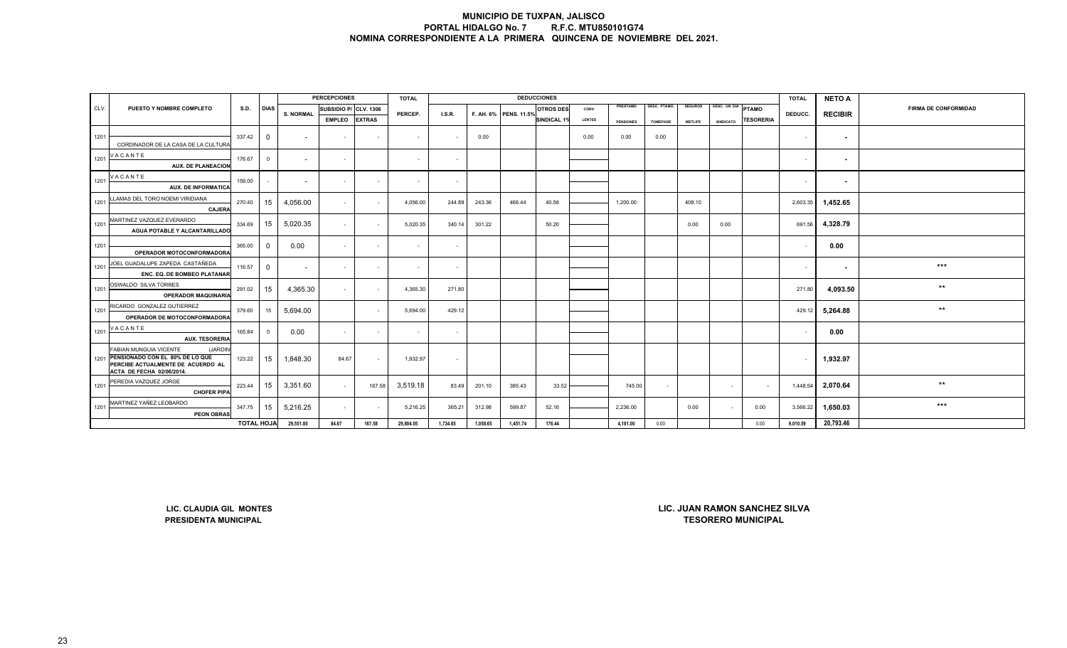|      |                                                                                                                                            |                   |                |                          | <b>PERCEPCIONES</b>   |               | <b>TOTAL</b> |          |          |                       | <b>DEDUCCIONES</b> |        |                  |                 |                |                    |                                                            | <b>TOTAL</b>             | <b>NETO A</b>            |                             |
|------|--------------------------------------------------------------------------------------------------------------------------------------------|-------------------|----------------|--------------------------|-----------------------|---------------|--------------|----------|----------|-----------------------|--------------------|--------|------------------|-----------------|----------------|--------------------|------------------------------------------------------------|--------------------------|--------------------------|-----------------------------|
| CLV. | PUESTO Y NOMBRE COMPLETO                                                                                                                   | S.D.              | <b>DIAS</b>    | <b>S. NORMAL</b>         | SUBSIDIO P/ CLV. 1306 |               | PERCEP.      | LS.R.    |          | F. AH. 6% PENS. 11.5% | <b>OTROS DES</b>   | CONV.  | PRESTAMO         | DESC. PTAMO.    | <b>SEGUROS</b> | DESC. UN DIA PTAMO |                                                            | DEDUCC.                  | <b>RECIBIR</b>           | <b>FIRMA DE CONFORMIDAD</b> |
|      |                                                                                                                                            |                   |                |                          | <b>EMPLEO</b>         | <b>EXTRAS</b> |              |          |          |                       | <b>SINDICAL 1%</b> | LENTES | <b>PENSIONES</b> | <b>FOMEPADE</b> | <b>METLIFE</b> | SINDICATO          | <b>TESORERIA</b>                                           |                          |                          |                             |
| 1201 |                                                                                                                                            | 337.42            | $\mathbf 0$    | $\sim$                   | $\sim$                | $\sim$        | $\sim$       | $\sim$   | 0.00     |                       |                    | 0.00   | 0.00             | 0.00            |                |                    |                                                            | $\sim$                   | $\overline{\phantom{a}}$ |                             |
|      | CORDINADOR DE LA CASA DE LA CULTURA                                                                                                        |                   |                |                          |                       |               |              |          |          |                       |                    |        |                  |                 |                |                    |                                                            |                          |                          |                             |
| 1201 | <b>VACANTE</b>                                                                                                                             | 176.67            | $\overline{0}$ | $\sim$                   | $\sim$                |               | $\sim$       | $\sim$   |          |                       |                    |        |                  |                 |                |                    |                                                            | $\sim$                   | $\sim$                   |                             |
|      | <b>AUX. DE PLANEACION</b>                                                                                                                  |                   |                |                          |                       |               |              |          |          |                       |                    |        |                  |                 |                |                    |                                                            |                          |                          |                             |
| 1201 | <b>/ACANTE</b><br><b>AUX. DE INFORMATICA</b>                                                                                               | 159.00            |                | $\overline{\phantom{a}}$ | $\blacksquare$        | $\sim$        | $\sim$       | $\sim$   |          |                       |                    |        |                  |                 |                |                    |                                                            | $\sim$                   | $\sim$                   |                             |
| 1201 | LAMAS DEL TORO NOEMI VIRIDIANA<br><b>CAJERA</b>                                                                                            | 270.40            | 15             | 4,056.00                 | $\sim$                | $\sim$        | 4,056.00     | 244.89   | 243.36   | 466.44                | 40.56              |        | 1,200.00         |                 | 408.10         |                    |                                                            | 2,603.35                 | 1,452.65                 |                             |
| 1201 | MARTINEZ VAZQUEZ EVERARDO<br><b>AGUA POTABLE Y ALCANTARILLADO</b>                                                                          | 334.69            | 15             | 5,020.35                 | $\sim$                | $\sim$        | 5,020.35     | 340.14   | 301.22   |                       | 50.20              |        |                  |                 | 0.00           | 0.00               |                                                            | 691.56                   | 4,328.79                 |                             |
| 1201 | OPERADOR MOTOCONFORMADORA                                                                                                                  | 365.00            | $\mathbf 0$    | 0.00                     | $\blacksquare$        | $\sim$        | $\sim$       | $\sim$   |          |                       |                    |        |                  |                 |                |                    |                                                            | $\sim$                   | 0.00                     |                             |
| 1201 | JOEL GUADALUPE ZAPEDA CASTAÑEDA<br>ENC. EQ. DE BOMBEO PLATANAR                                                                             | 116.57            | $\mathbf 0$    | $\overline{\phantom{a}}$ | $\sim$                | $\sim$        | $\sim$       | $\sim$   |          |                       |                    |        |                  |                 |                |                    |                                                            | $\sim$                   | $\sim$                   | $***$                       |
| 1201 | OSWALDO SILVA TORRES<br><b>OPERADOR MAQUINARIA</b>                                                                                         | 291.02            | 15             | 4,365.30                 | $\sim$                | $\sim$        | 4,365.30     | 271.80   |          |                       |                    |        |                  |                 |                |                    |                                                            | 271.80                   | 4,093.50                 | $***$                       |
| 1201 | RICARDO GONZALEZ GUTIERREZ<br>OPERADOR DE MOTOCONFORMADORA                                                                                 | 379.60            | 15             | 5,694.00                 |                       | $\sim$        | 5,694.00     | 429.12   |          |                       |                    |        |                  |                 |                |                    |                                                            | 429.12                   | 5,264.88                 | $\star\star$                |
| 1201 | <b>/ACANTE</b><br><b>AUX. TESORERIA</b>                                                                                                    | 165.84            | $\overline{0}$ | 0.00                     | $\sim$                | $\sim$        | $\sim$       | $\sim$   |          |                       |                    |        |                  |                 |                |                    |                                                            | $\overline{\phantom{a}}$ | 0.00                     |                             |
|      | ABIAN MUNGUIA VICENTE<br>(JARDIN<br>1201 PENSIONADO CON EL 80% DE LO QUE<br>PERCIBE ACTUALMENTE DE ACUERDO AL<br>ACTA DE FECHA 02/06/2014. | 123.22            | 15             | 1,848.30                 | 84.67                 | $\sim$        | 1,932.97     | $\sim$   |          |                       |                    |        |                  |                 |                |                    |                                                            | $\sim$                   | 1,932.97                 |                             |
| 1201 | PEREDIA VAZQUEZ JORGE<br><b>CHOFER PIPA</b>                                                                                                | 223.44            | 15             | 3,351.60                 | $\sim$                | 167.58        | 3,519.18     | 83.49    | 201.10   | 385.43                | 33.52              |        | 745.00           | $\sim$          |                | $\sim$             | $\overline{\phantom{a}}$                                   | 1,448.54                 | 2,070.64                 | $\star\star$                |
| 1201 | MARTINEZ YAÑEZ LEOBARDO<br><b>PEON OBRAS</b>                                                                                               | 347.75            | 15             | 5,216.25                 | $\sim$                |               | 5,216.25     | 365.21   | 312.98   | 599.87                | 52.16              |        | 2,236.00         |                 | 0.00           | $\sim$             | 0.00                                                       | 3,566.22                 | 1,650.03                 | $***$                       |
|      |                                                                                                                                            | <b>TOTAL HOJA</b> |                | 29,551.80                | 84.67                 | 167.58        | 29,804.05    | 1,734.65 | 1,058.65 | 1,451.74              | 176.44             |        | 4,181.00         | 0.00            |                |                    | 0.00                                                       | 9,010.59                 | 20,793.46                |                             |
|      |                                                                                                                                            |                   |                |                          |                       |               |              |          |          |                       |                    |        |                  |                 |                |                    |                                                            |                          |                          |                             |
|      | LIC. CLAUDIA GIL MONTES<br>PRESIDENTA MUNICIPAL                                                                                            |                   |                |                          |                       |               |              |          |          |                       |                    |        |                  |                 |                |                    | LIC. JUAN RAMON SANCHEZ SILVA<br><b>TESORERO MUNICIPAL</b> |                          |                          |                             |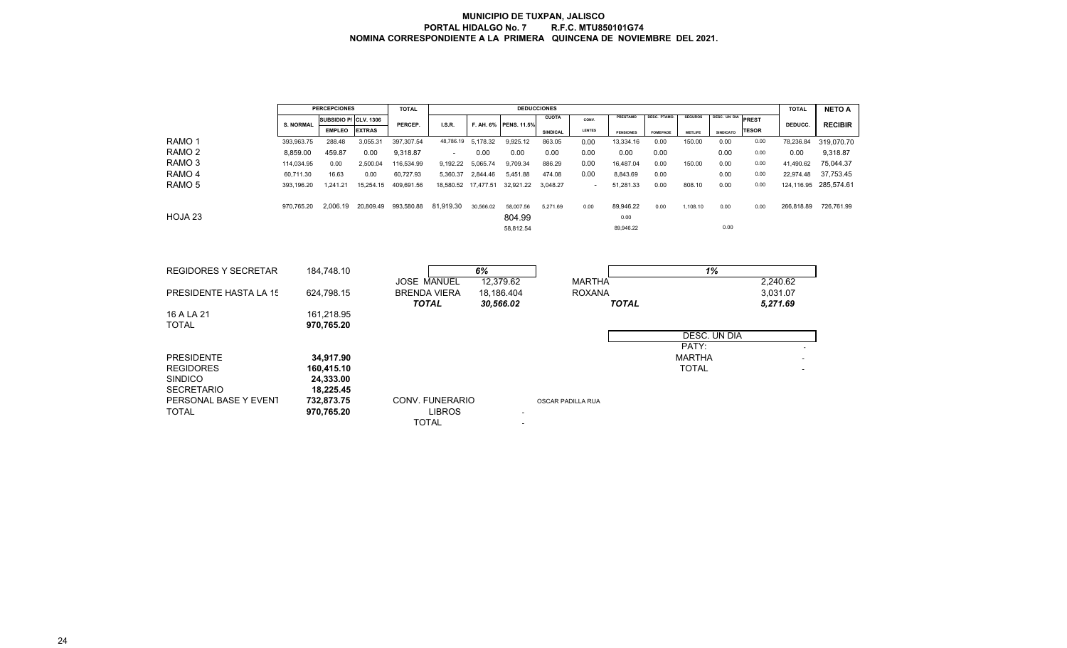#### **MUNICIPIO DE TUXPAN, JALISCO**R.F.C. MTU850101G74 **PORTAL HIDALGO No. 7 NOMINA CORRESPONDIENTE A LA PRIMERA QUINCENA DE NOVIEMBRE DEL 2021.**

|                             |                  | <b>PERCEPCIONES</b>   |                    | <b>TOTAL</b> |                     |                     |                         | <b>DEDUCCIONES</b> |                   |                  |                 |                |                     |              | <b>TOTAL</b>   | <b>NETO A</b>         |
|-----------------------------|------------------|-----------------------|--------------------|--------------|---------------------|---------------------|-------------------------|--------------------|-------------------|------------------|-----------------|----------------|---------------------|--------------|----------------|-----------------------|
|                             |                  | SUBSIDIO P/ CLV. 1306 |                    |              |                     |                     |                         | <b>CUOTA</b>       | CONV.             | <b>PRESTAMO</b>  | DESC. PTAMO.    | <b>SEGUROS</b> | <b>DESC. UN DIA</b> | PREST        |                |                       |
|                             | <b>S. NORMAL</b> | <b>EMPLEO</b>         | <b>EXTRAS</b>      | PERCEP.      | I.S.R.              |                     | F. AH. 6% PENS. 11.5%   | <b>SINDICAL</b>    | LENTES            | <b>PENSIONES</b> | <b>FOMEPADE</b> | <b>METLIFE</b> | <b>SINDICATO</b>    | <b>TESOR</b> | DEDUCC.        | <b>RECIBIR</b>        |
| RAMO <sub>1</sub>           | 393,963.75       | 288.48                | 3,055.31           | 397,307.54   | 48,786.19           | 5.178.32            | 9.925.12                | 863.05             | 0.00              | 13,334.16        | 0.00            | 150.00         | 0.00                | 0.00         | 78,236.84      | 319,070.70            |
| RAMO <sub>2</sub>           | 8,859.00         | 459.87                | 0.00               | 9,318.87     |                     | 0.00                | 0.00                    | 0.00               | 0.00              | 0.00             | 0.00            |                | 0.00                | 0.00         | 0.00           | 9,318.87              |
| RAMO <sub>3</sub>           | 114,034.95       | 0.00                  | 2,500.04           | 116,534.99   | 9,192.22            | 5,065.74            | 9,709.34                | 886.29             | 0.00              | 16,487.04        | 0.00            | 150.00         | 0.00                | 0.00         | 41,490.62      | 75,044.37             |
| RAMO <sub>4</sub>           | 60,711.30        | 16.63                 | 0.00               | 60,727.93    | 5,360.37            | 2,844.46            | 5,451.88                | 474.08             | 0.00              | 8.843.69         | 0.00            |                | 0.00                | 0.00         | 22,974.48      | 37,753.45             |
| RAMO <sub>5</sub>           | 393,196.20       | 1,241.21              | 15,254.15          | 409,691.56   |                     | 18,580.52 17,477.51 | 32,921.22               | 3,048.27           |                   | 51,281.33        | 0.00            | 808.10         | 0.00                | 0.00         |                | 124,116.95 285,574.61 |
|                             | 970,765.20       |                       | 2,006.19 20,809.49 | 993,580.88   | 81,919.30           | 30,566.02           | 58,007.56               | 5,271.69           | 0.00              | 89,946.22        | 0.00            | 1,108.10       | 0.00                | 0.00         | 266,818.89     | 726,761.99            |
| HOJA <sub>23</sub>          |                  |                       |                    |              |                     |                     | 804.99                  |                    |                   | 0.00             |                 |                |                     |              |                |                       |
|                             |                  |                       |                    |              |                     |                     | 58,812.54               |                    |                   | 89,946.22        |                 |                | 0.00                |              |                |                       |
|                             |                  |                       |                    |              |                     |                     |                         |                    |                   |                  |                 |                |                     |              |                |                       |
| <b>REGIDORES Y SECRETAR</b> |                  | 184,748.10            |                    |              |                     | 6%                  |                         |                    |                   |                  |                 |                | 1%                  |              |                |                       |
|                             |                  |                       |                    |              | <b>JOSE MANUEL</b>  |                     | 12,379.62               |                    | <b>MARTHA</b>     |                  |                 |                |                     |              | 2,240.62       |                       |
| PRESIDENTE HASTA LA 15      |                  | 624,798.15            |                    | <b>TOTAL</b> | <b>BRENDA VIERA</b> |                     | 18,186.404<br>30,566.02 |                    | <b>ROXANA</b>     | <b>TOTAL</b>     |                 |                |                     | 5,271.69     | 3.031.07       |                       |
| 16 A LA 21                  |                  | 161,218.95            |                    |              |                     |                     |                         |                    |                   |                  |                 |                |                     |              |                |                       |
| <b>TOTAL</b>                |                  | 970.765.20            |                    |              |                     |                     |                         |                    |                   |                  |                 |                |                     |              |                |                       |
|                             |                  |                       |                    |              |                     |                     |                         |                    |                   |                  |                 |                | DESC. UN DIA        |              |                |                       |
|                             |                  |                       |                    |              |                     |                     |                         |                    |                   |                  |                 | PATY:          |                     |              |                |                       |
| <b>PRESIDENTE</b>           |                  | 34,917.90             |                    |              |                     |                     |                         |                    |                   |                  |                 | <b>MARTHA</b>  |                     |              |                |                       |
| <b>REGIDORES</b>            |                  | 160,415.10            |                    |              |                     |                     |                         |                    |                   |                  |                 | <b>TOTAL</b>   |                     |              | $\blacksquare$ |                       |
| <b>SINDICO</b>              |                  | 24.333.00             |                    |              |                     |                     |                         |                    |                   |                  |                 |                |                     |              |                |                       |
| <b>SECRETARIO</b>           |                  | 18,225.45             |                    |              |                     |                     |                         |                    |                   |                  |                 |                |                     |              |                |                       |
| PERSONAL BASE Y EVENT       |                  | 732,873.75            |                    |              | CONV. FUNERARIO     |                     |                         |                    | OSCAR PADILLA RUA |                  |                 |                |                     |              |                |                       |
| <b>TOTAL</b>                |                  | 970,765.20            |                    |              | <b>LIBROS</b>       |                     |                         |                    |                   |                  |                 |                |                     |              |                |                       |
|                             |                  |                       |                    |              | <b>TOTAL</b>        |                     |                         |                    |                   |                  |                 |                |                     |              |                |                       |

| REGIDORES Y SECRETAR   | 184,748.10 |                     | 6%                       |                          | 1%            |                          |
|------------------------|------------|---------------------|--------------------------|--------------------------|---------------|--------------------------|
|                        |            | <b>JOSE MANUEL</b>  | 12,379.62                | <b>MARTHA</b>            |               | 2,240.62                 |
| PRESIDENTE HASTA LA 15 | 624.798.15 | <b>BRENDA VIERA</b> | 18.186.404               | <b>ROXANA</b>            |               | 3.031.07                 |
|                        |            | <b>TOTAL</b>        | 30,566.02                |                          | <b>TOTAL</b>  | 5,271.69                 |
| 16 A LA 21             | 161.218.95 |                     |                          |                          |               |                          |
| <b>TOTAL</b>           | 970,765.20 |                     |                          |                          |               |                          |
|                        |            |                     |                          |                          | DESC. UN DIA  |                          |
|                        |            |                     |                          |                          | PATY:         |                          |
| <b>PRESIDENTE</b>      | 34.917.90  |                     |                          |                          | <b>MARTHA</b> | $\overline{\phantom{0}}$ |
| <b>REGIDORES</b>       | 160,415.10 |                     |                          |                          | <b>TOTAL</b>  | $\overline{\phantom{a}}$ |
| <b>SINDICO</b>         | 24,333.00  |                     |                          |                          |               |                          |
| <b>SECRETARIO</b>      | 18.225.45  |                     |                          |                          |               |                          |
| PERSONAL BASE Y EVENT  | 732.873.75 | CONV. FUNERARIO     |                          | <b>OSCAR PADILLA RUA</b> |               |                          |
| <b>TOTAL</b>           | 970,765.20 | <b>LIBROS</b>       | $\overline{\phantom{0}}$ |                          |               |                          |
|                        |            | <b>TOTAL</b>        | $\overline{\phantom{0}}$ |                          |               |                          |
|                        |            |                     |                          |                          |               |                          |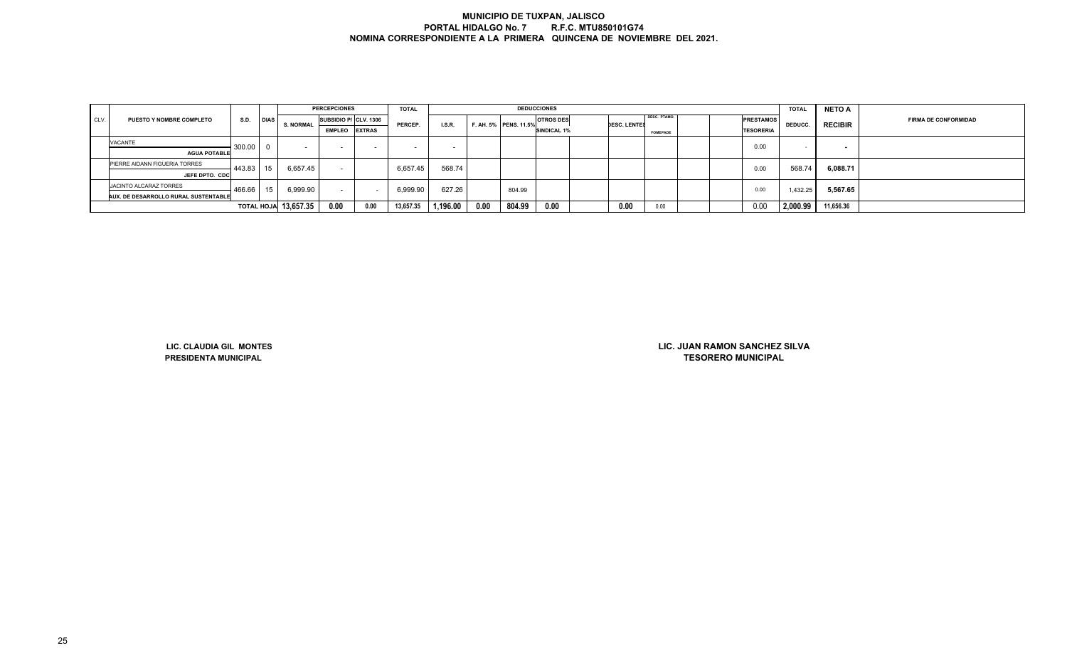|      |                                      |        |             |                             | <b>PERCEPCIONES</b>      |               | <b>TOTAL</b> |          |      |                       | <b>DEDUCCIONES</b> |                     |                 |  |                  | <b>TOTAL</b>   | <b>NETO A</b>                                 |
|------|--------------------------------------|--------|-------------|-----------------------------|--------------------------|---------------|--------------|----------|------|-----------------------|--------------------|---------------------|-----------------|--|------------------|----------------|-----------------------------------------------|
| CLV. | <b>PUESTO Y NOMBRE COMPLETO</b>      | S.D.   | <b>DIAS</b> | <b>S. NORMAL</b>            | SUBSIDIO P/ CLV. 1306    |               | PERCEP.      | I.S.R.   |      | F. AH. 5% PENS. 11.5% | <b>OTROS DES</b>   | <b>DESC. LENTES</b> | DESC. PTAMO.    |  | <b>PRESTAMOS</b> | <b>DEDUCC.</b> | <b>FIRMA DE CONFORMIDAD</b><br><b>RECIBIR</b> |
|      |                                      |        |             |                             | <b>EMPLEO</b>            | <b>EXTRAS</b> |              |          |      |                       | <b>SINDICAL 1%</b> |                     | <b>FOMEPADE</b> |  | <b>TESORERIA</b> |                |                                               |
|      | <b>VACANTE</b>                       | 300.00 |             |                             |                          |               |              |          |      |                       |                    |                     |                 |  | 0.00             |                | $\overline{\phantom{a}}$                      |
|      | <b>AGUA POTABLE</b>                  |        |             |                             |                          |               |              |          |      |                       |                    |                     |                 |  |                  |                |                                               |
|      | PIERRE AIDANN FIGUERIA TORRES        | 443.83 | 15          | 6,657.45                    | $\overline{\phantom{a}}$ |               | 6,657.45     | 568.74   |      |                       |                    |                     |                 |  | 0.00             | 568.74         | 6,088.71                                      |
|      | JEFE DPTO. CDC                       |        |             |                             |                          |               |              |          |      |                       |                    |                     |                 |  |                  |                |                                               |
|      | JACINTO ALCARAZ TORRES               | 466.66 | 15          | 6,999.90                    | $\sim$                   |               | 6,999.90     | 627.26   |      | 804.99                |                    |                     |                 |  | 0.00             | 1,432.25       | 5,567.65                                      |
|      | AUX. DE DESARROLLO RURAL SUSTENTABLE |        |             |                             |                          |               |              |          |      |                       |                    |                     |                 |  |                  |                |                                               |
|      |                                      |        |             | <b>TOTAL HOJA</b> 13,657.35 | 0.00                     | 0.00          | 13,657.35    | 1,196.00 | 0.00 | 804.99                | 0.00               | 0.00                | 0.00            |  | 0.00             | 2,000.99       | 11,656.36                                     |

**LIC. CLAUDIA GIL MONTESPRESIDENTA MUNICIPAL**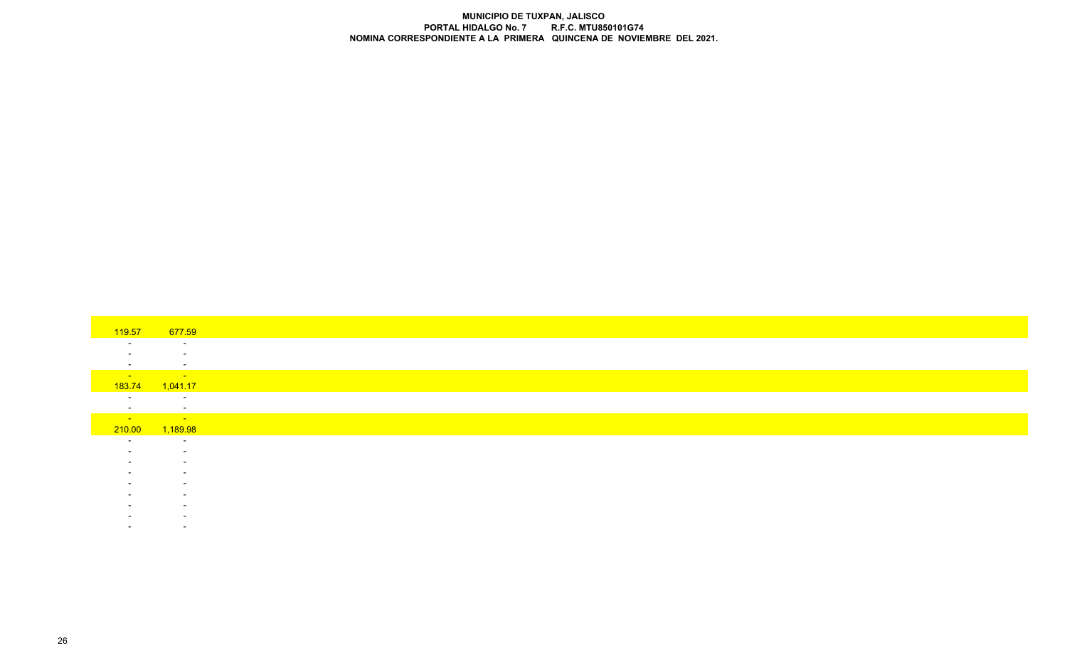| 119.57                   | 677.59                   |
|--------------------------|--------------------------|
| $\overline{\phantom{a}}$ | $\sim$                   |
| $\sim$                   | $\sim$                   |
| $\sim$                   | $\sim$                   |
| <b>State State</b>       | <b>STATISTICS</b>        |
|                          | 183.74 1,041.17          |
| $\sim$                   | <b>Service</b>           |
| $\sim$                   | $\sim$ $-$               |
| an an a                  | <b>Service State</b>     |
|                          | 210.00 1,189.98          |
| $\sim$                   |                          |
|                          |                          |
|                          | $\sim$                   |
| $\sim$                   | $\sim$                   |
|                          | $\overline{\phantom{a}}$ |
|                          | $\sim$                   |
|                          | $\sim$                   |
|                          | $\overline{\phantom{a}}$ |
|                          | $\overline{\phantom{a}}$ |
|                          | $\overline{\phantom{0}}$ |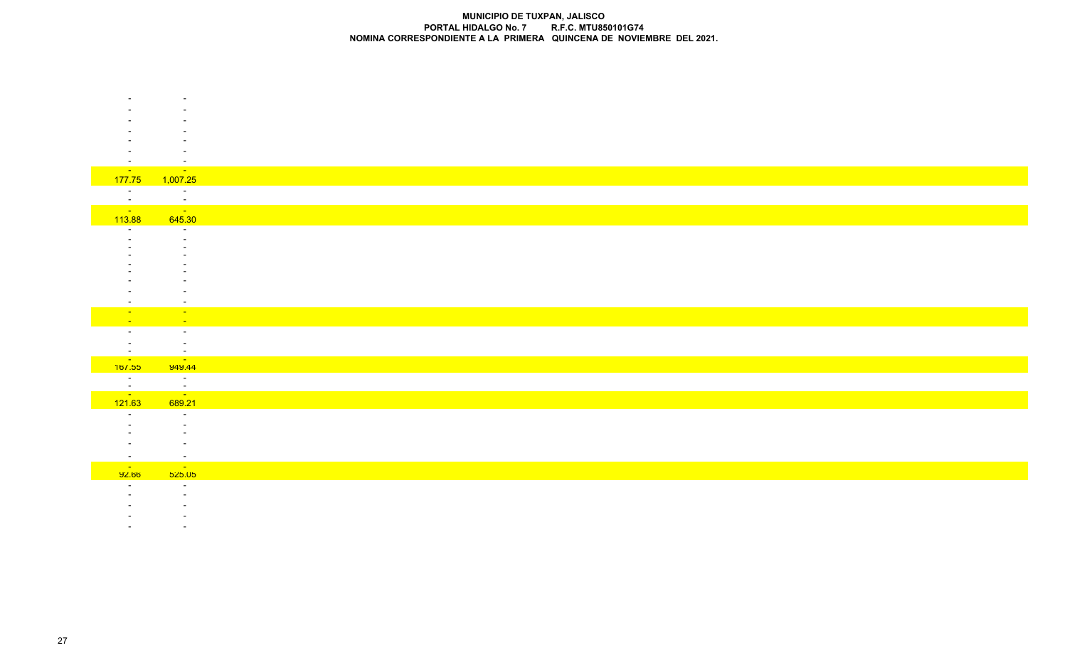| <b>College</b>                       |
|--------------------------------------|
| $\frac{1}{1,007.25}$                 |
| $\sim$                               |
| $\sim$                               |
| $\sim 10^{11}$                       |
| 645.30                               |
| $\sim$                               |
|                                      |
|                                      |
|                                      |
|                                      |
|                                      |
|                                      |
|                                      |
| $\sim$                               |
| $\sim$                               |
| $\sim$                               |
| $\sim$<br>$\sim$                     |
|                                      |
| <u>ຼື</u>                            |
|                                      |
| $\frac{1}{\sqrt{2}}$                 |
| 689.21                               |
|                                      |
| $\sim$                               |
|                                      |
|                                      |
|                                      |
| $\sim$                               |
| $\sim$ $\sim$<br><mark>b∠5.05</mark> |
| $\sim$                               |
|                                      |
|                                      |
|                                      |
|                                      |

- - -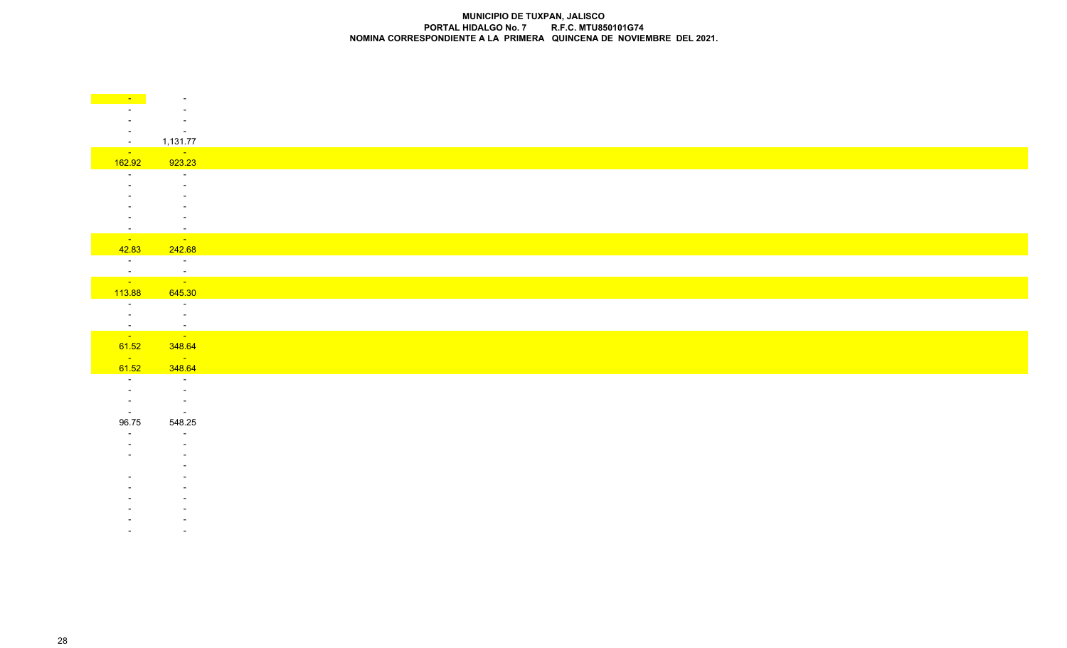|                              | $\overline{\phantom{a}}$                                            |
|------------------------------|---------------------------------------------------------------------|
|                              |                                                                     |
|                              | $\sim$                                                              |
| $\sim$                       | 1,131.77                                                            |
| <b>State State</b><br>162.92 | <b>State State</b><br>923.23                                        |
| $\sim$                       | $\sim$ $-$                                                          |
|                              | $\sim$                                                              |
|                              | $\overline{\phantom{a}}$                                            |
|                              |                                                                     |
| $\sim$                       | $\sim$                                                              |
| $\sim 10^{-10}$<br>42.83     | <b>Contract</b><br>242.68                                           |
| $\sim 10^{-10}$              | 19.                                                                 |
| $\frac{1}{2}$                | $\frac{1}{\sqrt{2}}$                                                |
| 113.88                       | 645.30                                                              |
| $\sim$ 10 $\pm$              | $\sim$ $-$                                                          |
| $\sim$                       | $\sim$                                                              |
| $\frac{1}{\sqrt{2}}$         | $\frac{1}{\sqrt{2}}$                                                |
| 61.52                        | 348.64                                                              |
| <b>College</b><br>61.52      | $\mathcal{L}_{\text{max}}$ and $\mathcal{L}_{\text{max}}$<br>348.64 |
| $\sim$                       | $\sim 10^{-1}$                                                      |
|                              | $\sim$                                                              |
|                              | $\sim$                                                              |
| $\sim$<br>96.75              | $\sim$<br>548.25                                                    |
|                              | $\sim$                                                              |
|                              |                                                                     |
|                              |                                                                     |
|                              |                                                                     |
|                              |                                                                     |
|                              |                                                                     |
|                              |                                                                     |
|                              | $\overline{\phantom{a}}$                                            |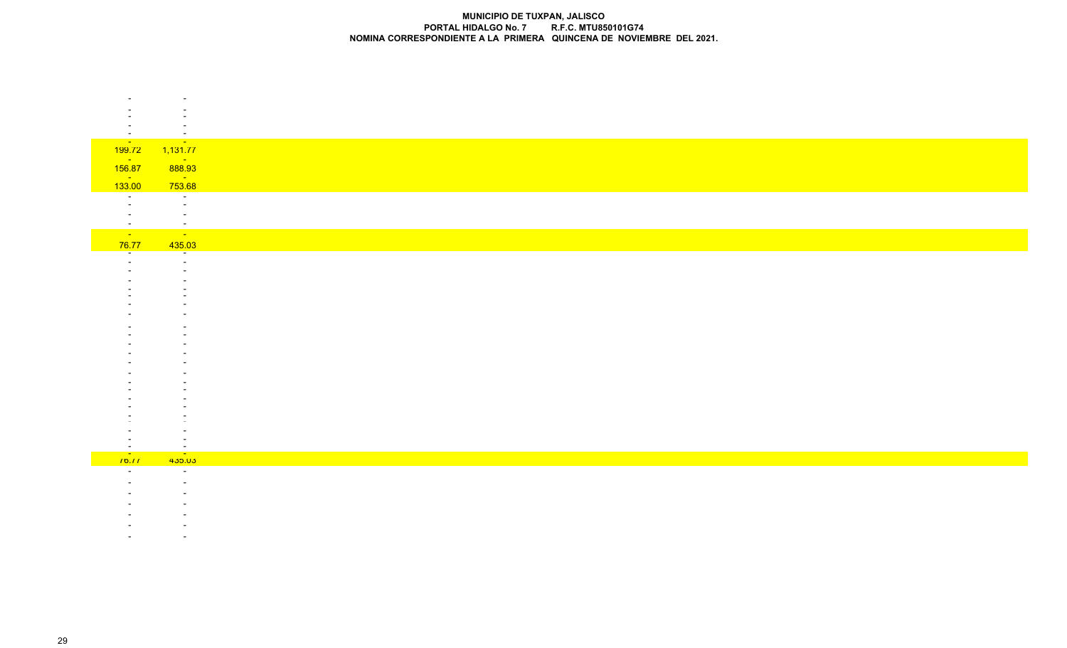| $\frac{1}{199.72}$           | $\begin{array}{ c c c }\n\hline\n & 1,131.77\n\end{array}$ |
|------------------------------|------------------------------------------------------------|
| <b>State State</b><br>156.87 | <b>Contract Contract</b><br>888.93                         |
| <b>State State</b>           | <b>Contract Contract</b>                                   |
| 133.00                       | 753.68                                                     |
|                              | $\sim$<br>$\sim$                                           |
|                              |                                                            |
| $\sim$<br><b>Contract</b>    | $\overline{\phantom{a}}$<br><b>Contract</b>                |
| 76.77                        | 435.03                                                     |
|                              |                                                            |
|                              |                                                            |
|                              |                                                            |
|                              |                                                            |
|                              |                                                            |
|                              |                                                            |
|                              |                                                            |
|                              |                                                            |
|                              |                                                            |
|                              |                                                            |
|                              |                                                            |
|                              |                                                            |
|                              |                                                            |
|                              |                                                            |
|                              |                                                            |
|                              | $\sim$ 100 $\pm$                                           |
| $\frac{1}{16.11}$            | 435.03                                                     |
|                              | $\sim$                                                     |
|                              |                                                            |
|                              |                                                            |
|                              |                                                            |
|                              |                                                            |
|                              |                                                            |

-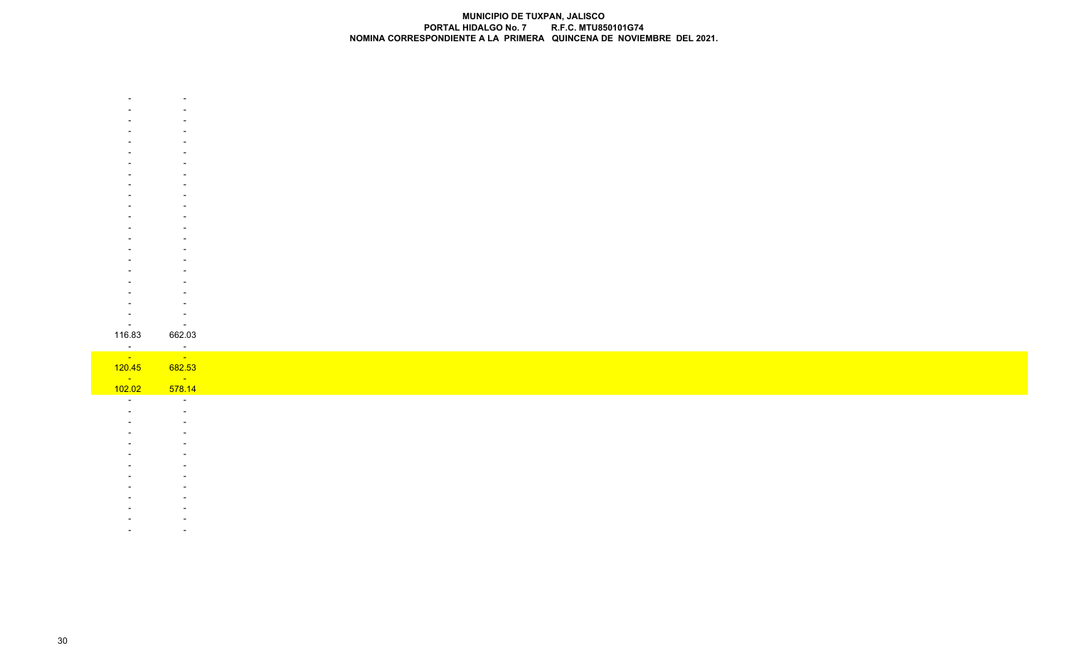| $\overline{\phantom{a}}$ | $\sim$                   |
|--------------------------|--------------------------|
| 116.83                   | 662.03                   |
|                          |                          |
| $\frac{1}{2}$            | $\frac{1}{\sqrt{2}}$     |
| 120.45                   | 682.53                   |
|                          |                          |
| $\sim 100$ km s $^{-1}$  | $\sim 100$ km s $^{-1}$  |
| 102.02                   | 578.14                   |
| $\sim$                   | $\sim 100$               |
|                          | $\overline{\phantom{a}}$ |
|                          | $\overline{\phantom{a}}$ |
|                          | $\overline{\phantom{0}}$ |
|                          |                          |
|                          |                          |
|                          |                          |
|                          |                          |
|                          |                          |
|                          |                          |
|                          |                          |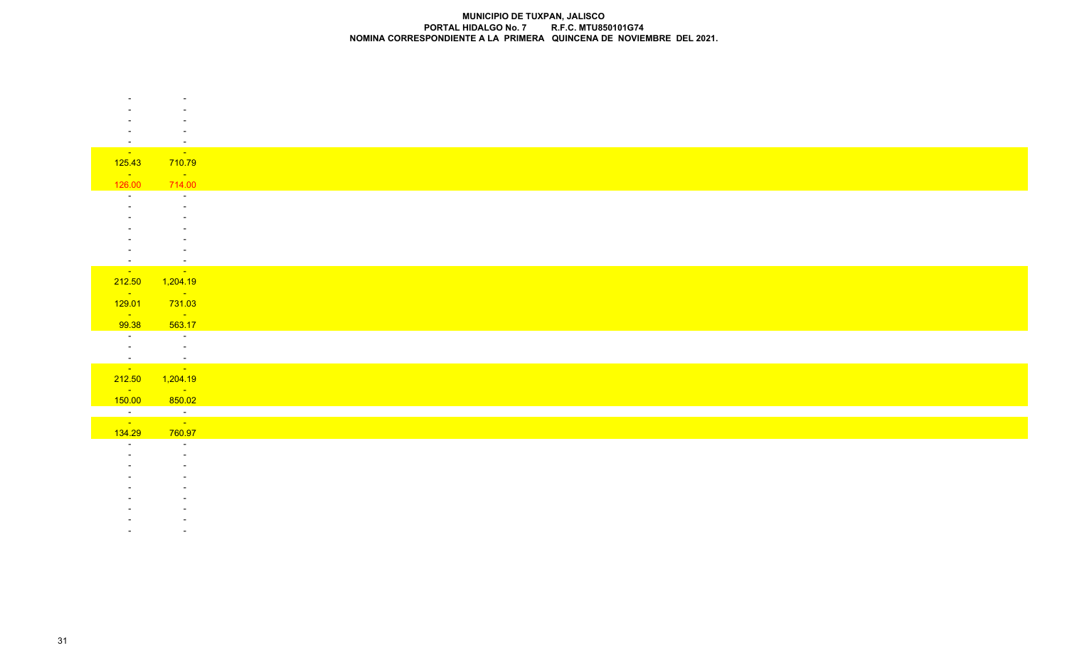| <b>Contract</b>                                         | $\sim 100$                                     |
|---------------------------------------------------------|------------------------------------------------|
| 125.43                                                  | 710.79                                         |
| $\sim$ 10 $\pm$                                         | <b>Service</b>                                 |
| 126.00                                                  | 714.00                                         |
| $\sim$                                                  | $\sim$                                         |
|                                                         |                                                |
|                                                         |                                                |
|                                                         |                                                |
|                                                         |                                                |
| $\overline{\phantom{a}}$<br>$\sim 10^{10}$ km s $^{-1}$ | $\overline{\phantom{a}}$<br><b>State State</b> |
| 212.50                                                  | 1,204.19                                       |
| <b>State State</b>                                      | <b>State State</b>                             |
| 129.01                                                  | 731.03                                         |
| <b>State State</b>                                      | $\sim 10^{11}$ km s $^{-1}$                    |
| 99.38<br>$\sim 100$                                     | 563.17<br>$\sim 100$ m $^{-1}$                 |
| $\sim$ $-$                                              | $\sim$                                         |
| $\mathcal{L}$                                           | $\mathcal{L}(\mathbf{r})$                      |
| and a state                                             | <b>Service State</b>                           |
| 212.50                                                  | 1,204.19                                       |
| $\sim 100$ km s $^{-1}$                                 | <b>Service</b><br>850.02                       |
| 150.00                                                  |                                                |
| $\frac{1}{2}$                                           | $\frac{1}{2}$                                  |
| 134.29                                                  | 760.97                                         |
| $\sim$                                                  | $\sim$                                         |
|                                                         |                                                |
|                                                         |                                                |
|                                                         |                                                |
|                                                         |                                                |
|                                                         |                                                |

- 
- - - -
	- -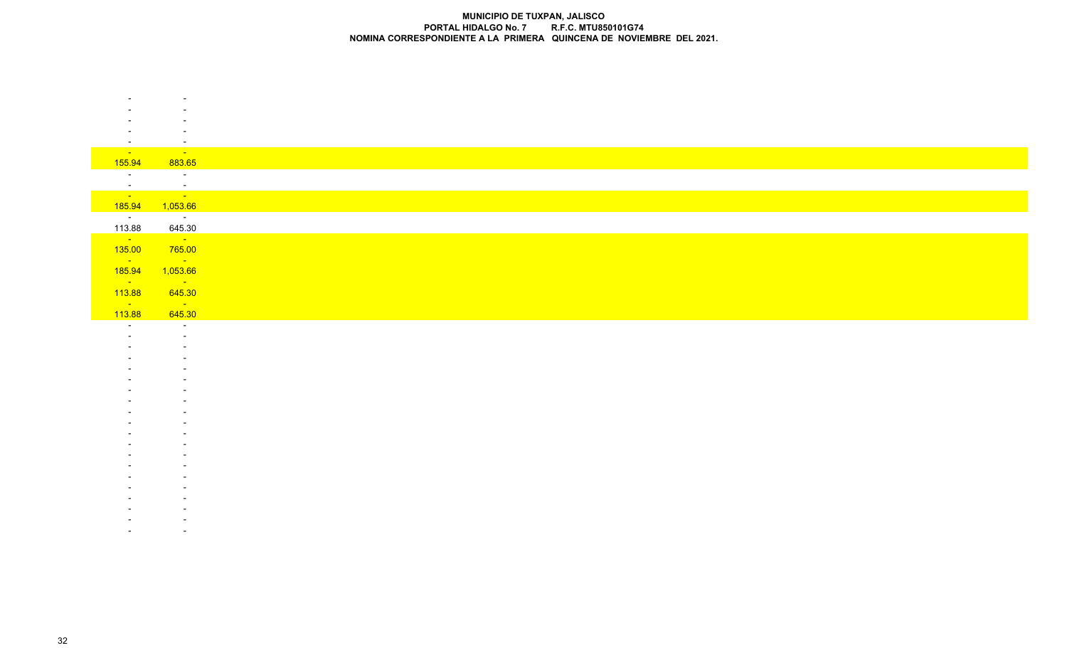| $\sim$<br>$\sim 100$                              |
|---------------------------------------------------|
| 883.65                                            |
| $\sim 100$ m $^{-1}$                              |
|                                                   |
|                                                   |
| 1,053.66                                          |
| $\sim 100$ m $^{-1}$                              |
| 645.30                                            |
| $\mathcal{L}^{\text{max}}_{\text{max}}$<br>765.00 |
| <b>Service</b>                                    |
| 1,053.66                                          |
| $\sim 100$ km s $^{-1}$                           |
| 645.30                                            |
| $\sim 10^{11}$ km $^{-1}$                         |
| 645.30                                            |
| $\sim$                                            |
| $\overline{\phantom{a}}$                          |
|                                                   |
|                                                   |
|                                                   |
|                                                   |
|                                                   |
|                                                   |
|                                                   |
|                                                   |
|                                                   |
|                                                   |
|                                                   |
|                                                   |
|                                                   |
|                                                   |
|                                                   |
|                                                   |
|                                                   |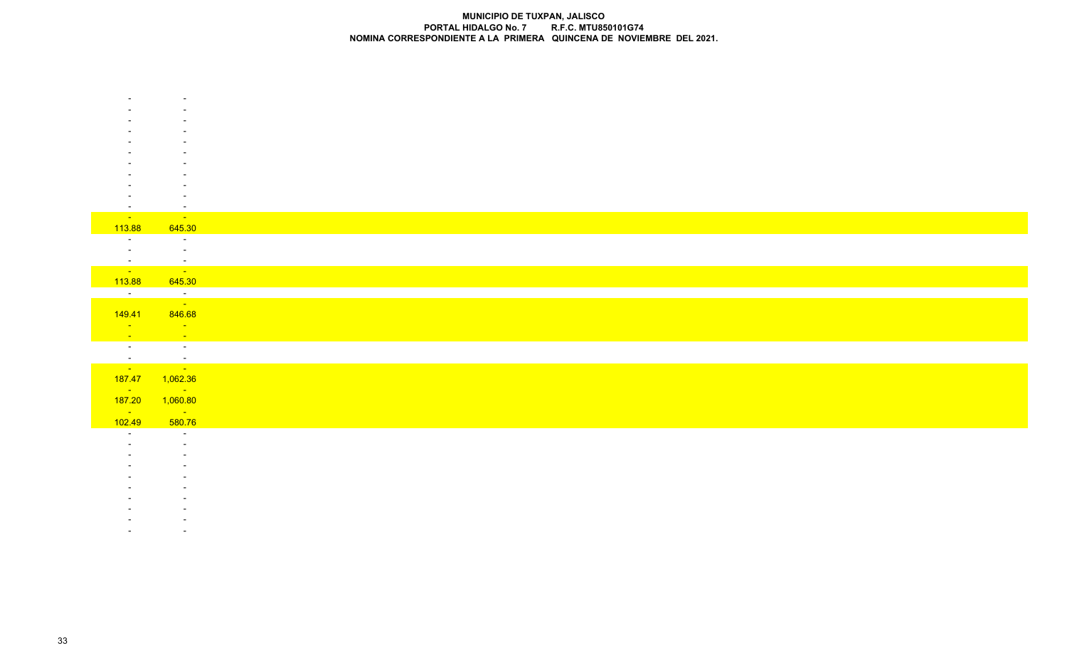| <b>State State</b>       | $\sim$<br><b>Service</b>                                               |
|--------------------------|------------------------------------------------------------------------|
| 113.88                   | 645.30                                                                 |
| $\sim$                   | $\sim 100$ m $^{-1}$                                                   |
|                          | $\sim$ $-$                                                             |
|                          | in En<br><u>a da sa</u>                                                |
| 113.88                   | 645.30                                                                 |
|                          |                                                                        |
|                          | <u>a sa sala</u>                                                       |
| 149.41                   | 846.68                                                                 |
| <b>Contract Contract</b> | <b>Service</b>                                                         |
| $\blacksquare$           | <b>Allen</b><br><u>and a strong strong part</u>                        |
|                          |                                                                        |
|                          | an di kacamatan Ing Kabupatèn Bandar<br>Kacamatan Ing Kabupatèn Bandar |
|                          | 187.47 1,062.36                                                        |
|                          | <b>Contract Contract Contract</b>                                      |
| 187.20                   | 1,060.80                                                               |
| $\sim 100$ km s $^{-1}$  | $\mathcal{L}^{\text{max}}_{\text{max}}$                                |
| 102.49<br>$\sim$         | 580.76<br>$\sim$                                                       |
|                          | $\sim$                                                                 |
|                          |                                                                        |
|                          |                                                                        |
|                          |                                                                        |
|                          |                                                                        |
|                          |                                                                        |
|                          |                                                                        |
|                          |                                                                        |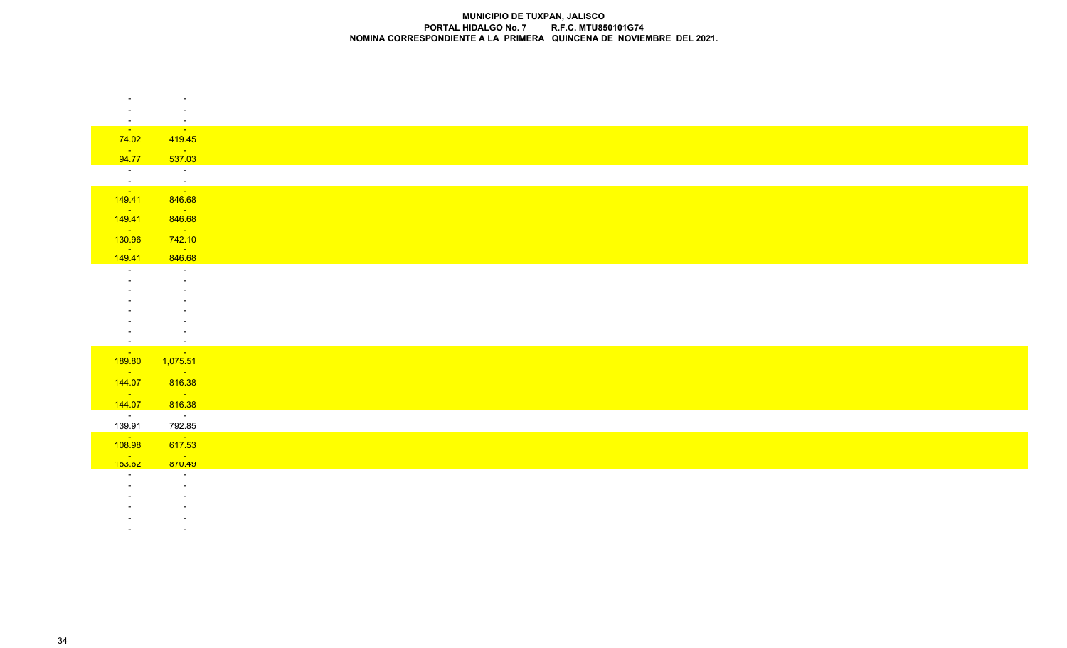|                                        | $\overline{\phantom{a}}$                                       |
|----------------------------------------|----------------------------------------------------------------|
| $\overline{\phantom{a}}$               | $\sim$                                                         |
| <b>State State</b><br>74.02            | <b>Contract Contract</b><br>419.45                             |
| <b>State State</b>                     | <b>State State</b>                                             |
| 94.77<br>$\sim 10^{-10}$               | 537.03<br>$\sim 100$ km s $^{-1}$                              |
| entaria.<br><mark>Altre de la c</mark> | <u>era</u>                                                     |
| 149.41                                 | 846.68                                                         |
| <u>and the state</u><br>149.41         | <b>State State</b><br>846.68                                   |
| $\sim 100$<br>130.96                   | <b>Contact</b><br>742.10                                       |
| <b>State State</b>                     | $\mathcal{L}_{\text{max}}$ and $\mathcal{L}_{\text{max}}$      |
| 149.41<br>$\sim$                       | 846.68<br>$\sim$ $-$                                           |
|                                        |                                                                |
|                                        |                                                                |
|                                        |                                                                |
|                                        |                                                                |
| $\sim$                                 | $\mathbb{Z}$                                                   |
| <b>Contract</b><br>189.80              | <b>Contract</b><br>1,075.51                                    |
| <b>College</b>                         | $\mathcal{L}(\mathcal{L})$ and $\mathcal{L}(\mathcal{L})$      |
| 144.07<br><b>Contract</b>              | 816.38<br><b>State Advise</b>                                  |
| 144.07                                 | 816.38                                                         |
| 139.91                                 | $\alpha$ , $\alpha$ , $\alpha$ , $\alpha$ , $\alpha$<br>792.85 |
| an an a<br>108.98                      | <b>Contract Contract</b><br>617.53                             |
| <b>Contract</b>                        | <b>Contract</b>                                                |
| 153.62                                 | 870.49<br>$\sim$ $-$                                           |
|                                        | $\overline{a}$                                                 |
|                                        |                                                                |
|                                        |                                                                |

 - --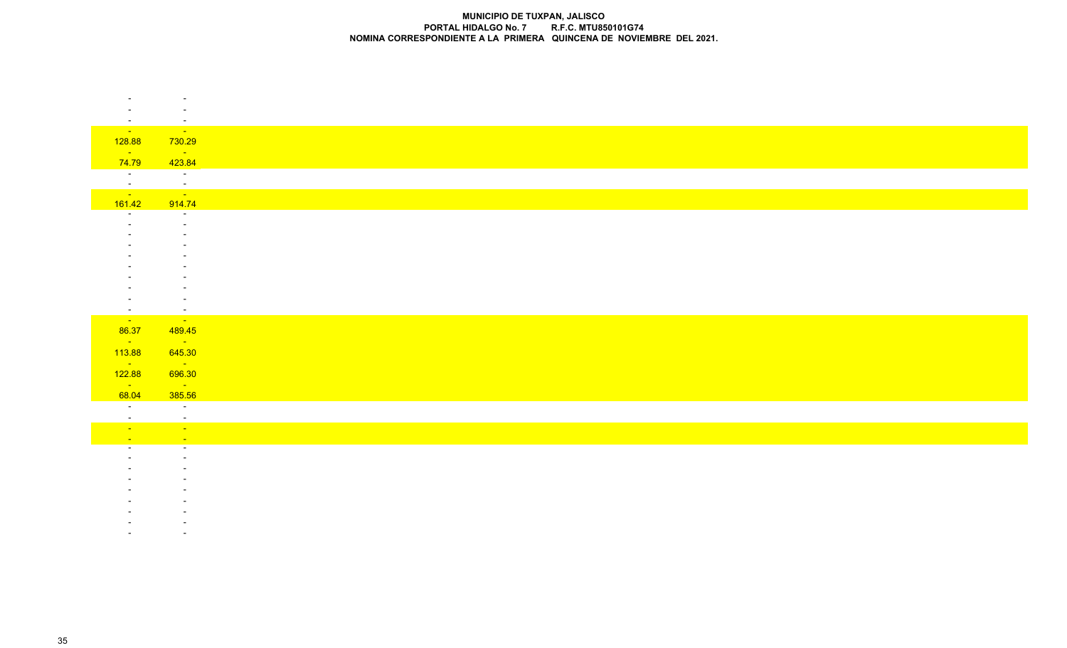| <b>Contract</b>           | <b>College</b>                              |
|---------------------------|---------------------------------------------|
| 128.88                    | 730.29                                      |
| <b>State</b>              | <b>State State</b>                          |
| 74.79                     | 423.84                                      |
| <b>Contract</b>           | $\sim 100$ m $^{-1}$                        |
| $\frac{1}{\sqrt{2}}$      | $\frac{1}{\sqrt{2}}$                        |
| 161.42                    | 914.74                                      |
| $\sim$                    | $\sim$                                      |
|                           | $\blacksquare$                              |
|                           |                                             |
|                           |                                             |
|                           |                                             |
|                           |                                             |
|                           |                                             |
|                           |                                             |
| $\sim$<br><b>Contract</b> | $\overline{\phantom{a}}$<br><b>Contract</b> |
| 86.37                     | 489.45                                      |
| <b>College</b>            | $\sim 100$ km s $^{-1}$                     |
| 113.88                    | 645.30                                      |
| <b>State State</b>        | $\sim 10^{11}$ km s $^{-1}$                 |
| 122.88                    | 696.30                                      |
| $\sim 10^{-10}$<br>68.04  | $\sim 100$ km s $^{-1}$<br>385.56           |
| $\sim 10^{-11}$           | $\sim$                                      |
| $\sim$ $-$                | $\sim$                                      |
| <b>CALC</b>               | $\mathbb{Z}^{\mathbb{Z}^{\times}}$          |
| <b>Page</b>               | $\sim$                                      |
|                           | $\sim$                                      |
|                           |                                             |
|                           |                                             |
|                           |                                             |
|                           |                                             |
|                           |                                             |
|                           |                                             |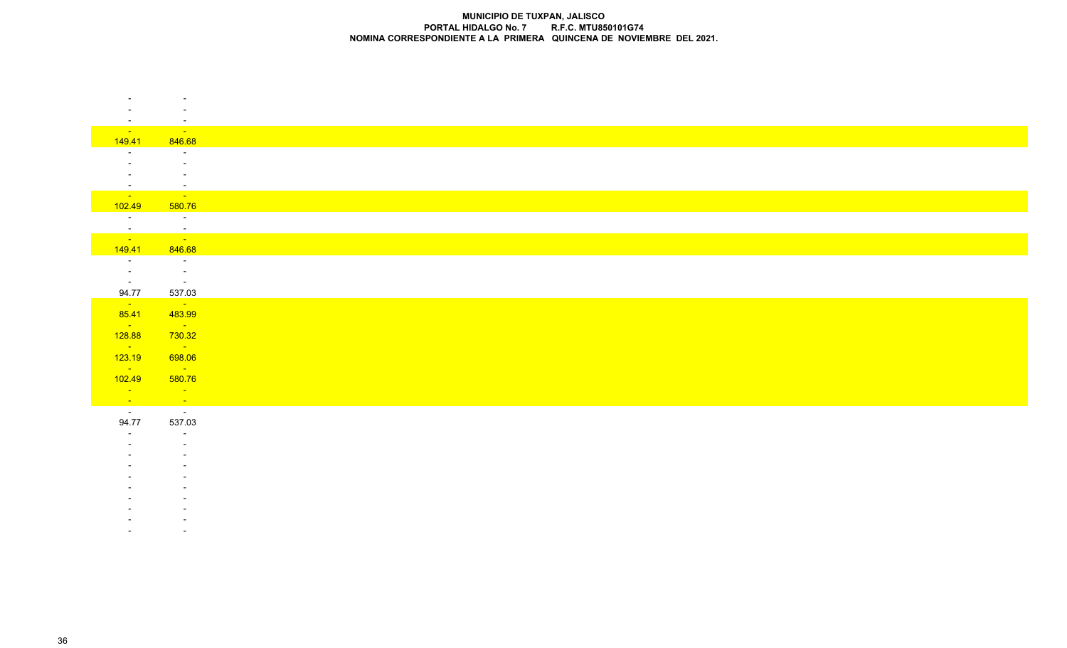|                              | $\sim$                        |
|------------------------------|-------------------------------|
|                              |                               |
| $\sim$                       | $\sim$<br><b>Contract</b>     |
| <b>Contract</b><br>149.41    | 846.68                        |
| $\sim$                       | $\sim$                        |
|                              | $\sim$                        |
|                              | $\sim$                        |
| $\sim$                       | $\sim$                        |
| <b>Contract Contract</b>     | <u> Tan</u>                   |
| 102.49                       | 580.76                        |
| <b>Contractor</b>            | $\sim 100$ km s $^{-1}$       |
| $\frac{1}{\sqrt{2}}$         | $\frac{1}{\sqrt{2}}$          |
| 149.41                       | 846.68                        |
| $\sim 10^{-11}$              | $\sim 100$ km s $^{-1}$       |
| $\sim$ 100 $\mu$             | $\sim 100$ km s $^{-1}$       |
| $\sim 10^{-10}$              | $\sim 100$ km s $^{-1}$       |
| 94.77                        | 537.03                        |
| $\sim 10^{10}$               | <b>State State</b>            |
| 85.41                        | 483.99                        |
| $\sim 100$ km s $^{-1}$      | <b>State State</b>            |
| 128.88                       | 730.32                        |
| <b>State State</b><br>123.19 | <b>State Advise</b><br>698.06 |
| <b>Contract</b>              | <u>an Si</u>                  |
| 102.49                       | 580.76                        |
| <b>Service Control</b>       | <u> Tanzania de la p</u>      |
| $\frac{1}{2}$                | $\frac{1}{2}$                 |
|                              |                               |
| 94.77                        | 537.03                        |
|                              | $\sim$                        |
|                              |                               |
|                              |                               |
|                              |                               |
|                              |                               |
|                              |                               |
|                              |                               |
|                              |                               |
|                              |                               |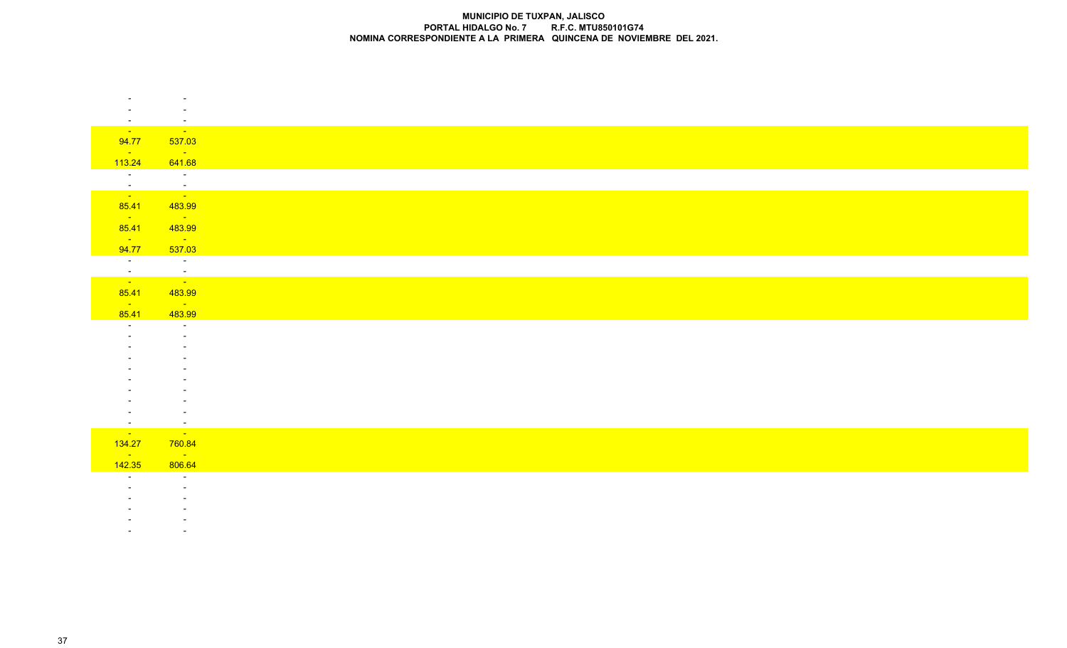|                              | $\overline{\phantom{a}}$                                  |
|------------------------------|-----------------------------------------------------------|
|                              |                                                           |
|                              | $\sim$                                                    |
| <b>State State</b><br>94.77  | <b>Contract</b><br>537.03                                 |
| <b>State State</b>           | <b>Contract Contract</b>                                  |
| 113.24                       | 641.68                                                    |
| $\overline{\phantom{a}}$     | $\mathcal{L}_{\text{max}}$ and $\mathcal{L}_{\text{max}}$ |
| $\frac{1}{\sqrt{2}}$         | $\sim$ 10 $\pm$                                           |
|                              | <b>Contract Contract</b>                                  |
| 85.41<br><b>State State</b>  | 483.99<br><u> Tanzania</u>                                |
| 85.41                        | 483.99                                                    |
| <b>State State</b>           | <b>Service</b>                                            |
| 94.77                        | 537.03                                                    |
| $\sim 10^{-10}$ m $^{-1}$    | $\mathcal{L}_{\rm{max}}$ and $\mathcal{L}_{\rm{max}}$     |
| $\frac{1}{\sqrt{2}}$         | $\sim 100$<br>$\sim$ 100 $\pm$                            |
| 85.41                        | 483.99                                                    |
| <b>Service</b>               | $\sim 100$ km s $^{-1}$                                   |
| 85.41                        | 483.99                                                    |
| $\sim$ 10 $\pm$              | $\sim$ $-$                                                |
|                              | $\sim$                                                    |
|                              |                                                           |
|                              |                                                           |
|                              |                                                           |
|                              |                                                           |
|                              |                                                           |
|                              | $\overline{\phantom{a}}$                                  |
| $\sim$<br><b>State State</b> | $\sim$<br>$\sim$ 100 $\pm$                                |
| 134.27                       | 760.84                                                    |
| <b>Contact Contact</b>       | $\mathcal{L}^{\text{max}}_{\text{max}}$                   |
| 142.35                       | 806.64                                                    |
| $\sim$ $-$                   | $\sim$ $-$                                                |
|                              | $\sim$                                                    |
|                              | $\overline{\phantom{0}}$                                  |

- -

 - --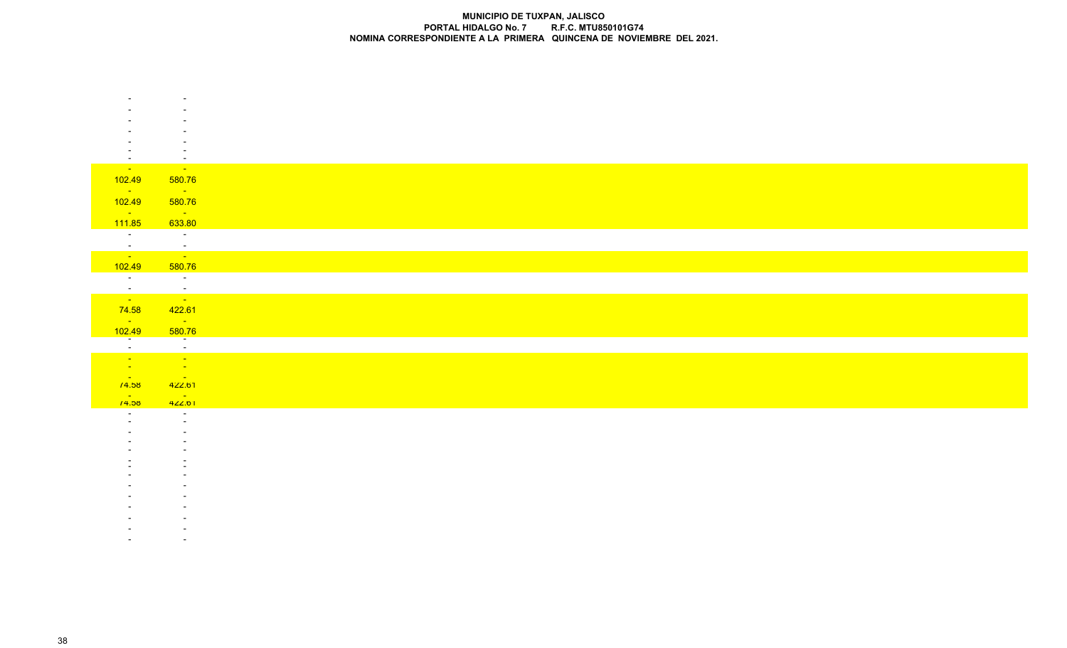| <b>State State</b>               | <b>Contract</b>                    |
|----------------------------------|------------------------------------|
| 102.49                           | 580.76                             |
| <b>State State</b>               | $\mathcal{O}(\mathcal{O}(\log n))$ |
| 102.49                           | 580.76                             |
| <b>Contract</b><br>111.85        | $\sim 100$ km s $^{-1}$<br>633.80  |
| $\sim 10^{-10}$                  | $\sim 100$ km s $^{-1}$            |
| $\frac{1}{\sqrt{2}}$             | in dia 1919.<br>Propinsi Amerika   |
| 102.49                           | 580.76                             |
| $\sim 100$ km s $^{-1}$          | $\sim 100$ km s $^{-1}$            |
|                                  | $\sim$ $\sim$                      |
| $\frac{1}{\sqrt{2}}$             | $\sim 10^{11}$ km s $^{-1}$        |
| 74.58<br>$\sim 100$ km s $^{-1}$ | 422.61<br>$\sim 100$ km s $^{-1}$  |
| 102.49                           | 580.76                             |
| ▔▘                               | ——<br>——                           |
| $\overline{\mathbf{L}}$          | $\frac{1}{\sqrt{2}}$               |
|                                  |                                    |
| <b>Contract</b><br>/4.58         | <b>TA</b><br>422.61                |
| <b>College</b><br>/4.58          | <b>Contract Contract</b>           |
|                                  | 422.01<br>$\sim$                   |
|                                  | $\sim$                             |
|                                  |                                    |
|                                  |                                    |
|                                  |                                    |
|                                  |                                    |
|                                  |                                    |
|                                  |                                    |
|                                  |                                    |
|                                  |                                    |
|                                  |                                    |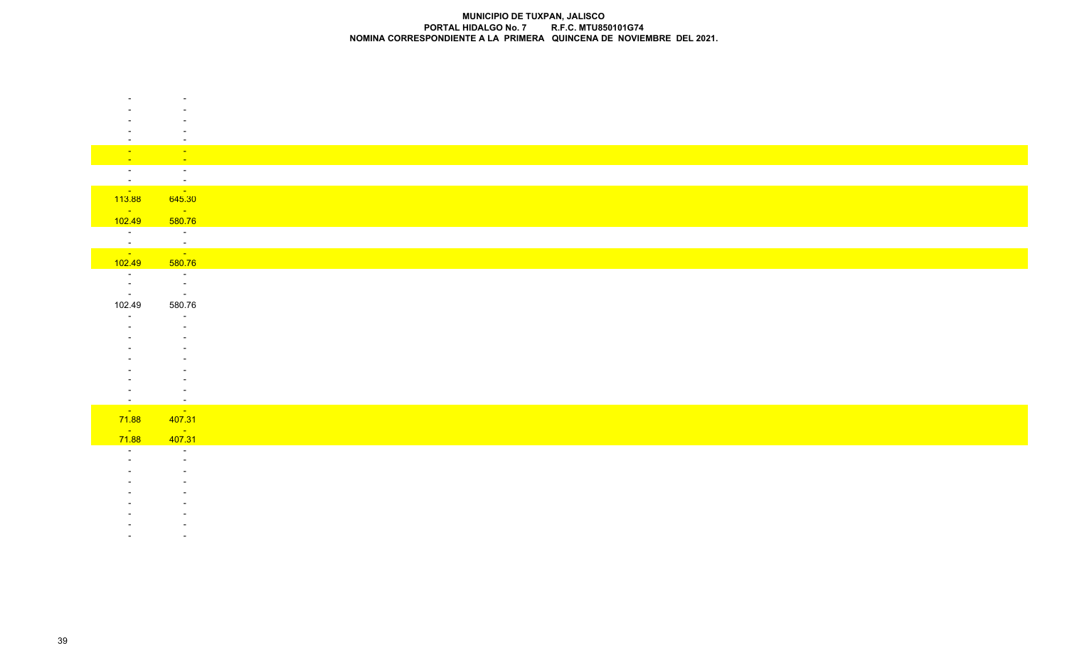| $\sim$                            | $\sim$                                                              |
|-----------------------------------|---------------------------------------------------------------------|
| $\sim$ $\sim$                     | Ŧ                                                                   |
| $\sim$ $-$                        | $\sim 10^{-1}$                                                      |
| $\frac{1}{\sqrt{2}}$              |                                                                     |
| 113.88                            | 645.30                                                              |
| $\sim 100$                        | $\sim 100$ km s $^{-1}$                                             |
| 102.49<br>$\sim 10^{-10}$         | 580.76<br>$\sim 100$ km s $^{-1}$                                   |
|                                   | $\sim$ $\sim$                                                       |
| $\frac{1}{\sqrt{2}}$              | <b>Contract Contract</b>                                            |
| 102.49                            | 580.76                                                              |
| $\sim$ $ \sim$<br><b>Contract</b> | $\sim 100$ km s $^{-1}$<br>$\sim 100$                               |
| $\sim$ $ \sim$                    | $\sim 100$                                                          |
| 102.49                            | 580.76                                                              |
|                                   | $\sim$                                                              |
|                                   |                                                                     |
|                                   |                                                                     |
|                                   |                                                                     |
|                                   |                                                                     |
|                                   |                                                                     |
| $\sim$                            | $\sim$                                                              |
| <b>Contract</b>                   | <b>Contract</b>                                                     |
| 71.88                             | 407.31                                                              |
| <b>Contract</b><br>71.88          | $\mathcal{L}_{\text{max}}$ and $\mathcal{L}_{\text{max}}$<br>407.31 |
| $\sim$                            | $\sim$                                                              |
|                                   |                                                                     |
|                                   |                                                                     |
|                                   |                                                                     |
|                                   |                                                                     |
|                                   |                                                                     |
|                                   |                                                                     |
|                                   |                                                                     |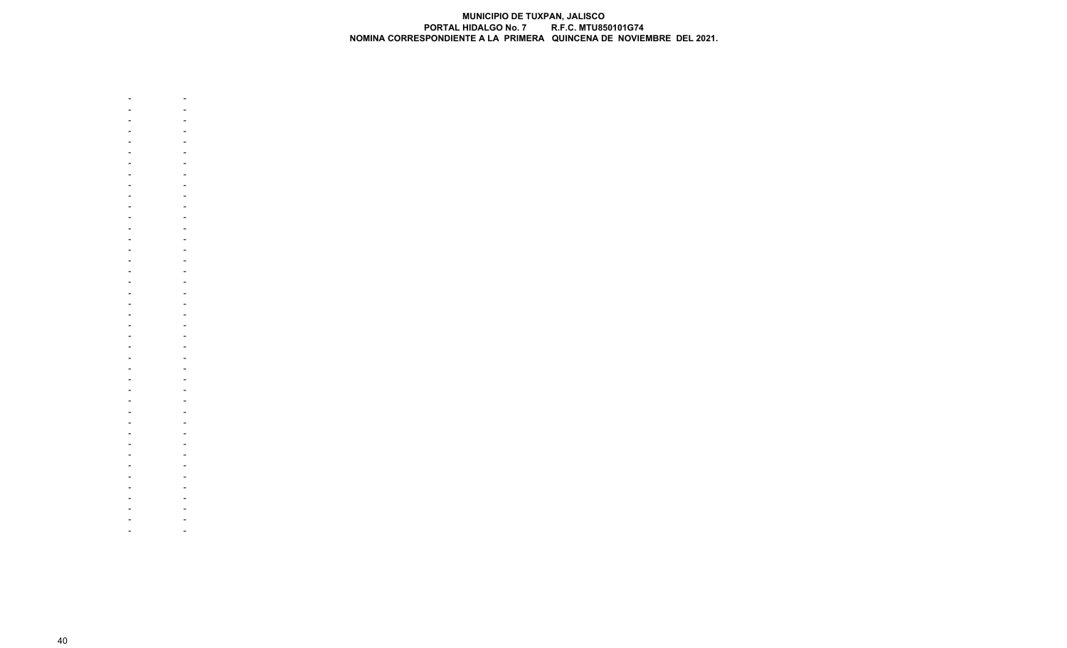

 - - - - - - - - - - - - - - - - - - - - - - - - - - - - - - - - - - - - - - - - - - - - - - - - - - - - - - - - - - - - - - - - - - - - - - - - - - - - - - - - --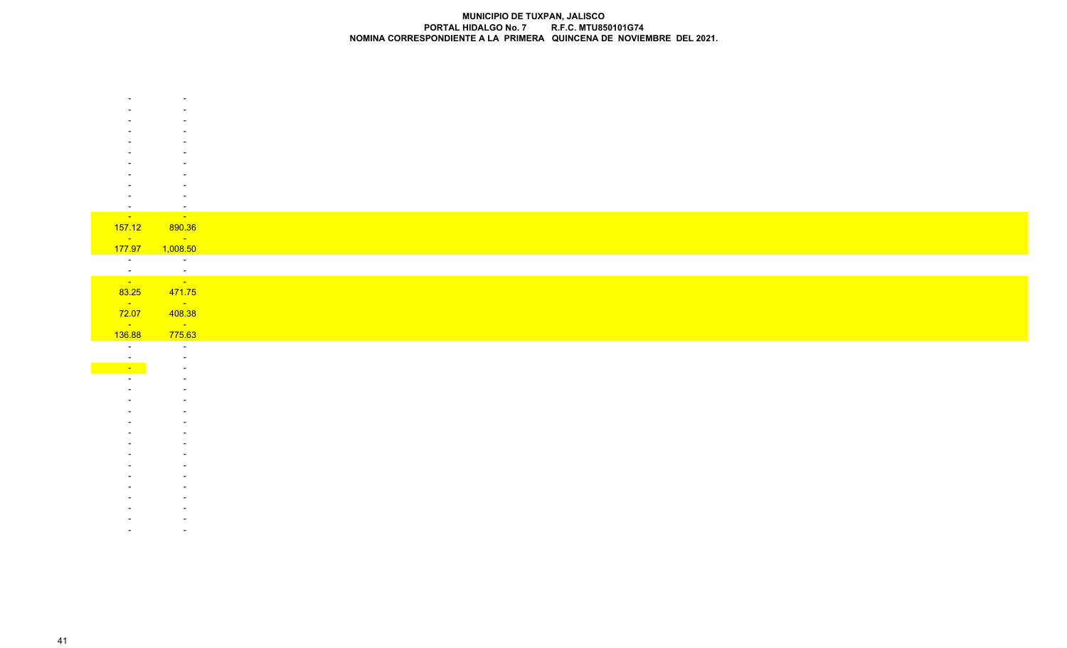| $\overline{\phantom{a}}$<br><b>State State</b> | $\overline{\phantom{a}}$<br><b>State State</b> |
|------------------------------------------------|------------------------------------------------|
| 157.12                                         | 890.36                                         |
| $\sim 10^{11}$                                 | $\sim 10^{11}$ km $^{-1}$                      |
| 177.97                                         | 1,008.50                                       |
| $\sqrt{2}$                                     | $\alpha$ , $\alpha$ , $\alpha$                 |
| $\frac{1}{\sqrt{2}}$                           | $\frac{1}{\sqrt{2}}$                           |
| 83.25                                          | 471.75                                         |
| $\sim 10^{11}$                                 | $\sim 100$ km s $^{-1}$                        |
| 72.07                                          | 408.38                                         |
| $\sim 100$                                     | $\mathcal{L}^{\text{max}}_{\text{max}}$        |
|                                                |                                                |
| 136.88                                         | 775.63                                         |
| $\sim$                                         | $\sim$                                         |
|                                                |                                                |
|                                                |                                                |
|                                                |                                                |
|                                                |                                                |
|                                                |                                                |
|                                                |                                                |
|                                                |                                                |
|                                                |                                                |
|                                                |                                                |
|                                                |                                                |
|                                                |                                                |
|                                                |                                                |
|                                                |                                                |
|                                                |                                                |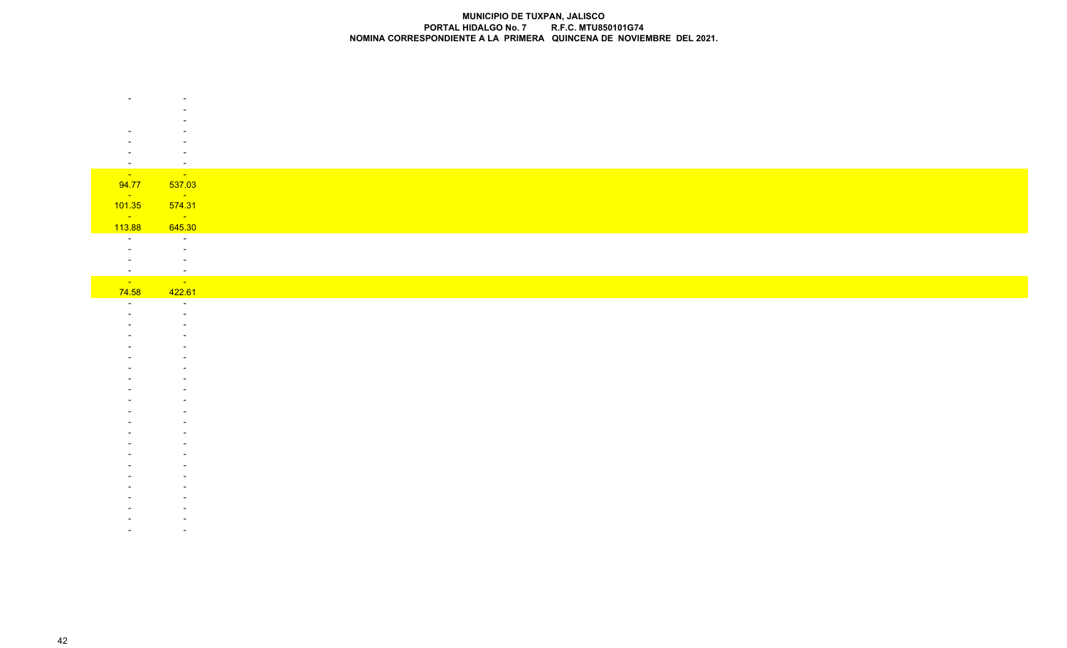| $\overline{\phantom{a}}$  | $\overline{\phantom{a}}$          |
|---------------------------|-----------------------------------|
| <b>Contract</b>           | <b>Contract</b>                   |
| 94.77                     | 537.03                            |
| <b>Contract</b>           | <b>State State</b>                |
| 101.35<br><b>Contract</b> | 574.31<br>$\sim 100$ km s $^{-1}$ |
| 113.88                    | 645.30                            |
| $\sim$                    | $\sim$                            |
|                           | $\overline{\phantom{a}}$          |
|                           | $\overline{\phantom{a}}$          |
| $\sim$<br>$\sim 10^{-10}$ | $\sim$<br><b>Silver Start</b>     |
| 74.58                     | 422.61                            |
| $\overline{\phantom{a}}$  | $\sim$                            |
|                           | $\overline{\phantom{a}}$          |
|                           |                                   |
|                           |                                   |
|                           |                                   |
|                           |                                   |
|                           |                                   |
|                           |                                   |
|                           |                                   |
|                           |                                   |
|                           |                                   |
|                           |                                   |
|                           |                                   |
|                           |                                   |
|                           |                                   |
|                           |                                   |
|                           |                                   |
|                           |                                   |
|                           |                                   |
|                           |                                   |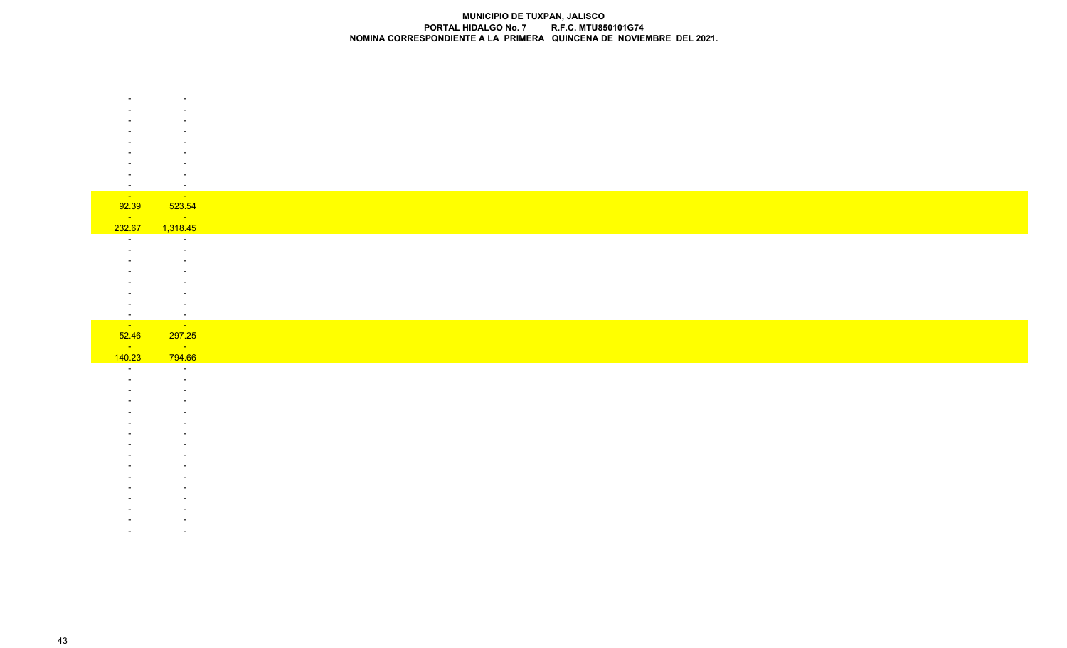|                    | $\overline{\phantom{0}}$ |
|--------------------|--------------------------|
|                    |                          |
|                    |                          |
|                    |                          |
|                    |                          |
|                    |                          |
|                    |                          |
|                    |                          |
|                    | $\overline{\phantom{a}}$ |
| $\sim$             | $\sim$                   |
| $\sim 10^{-10}$    | $\sim 100$ km s $^{-1}$  |
| 92.39              | 523.54                   |
| <b>State State</b> | <b>Service State</b>     |
| 232.67             | 1,318.45                 |
| $\sim$             | $\sim$                   |
|                    | $\sim$                   |
|                    |                          |
|                    |                          |
|                    | $\overline{\phantom{0}}$ |
|                    |                          |
|                    |                          |
| $\sim$             | $\sim$                   |
| $\sim 10^{-10}$    | <b>State State</b>       |
| 52.46              | 297.25                   |
|                    |                          |
| <b>State State</b> | <b>Contract Contract</b> |
| 140.23             | 794.66                   |
| $\sim$             | $\sim$ $-$               |
|                    |                          |
|                    |                          |
|                    |                          |

43

 - - - - - - - - - - - - - - - - - - - - - - - --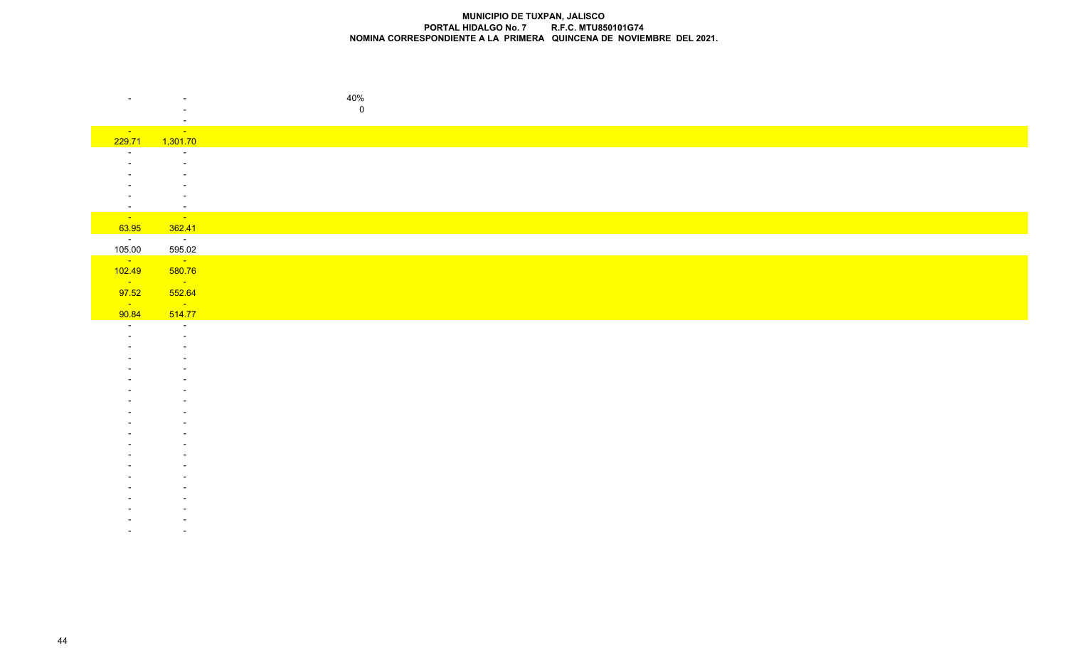|                          |                                                   | 40%         |
|--------------------------|---------------------------------------------------|-------------|
|                          |                                                   | $\mathbf 0$ |
| <b>Service State</b>     | <b>State State</b>                                |             |
| 229.71                   | 1,301.70                                          |             |
| $\overline{\phantom{0}}$ | $\overline{\phantom{a}}$                          |             |
|                          | $\blacksquare$                                    |             |
|                          |                                                   |             |
|                          |                                                   |             |
| $\overline{\phantom{a}}$ | $\overline{\phantom{a}}$                          |             |
| $\sim 100$ km s $^{-1}$  | <b>Contract</b>                                   |             |
| 63.95                    | 362.41                                            |             |
| $\sim 100$               | $\sim 100$                                        |             |
| 105.00                   | 595.02<br>$\mathcal{L}^{\text{max}}_{\text{max}}$ |             |
| $\sim 10^{11}$<br>102.49 | 580.76                                            |             |
| $\sim 100$ km s $^{-1}$  | $\sim 100$ km s $^{-1}$                           |             |
| 97.52                    | 552.64                                            |             |
| $\sim 10^{-10}$          | $\sim 100$ km s $^{-1}$                           |             |
| 90.84                    | 514.77                                            |             |
| $\sim$                   | $\sim$<br>$\overline{\phantom{a}}$                |             |
|                          |                                                   |             |
|                          |                                                   |             |
|                          |                                                   |             |
|                          |                                                   |             |
|                          |                                                   |             |
|                          |                                                   |             |
|                          |                                                   |             |
|                          |                                                   |             |
|                          |                                                   |             |
|                          |                                                   |             |
|                          |                                                   |             |
|                          |                                                   |             |
|                          |                                                   |             |
|                          |                                                   |             |
|                          |                                                   |             |
|                          |                                                   |             |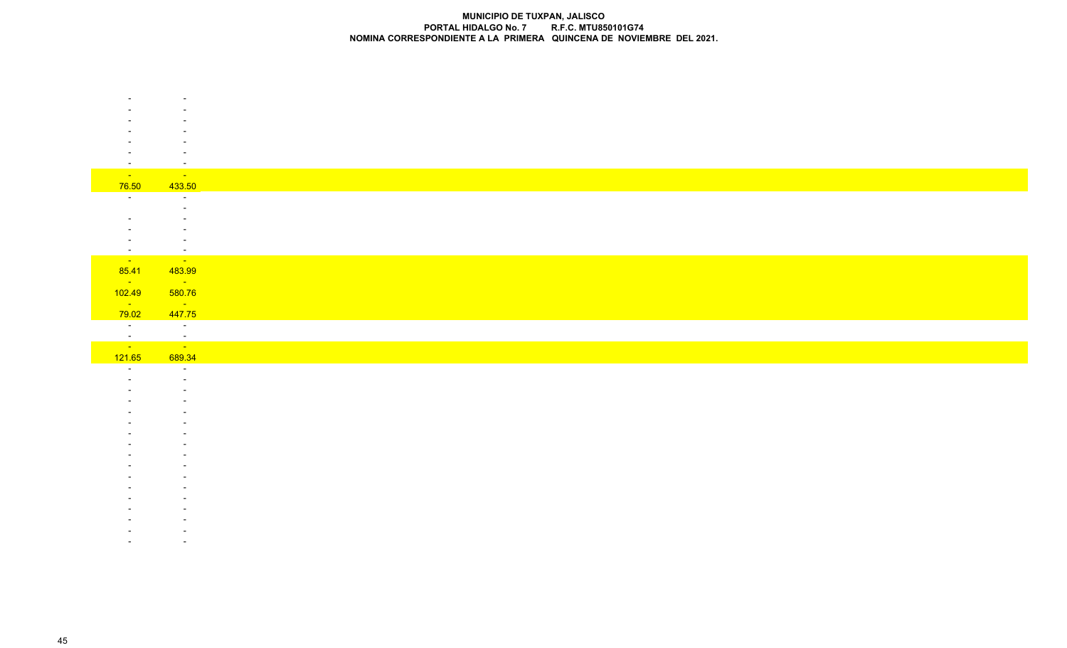| $\overline{\phantom{a}}$                                                            |                                         |
|-------------------------------------------------------------------------------------|-----------------------------------------|
| $\sim 10^{-10}$                                                                     | $\sim 100$                              |
| 76.50                                                                               | 433.50                                  |
| $\sim$                                                                              | $\sim$                                  |
|                                                                                     |                                         |
|                                                                                     |                                         |
|                                                                                     |                                         |
| $\overline{\phantom{0}}$                                                            | $\sim$<br>$\sim$                        |
| $\sim 100$ km s $^{-1}$                                                             | $\sim 100$                              |
| 85.41                                                                               | 483.99                                  |
| $\mathcal{L}^{\text{max}}_{\text{max}}$ and $\mathcal{L}^{\text{max}}_{\text{max}}$ | $\sim 100$ km s $^{-1}$                 |
| 102.49                                                                              | 580.76                                  |
| $\sim 10^{11}$                                                                      | $\mathcal{L}^{\text{max}}_{\text{max}}$ |
| 79.02                                                                               | 447.75                                  |
| $\sim$ $\sim$                                                                       | $\sim 100$                              |
| $\frac{1}{\sqrt{2}}$                                                                | $\frac{1}{\sqrt{2}}$                    |
| 121.65                                                                              | 689.34                                  |
| $\overline{\phantom{a}}$                                                            | $\sim$                                  |
|                                                                                     |                                         |
|                                                                                     |                                         |
|                                                                                     |                                         |
|                                                                                     |                                         |
|                                                                                     |                                         |
|                                                                                     |                                         |
|                                                                                     |                                         |
|                                                                                     |                                         |
|                                                                                     |                                         |
|                                                                                     |                                         |
|                                                                                     |                                         |
|                                                                                     |                                         |
|                                                                                     |                                         |
|                                                                                     |                                         |
|                                                                                     |                                         |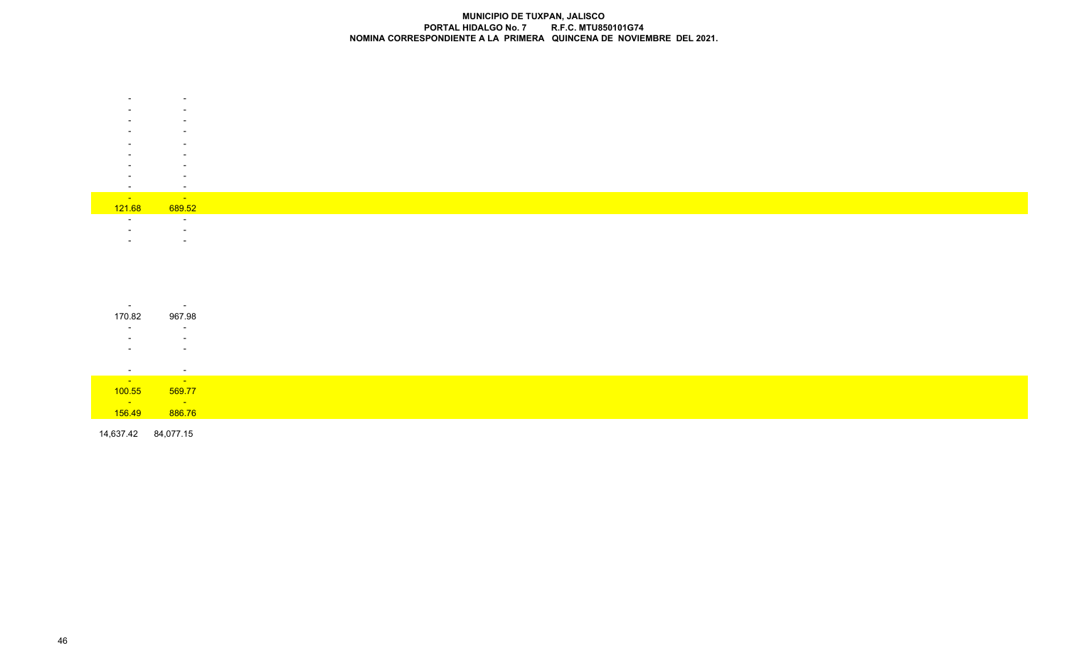|                    | $\overline{\phantom{a}}$ |
|--------------------|--------------------------|
|                    |                          |
|                    |                          |
|                    |                          |
|                    | $\overline{\phantom{a}}$ |
|                    |                          |
|                    |                          |
|                    |                          |
|                    |                          |
|                    |                          |
|                    |                          |
|                    |                          |
|                    |                          |
|                    |                          |
|                    |                          |
| <b>State State</b> | <b>Contract Contract</b> |
|                    |                          |
| 121.68             | 689.52                   |
|                    | $\sim$                   |
|                    |                          |
|                    |                          |
|                    |                          |

| $\sim$                               | $\sim$ 100 $\sim$        |
|--------------------------------------|--------------------------|
| 170.82                               | 967.98                   |
| $\sim$                               | $\sim$                   |
|                                      | $\sim$                   |
|                                      | $\overline{\phantom{a}}$ |
|                                      |                          |
| $\sim$                               | $\sim$                   |
| $\sim 10^{-10}$                      | $\sim 100$               |
|                                      |                          |
| 100.55 569.77<br>--<br>156.49 886.76 | 886.76                   |
|                                      |                          |

14,637.42 84,077.15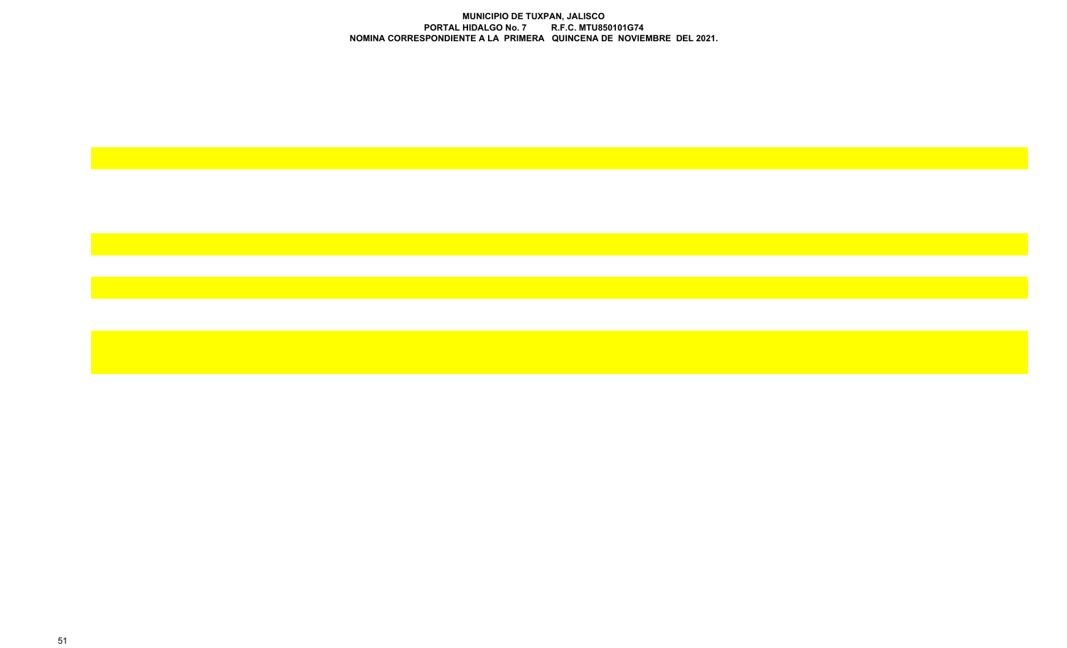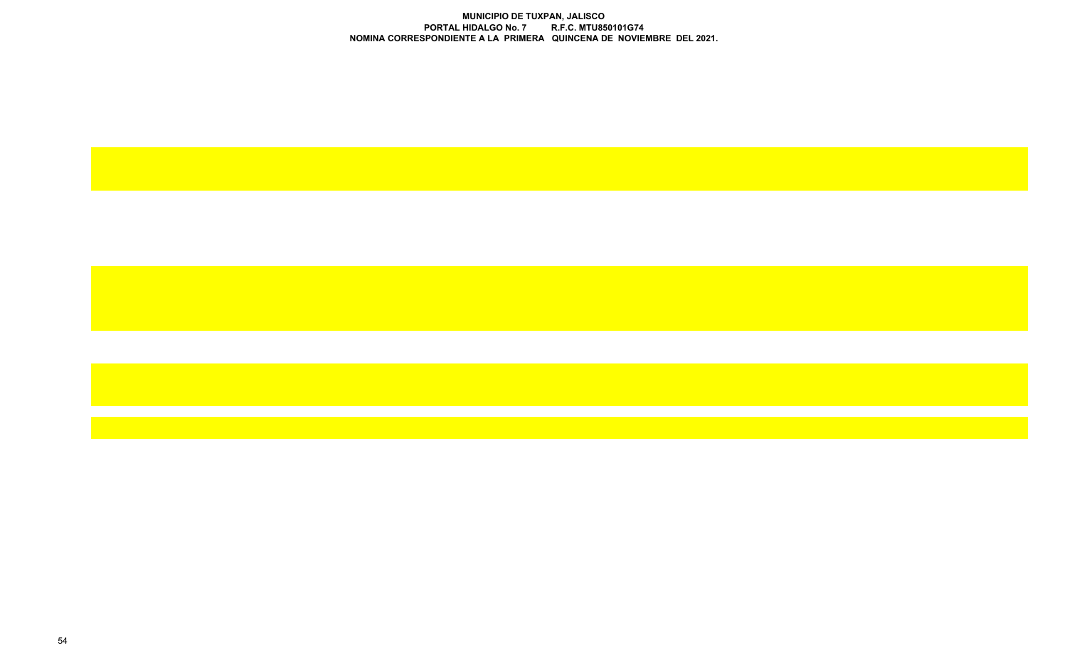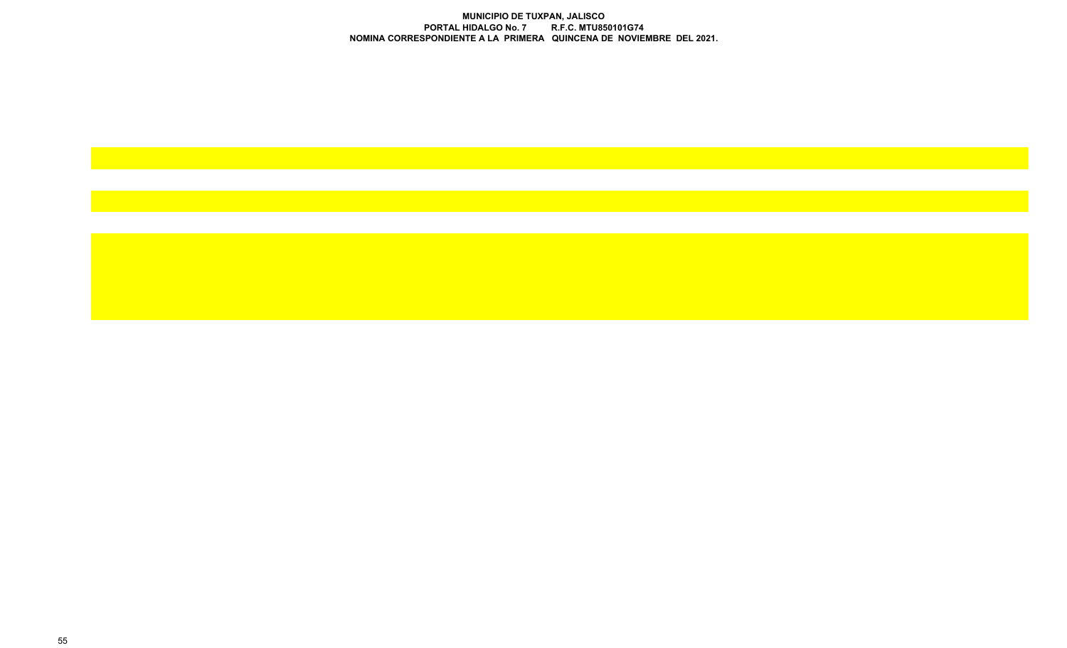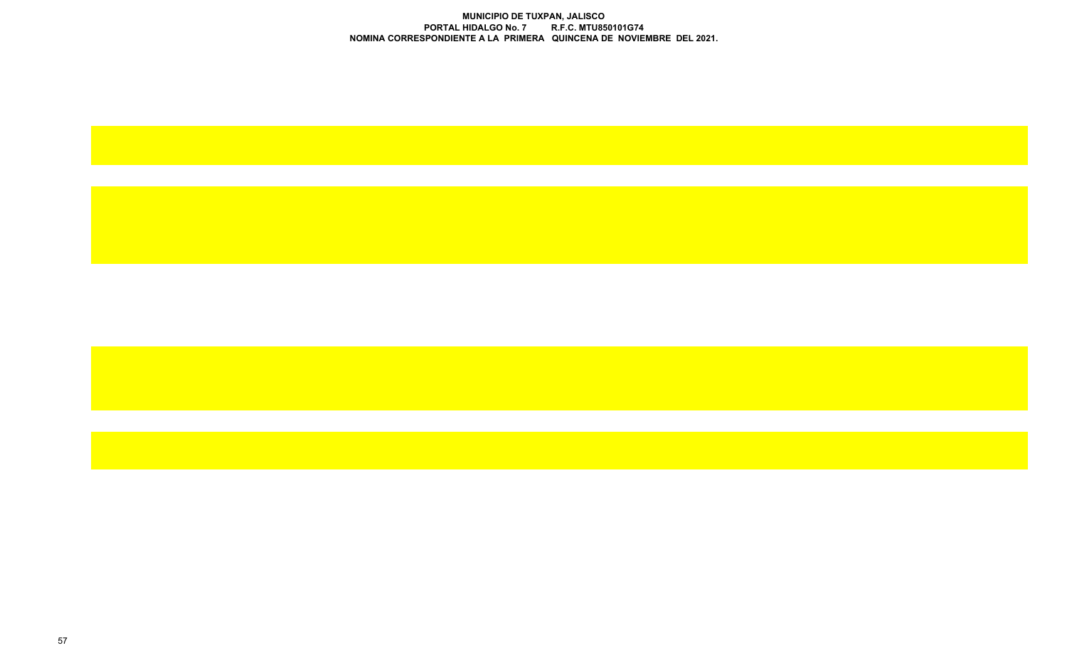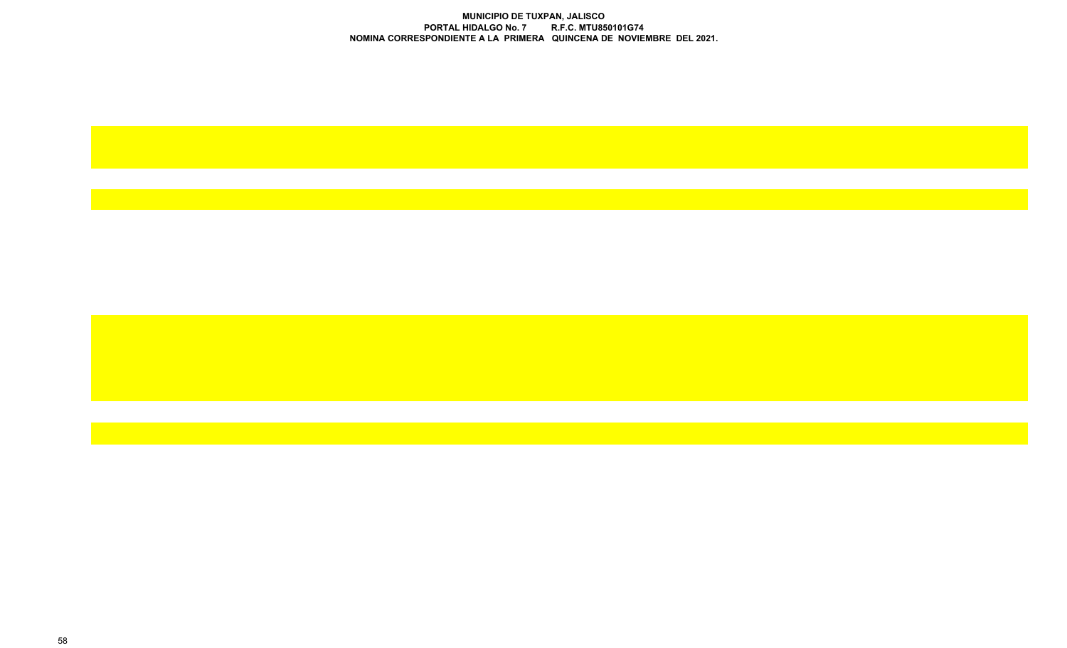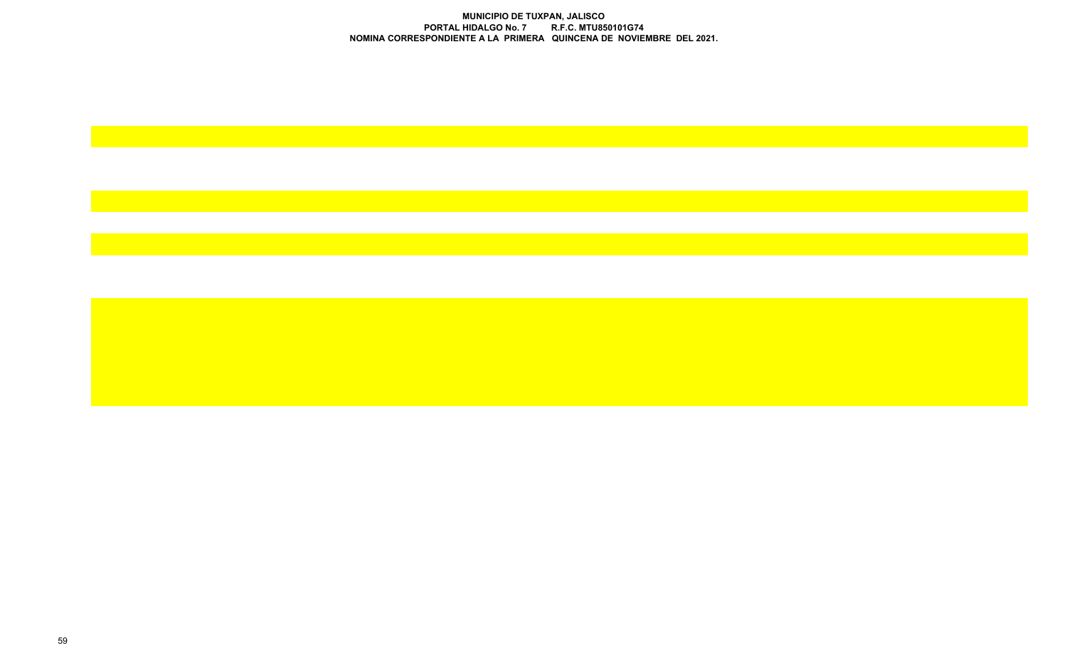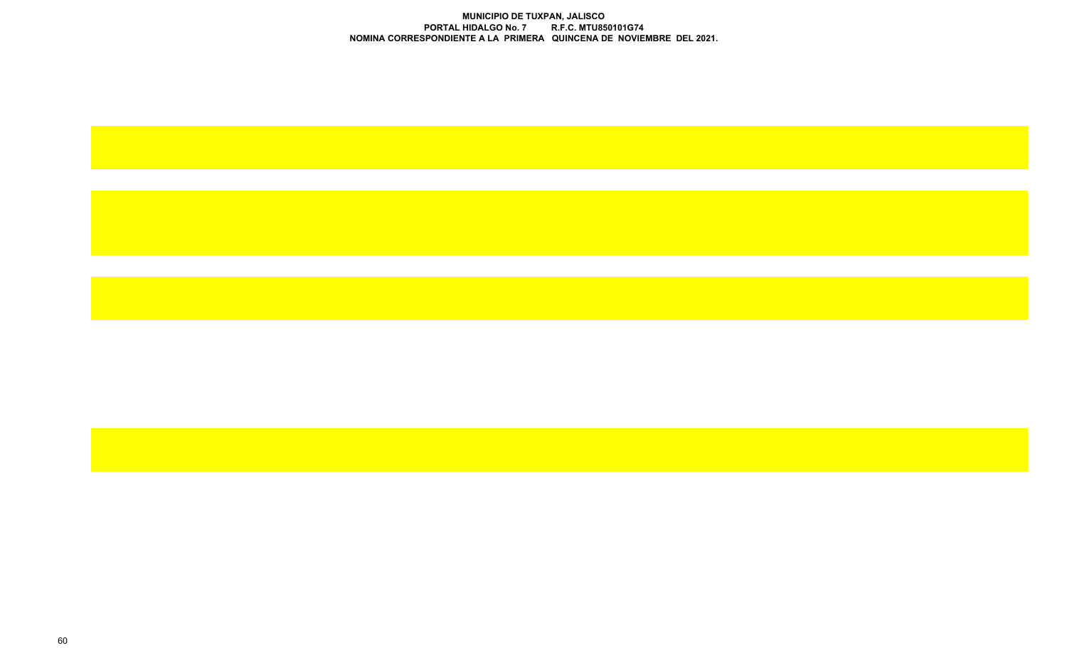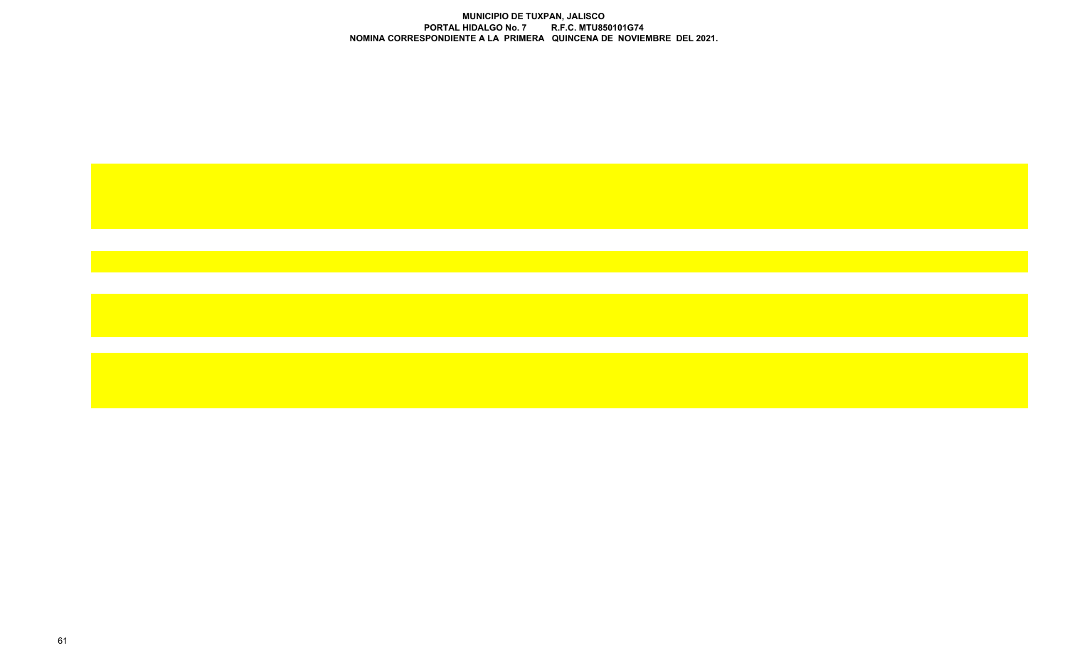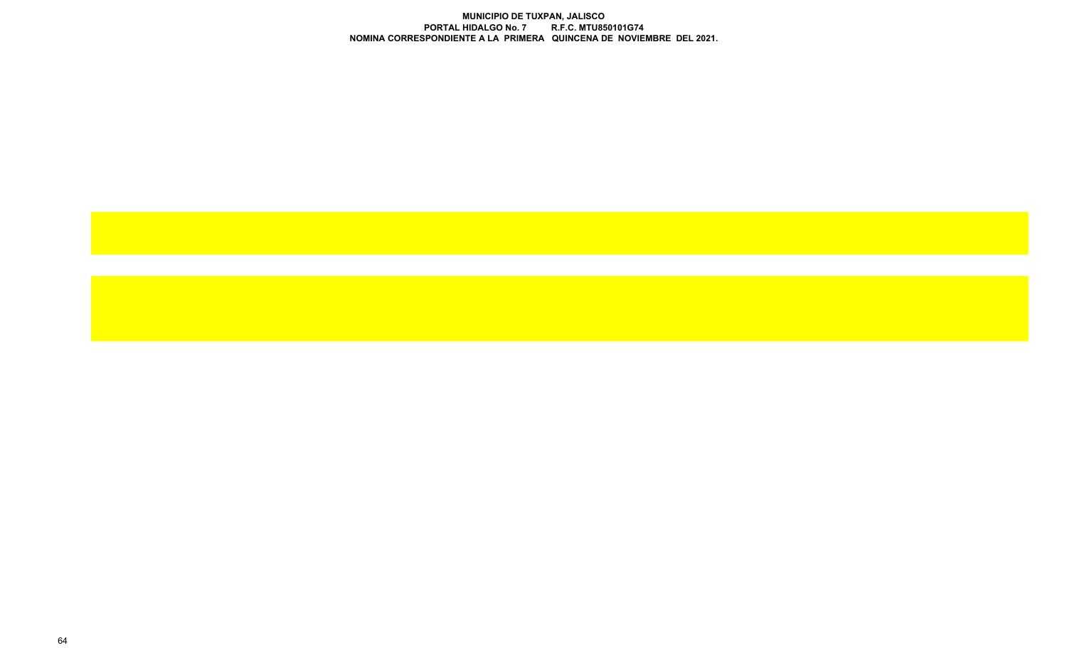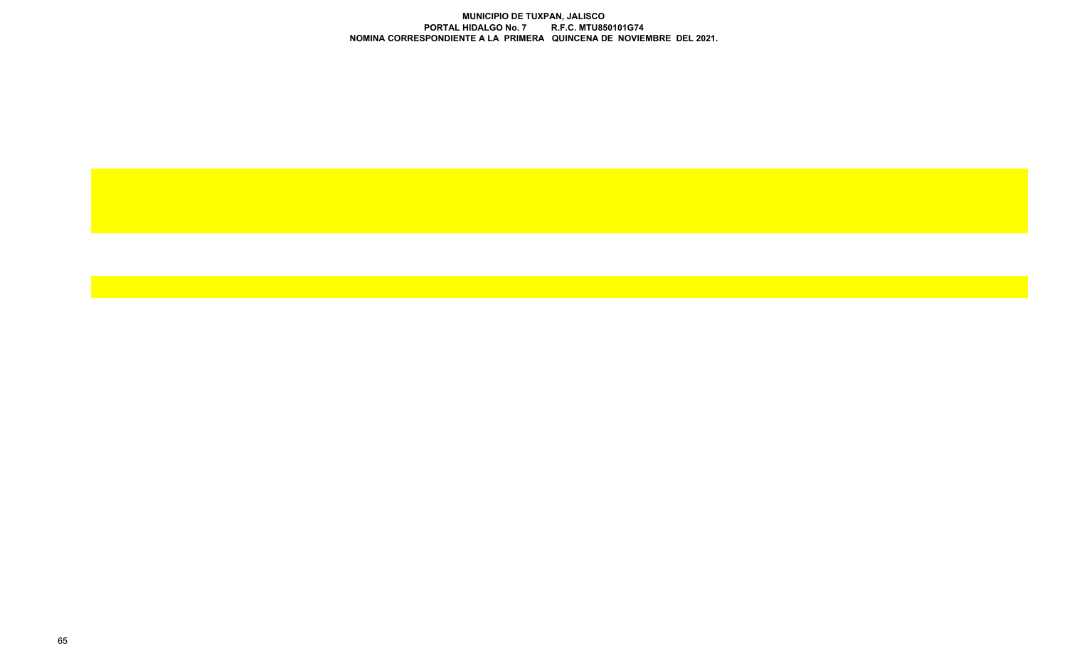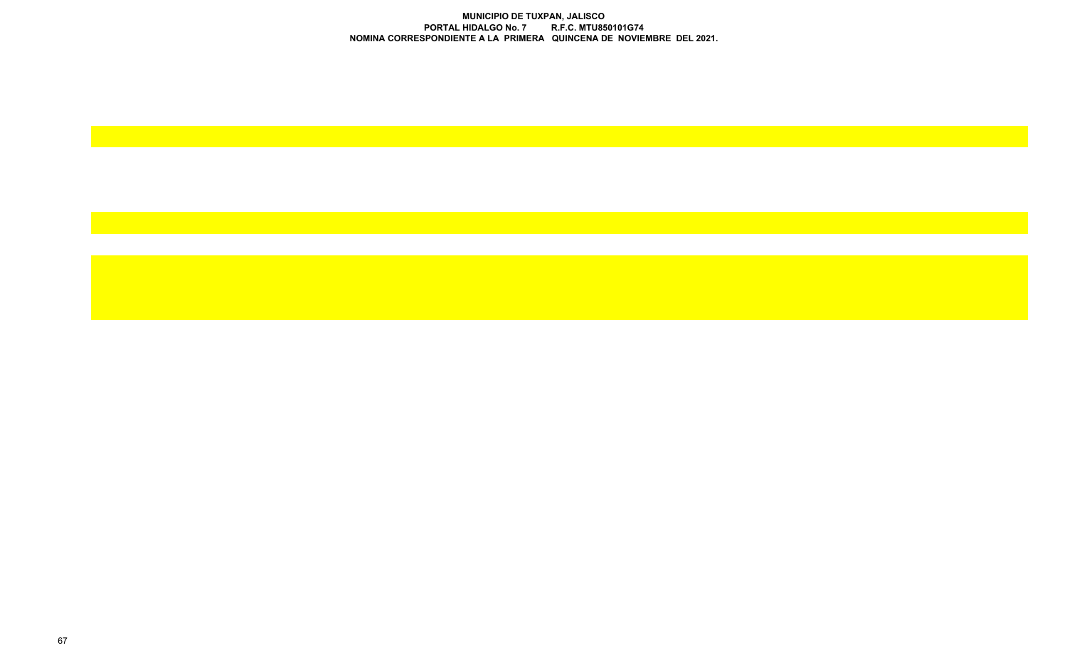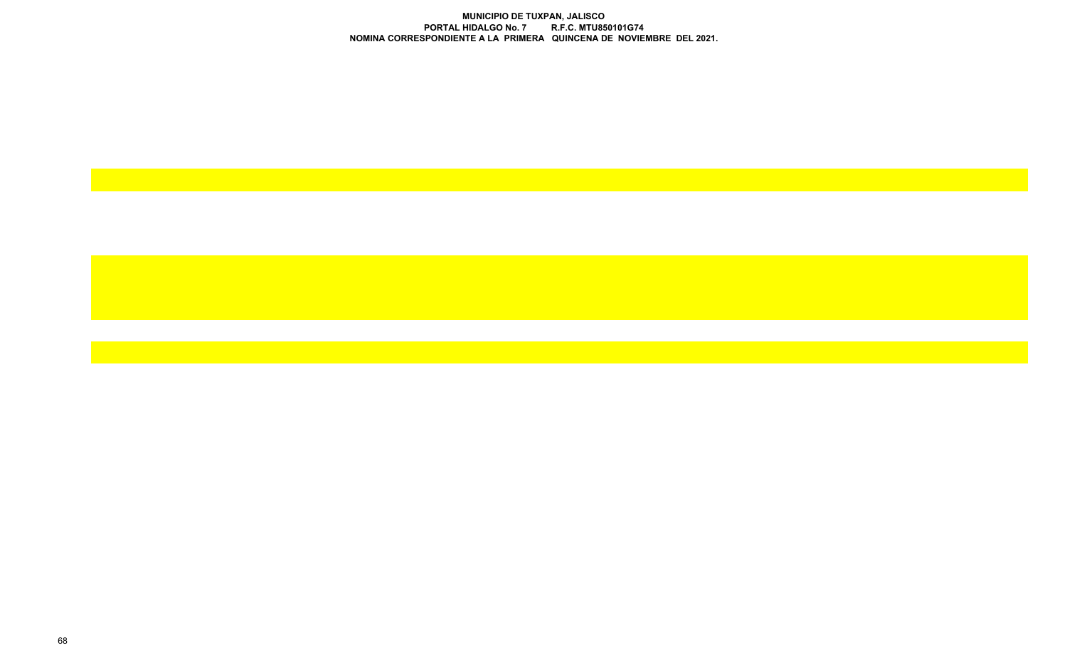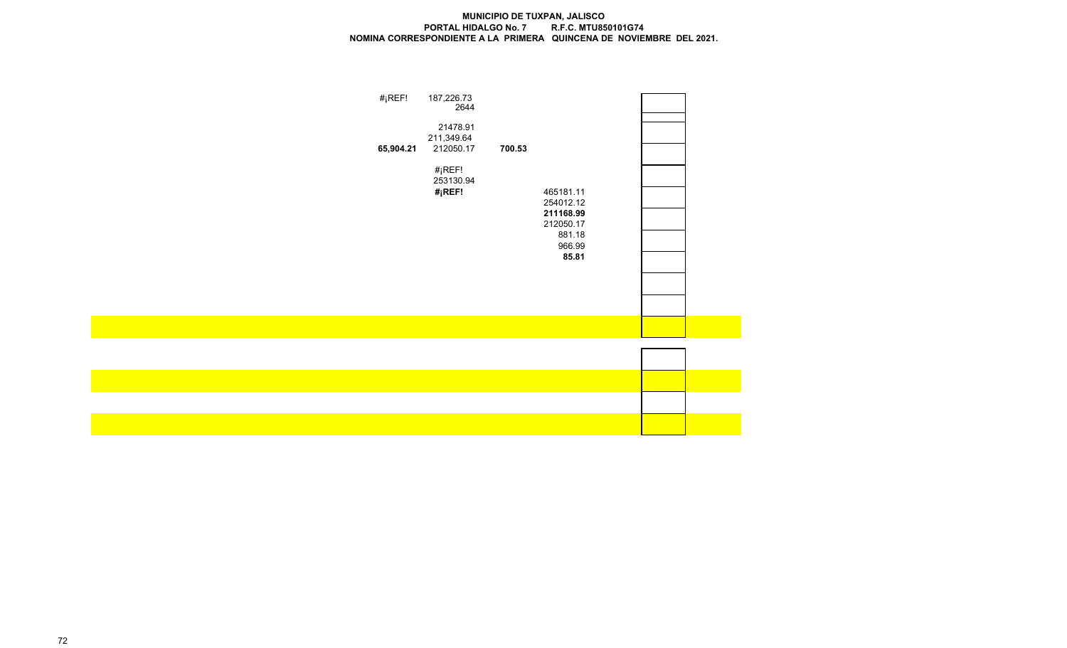#### **MUNICIPIO DE TUXPAN, JALISCO**R.F.C. MTU850101G74 **PORTAL HIDALGO No. 7 NOMINA CORRESPONDIENTE A LA PRIMERA QUINCENA DE NOVIEMBRE DEL 2021.**

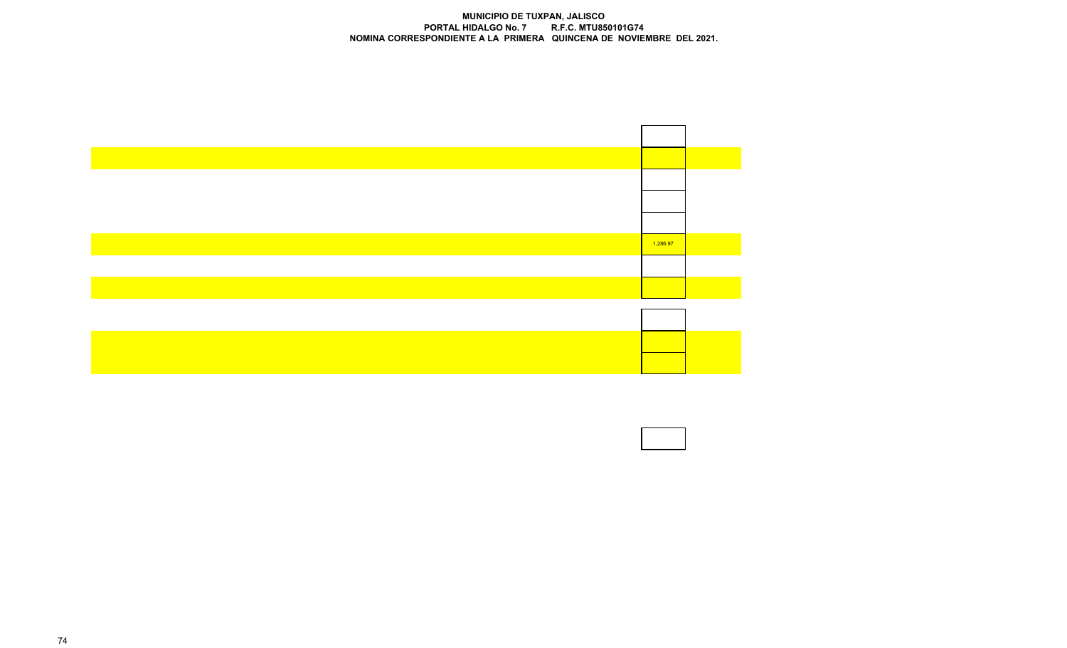

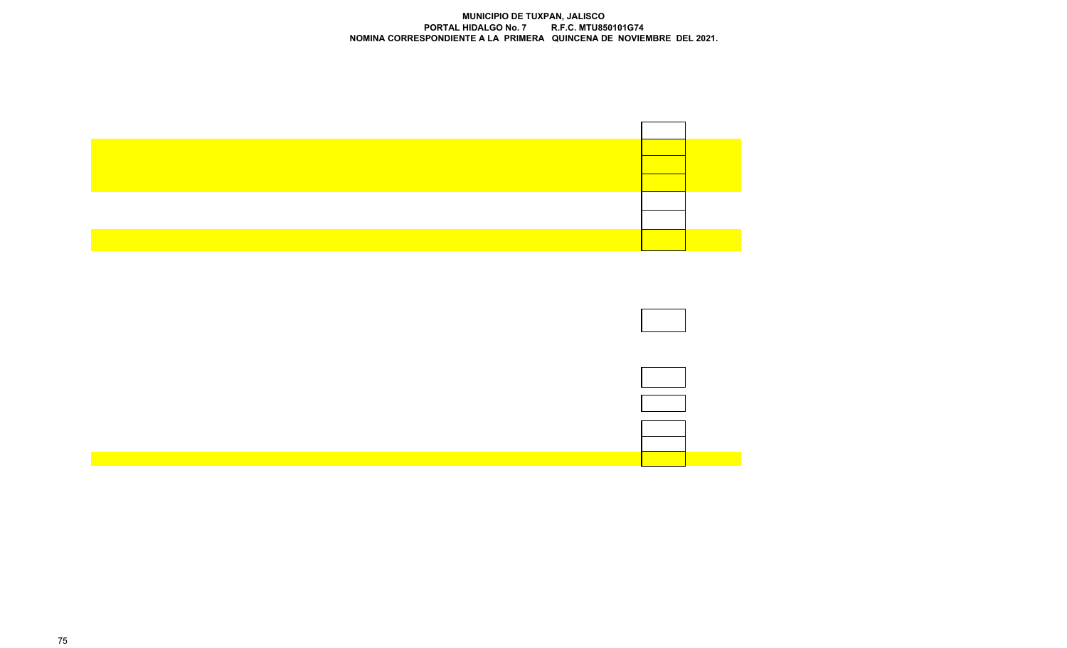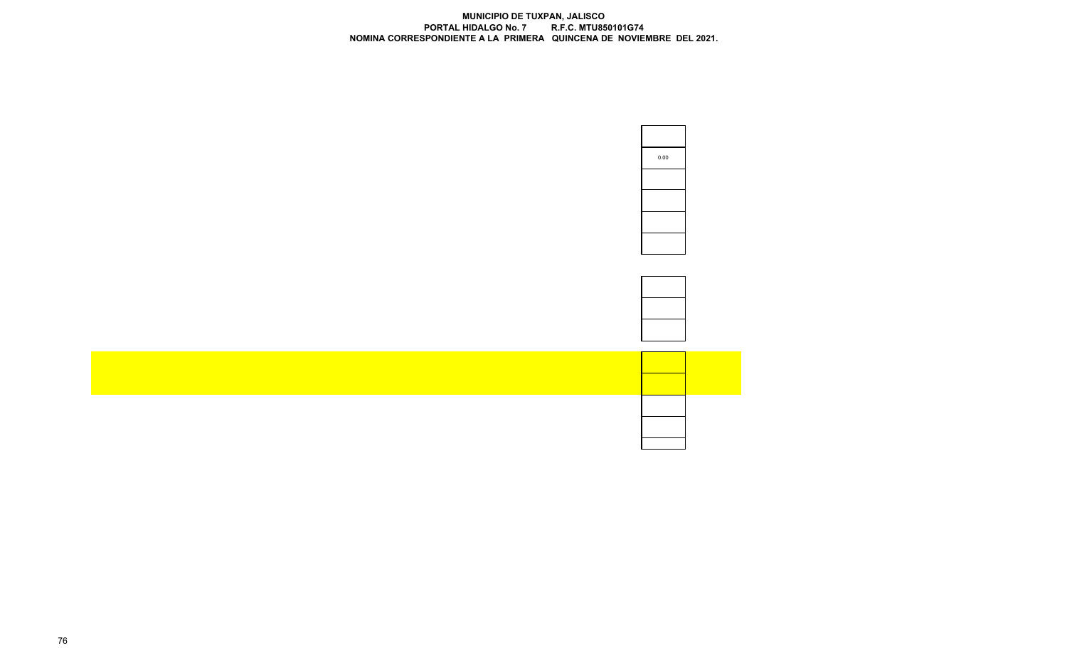



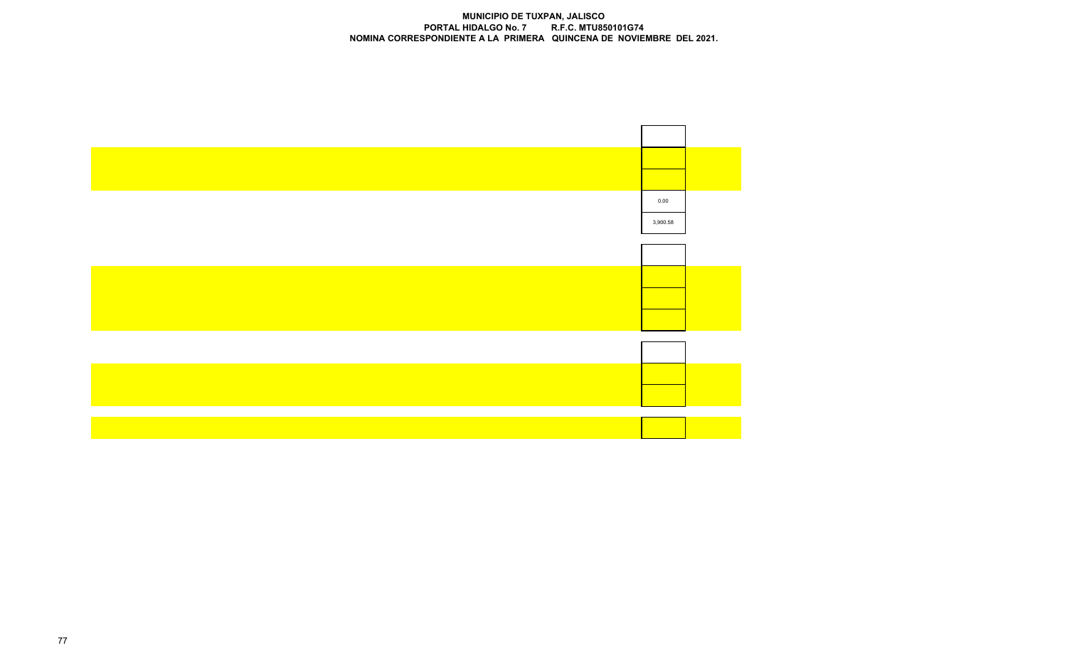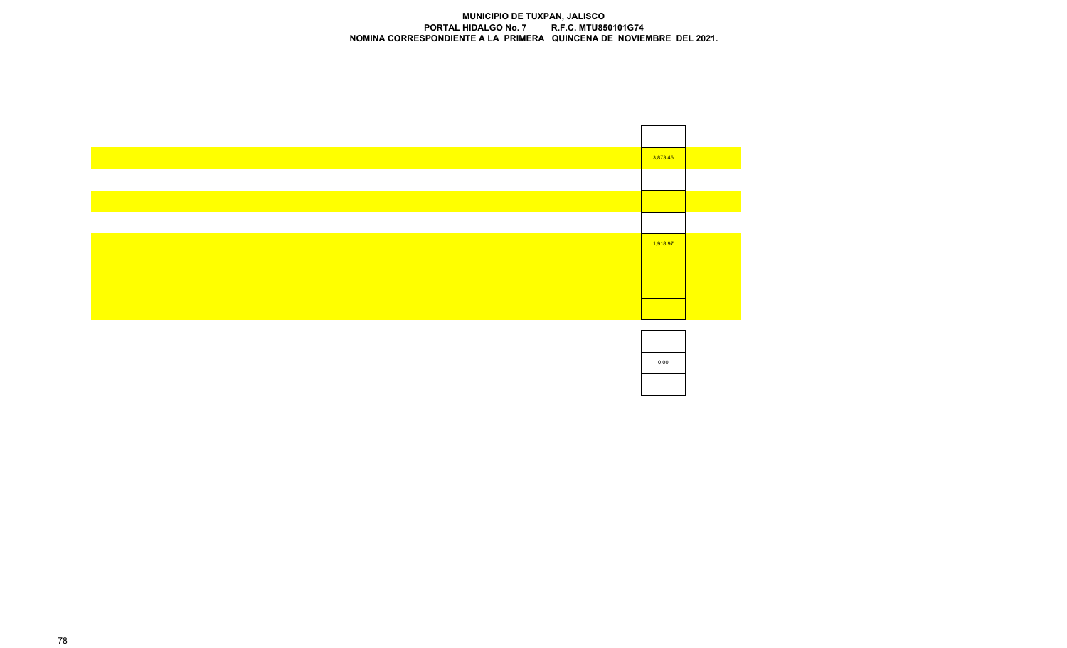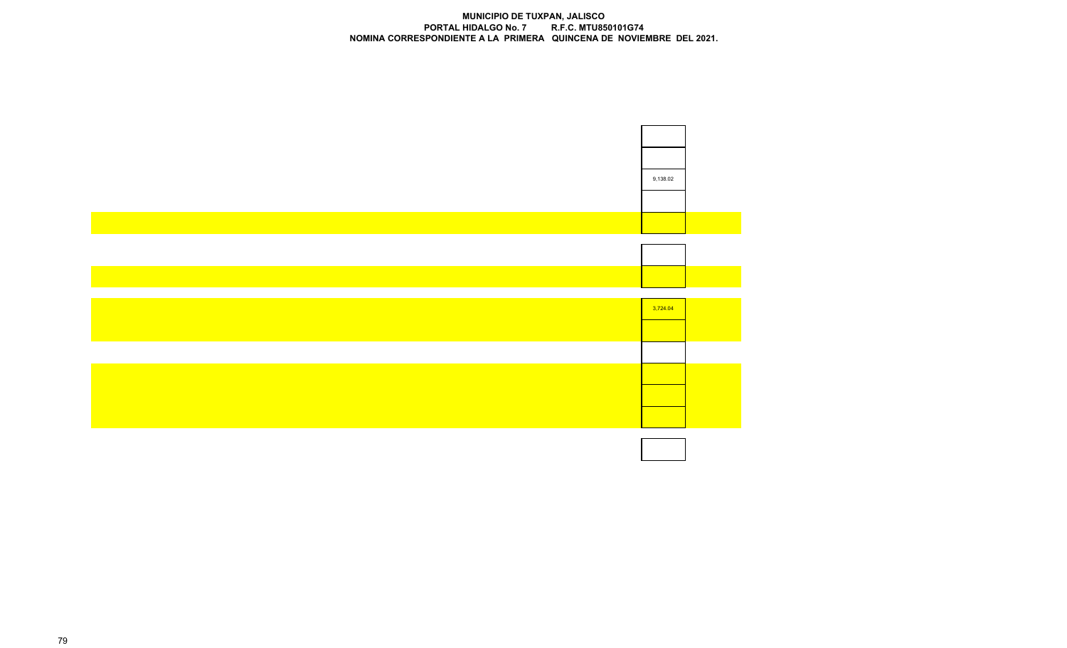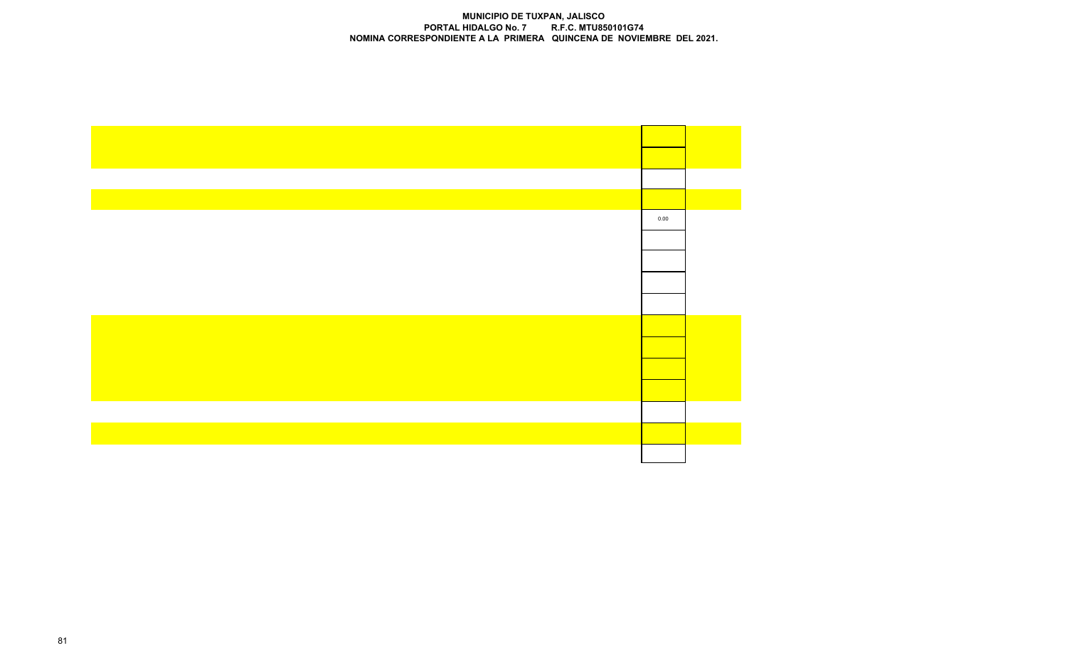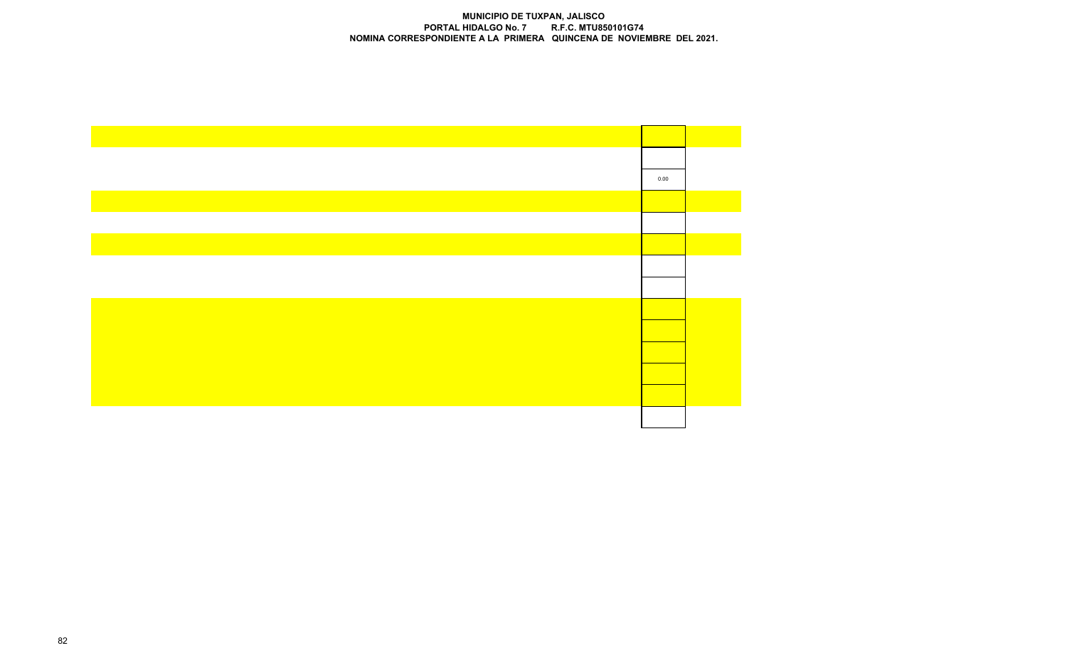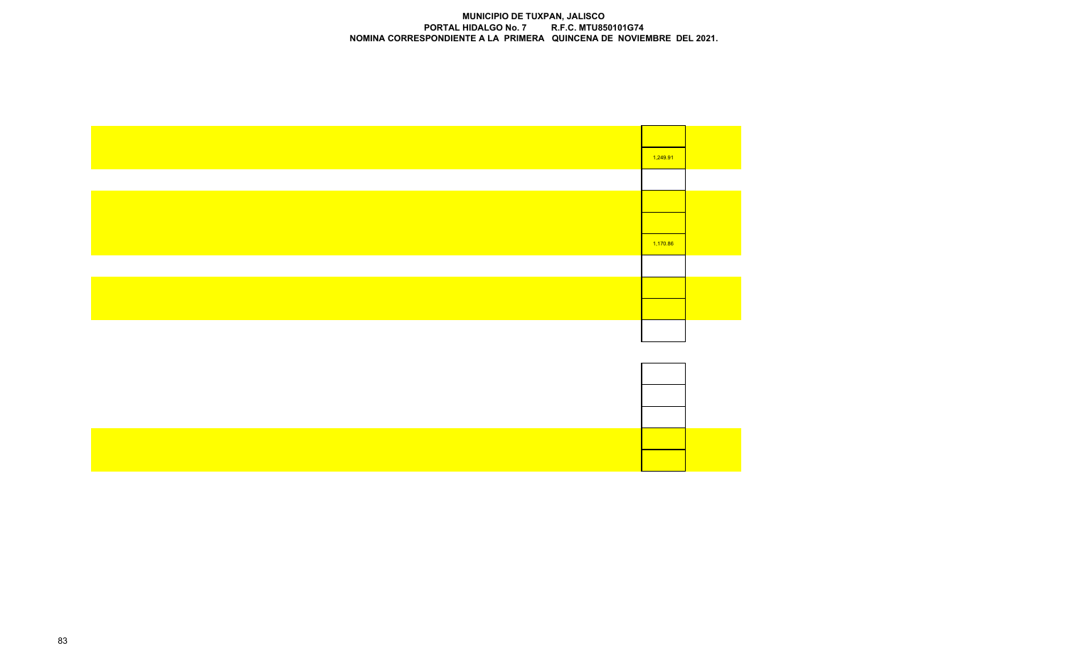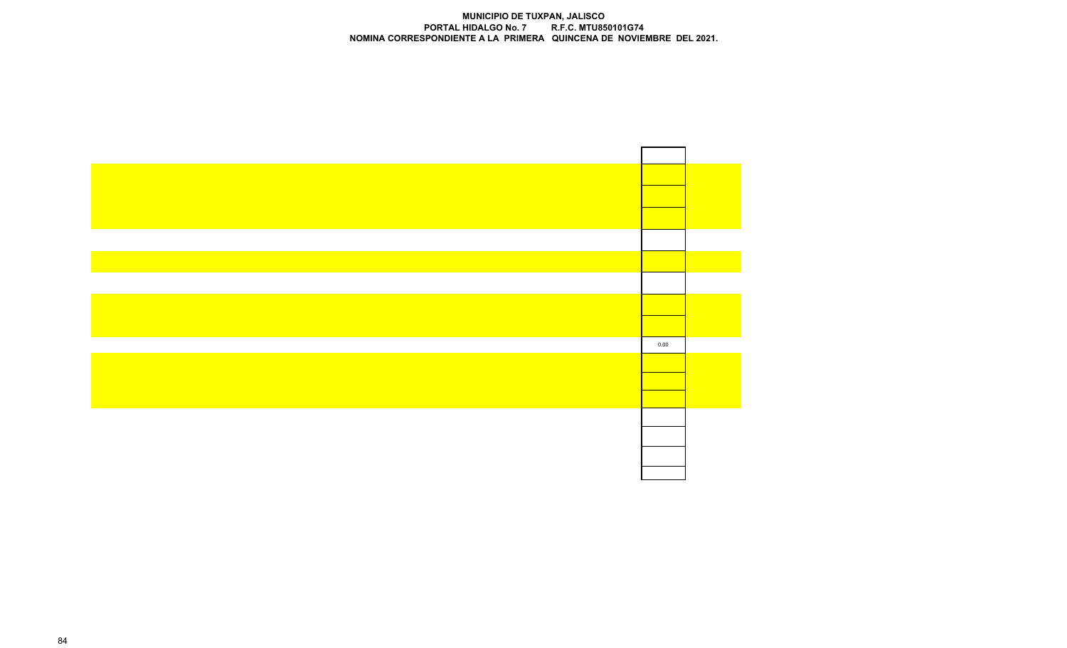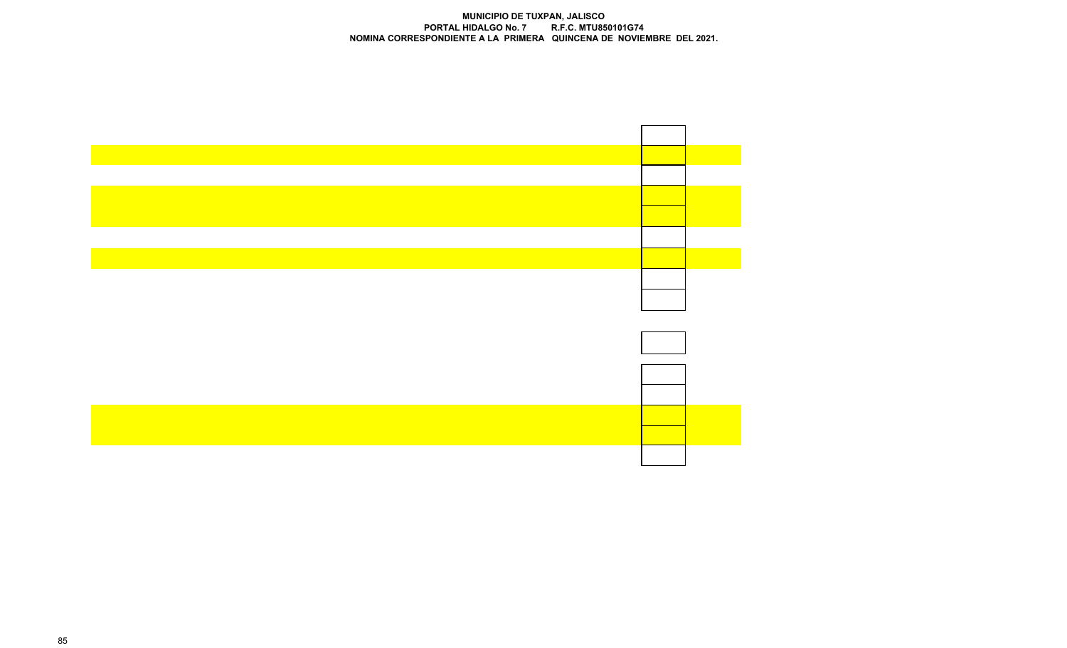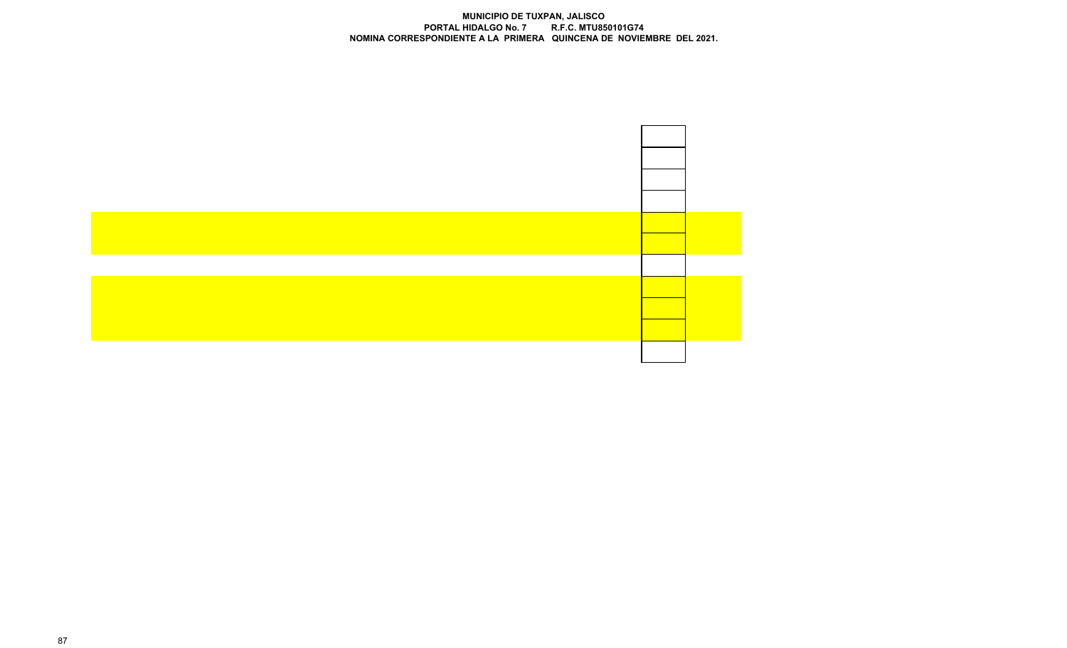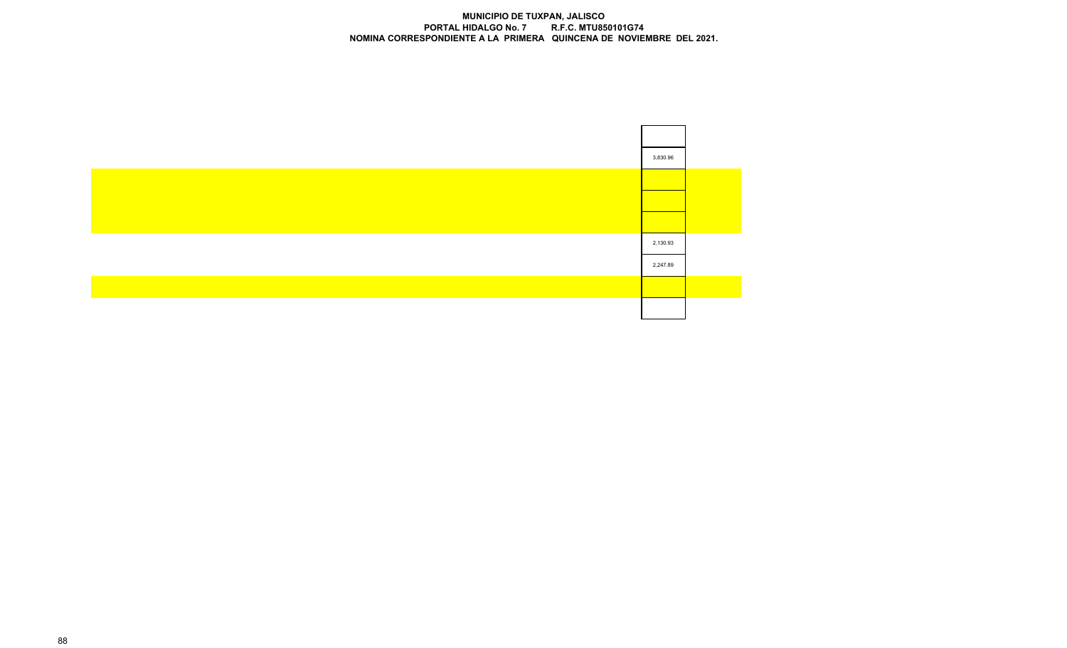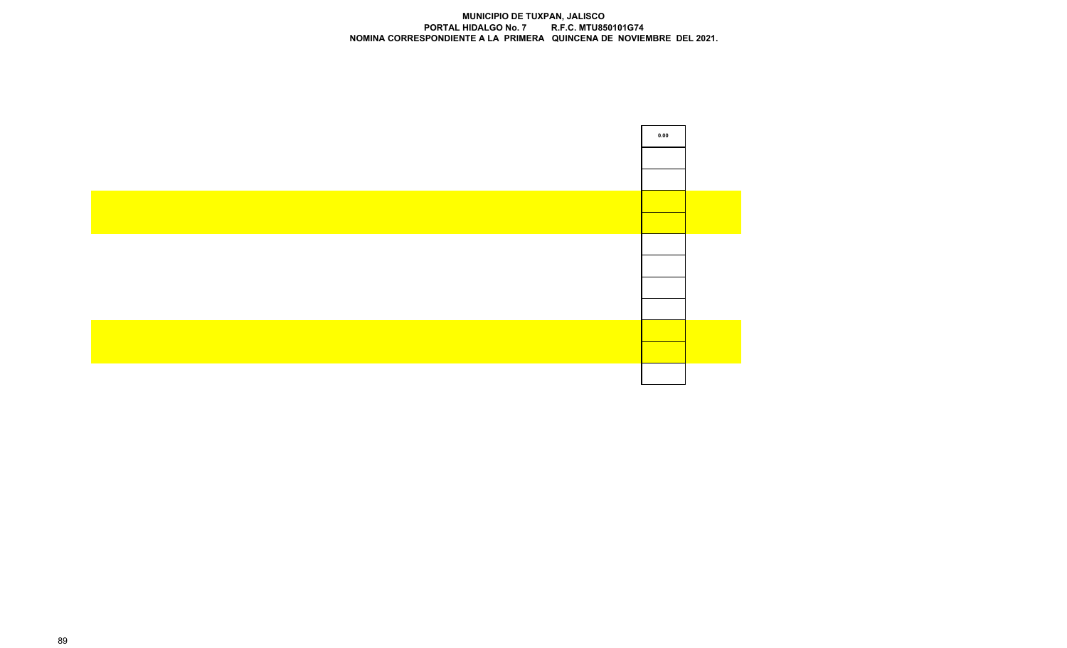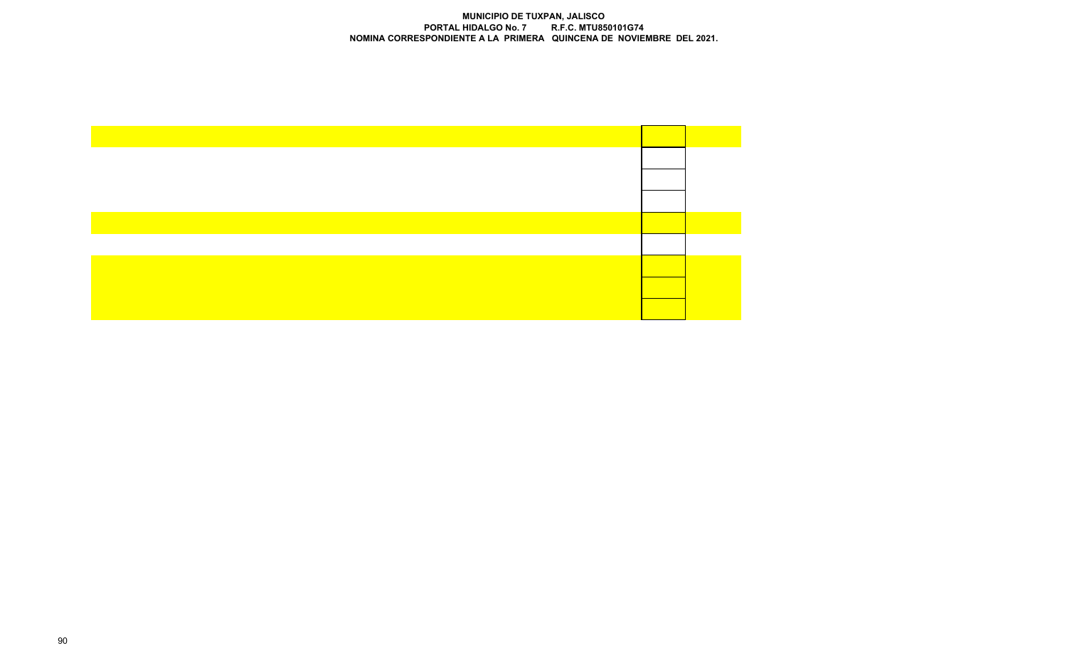